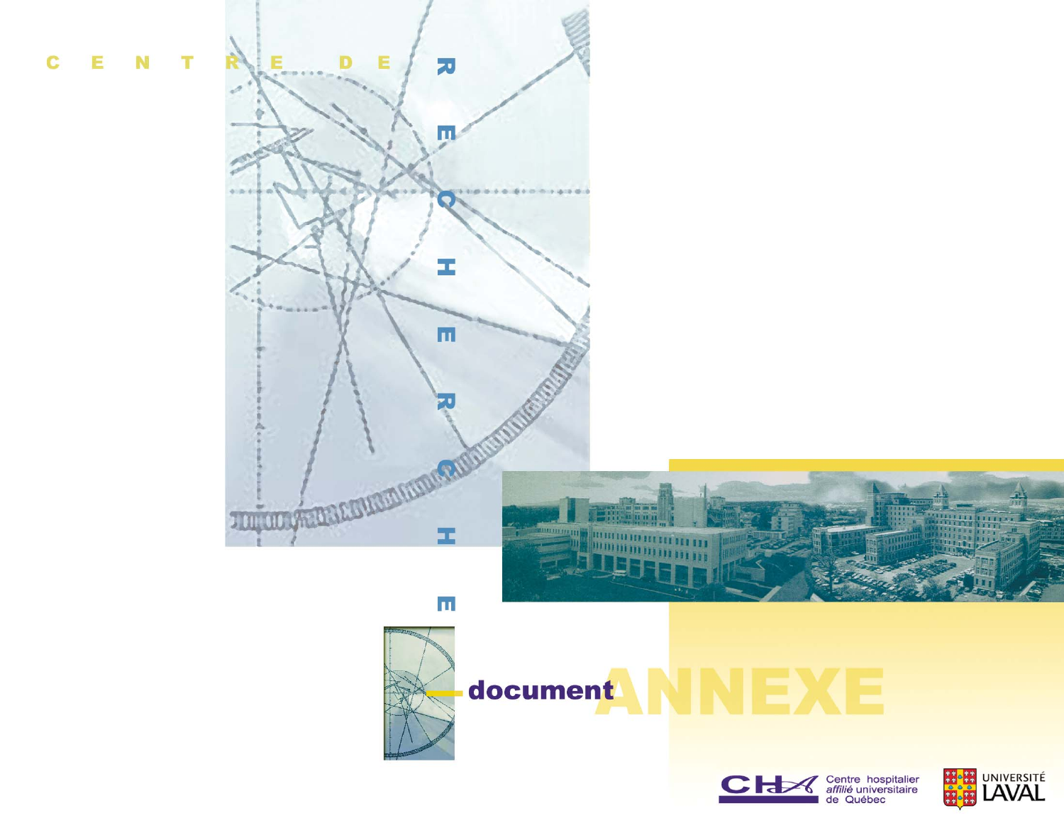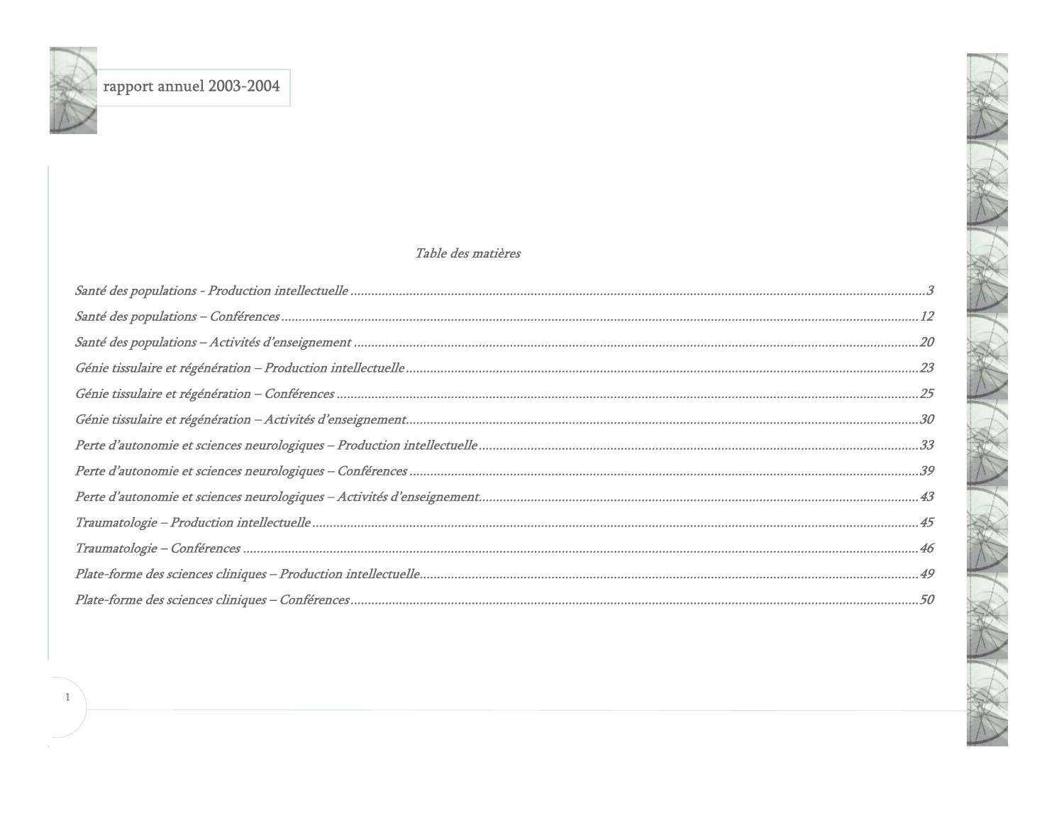$\mathbf{1}$ 

### Table des matières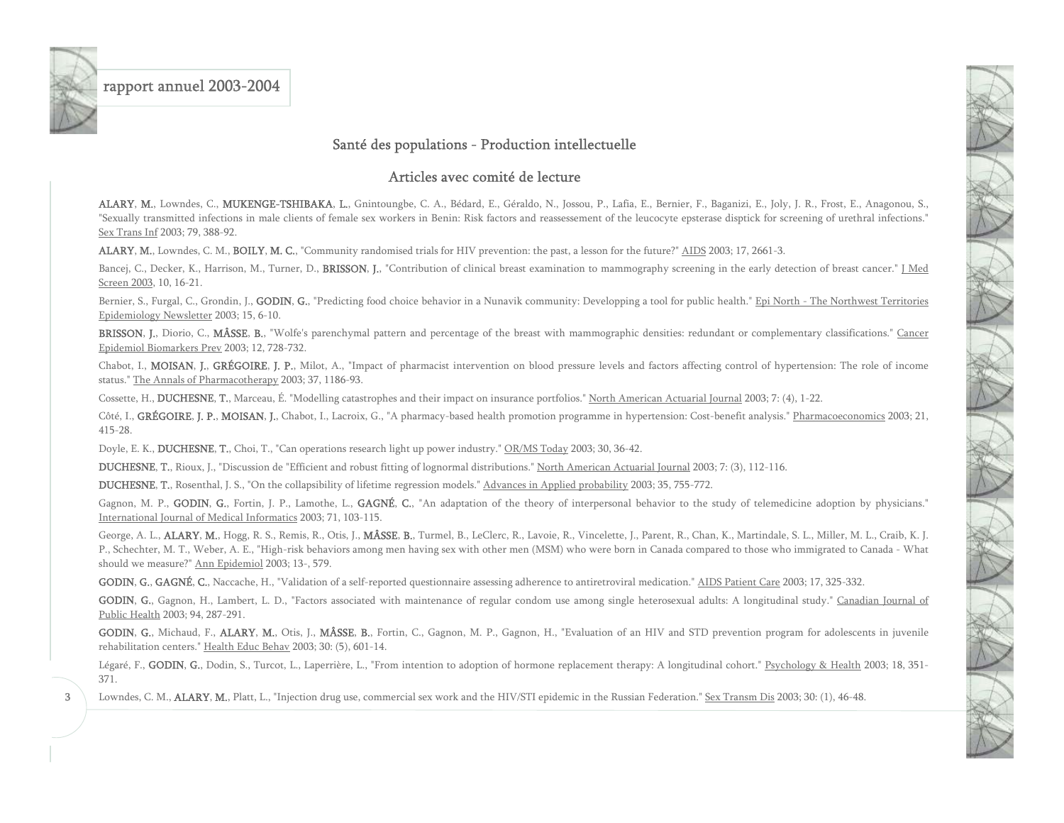<span id="page-3-0"></span>

3

### rapport annuel 2003-2004

### Santé des populations - Production intellectuelle

#### Articles avec comité de lecture

ALARY, M., Lowndes, C., MUKENGE-TSHIBAKA, L., Gnintoungbe, C. A., Bédard, E., Géraldo, N., Jossou, P., Lafia, E., Bernier, F., Baganizi, E., Joly, J. R., Frost, E., Anagonou, S., "Sexually transmitted infections in male clients of female sex workers in Benin: Risk factors and reassessement of the leucocyte epsterase disptick for screening of urethral infections." Sex Trans Inf 2003; 79, 388-92.

ALARY, M., Lowndes, C. M., BOILY, M. C., "Community randomised trials for HIV prevention: the past, a lesson for the future?" AIDS 2003; 17, 2661-3.

Bancej, C., Decker, K., Harrison, M., Turner, D., BRISSON, J., "Contribution of clinical breast examination to mammography screening in the early detection of breast cancer." J Med Screen 2003, 10, 16-21.

Bernier, S., Furgal, C., Grondin, J., GODIN, G., "Predicting food choice behavior in a Nunavik community: Developping a tool for public health." Epi North - The Northwest Territories Epidemiology Newsletter 2003; 15, 6-10.

BRISSON, J., Diorio, C., MÂSSE, B., "Wolfe's parenchymal pattern and percentage of the breast with mammographic densities: redundant or complementary classifications." Cancer Epidemiol Biomarkers Prev 2003; 12, 728-732.

Chabot, I., MOISAN, J., GRÉGOIRE, J. P., Milot, A., "Impact of pharmacist intervention on blood pressure levels and factors affecting control of hypertension: The role of income status." The Annals of Pharmacotherapy 2003; 37, 1186-93.

Cossette, H., DUCHESNE, T., Marceau, É. "Modelling catastrophes and their impact on insurance portfolios." North American Actuarial Journal 2003; 7: (4), 1-22.

Côté, I., GRÉGOIRE, J. P., MOISAN, J., Chabot, I., Lacroix, G., "A pharmacy-based health promotion programme in hypertension: Cost-benefit analysis." Pharmacoeconomics 2003; 21, 415-28.

Doyle, E. K., **DUCHESNE, T.**, Choi, T., "Can operations research light up power industry." OR/MS Today 2003; 30, 36-42.

DUCHESNE, T., Rioux, J., "Discussion de "Efficient and robust fitting of lognormal distributions." North American Actuarial Journal 2003; 7: (3), 112-116.

DUCHESNE, T., Rosenthal, J. S., "On the collapsibility of lifetime regression models." Advances in Applied probability 2003; 35, 755-772.

Gagnon, M. P., GODIN, G., Fortin, J. P., Lamothe, L., GAGNÉ, C., "An adaptation of the theory of interpersonal behavior to the study of telemedicine adoption by physicians." International Journal of Medical Informatics 2003; 71, 103-115.

George, A. L., ALARY, M., Hogg, R. S., Remis, R., Otis, J., MÂSSE, B., Turmel, B., LeClerc, R., Lavoie, R., Vincelette, J., Parent, R., Chan, K., Martindale, S. L., Miller, M. L., Craib, K. J. P., Schechter, M. T., Weber, A. E., "High-risk behaviors among men having sex with other men (MSM) who were born in Canada compared to those who immigrated to Canada - What should we measure?" Ann Epidemiol 2003; 13-, 579.

GODIN, G., GAGNÉ, C., Naccache, H., "Validation of a self-reported questionnaire assessing adherence to antiretroviral medication." AIDS Patient Care 2003; 17, 325-332.

GODIN, G., Gagnon, H., Lambert, L. D., "Factors associated with maintenance of regular condom use among single heterosexual adults: A longitudinal study." Canadian Journal of Public Health 2003; 94, 287-291.

GODIN, G., Michaud, F., ALARY, M., Otis, J., MÂSSE, B., Fortin, C., Gagnon, M. P., Gagnon, H., "Evaluation of an HIV and STD prevention program for adolescents in juvenile rehabilitation centers." Health Educ Behav 2003; 30: (5), 601-14.

Légaré, F., GODIN, G., Dodin, S., Turcot, L., Laperrière, L., "From intention to adoption of hormone replacement therapy: A longitudinal cohort." Psychology & Health 2003; 18, 351-371.

Lowndes, C. M., ALARY, M., Platt, L., "Injection drug use, commercial sex work and the HIV/STI epidemic in the Russian Federation." Sex Transm Dis 2003; 30: (1), 46-48.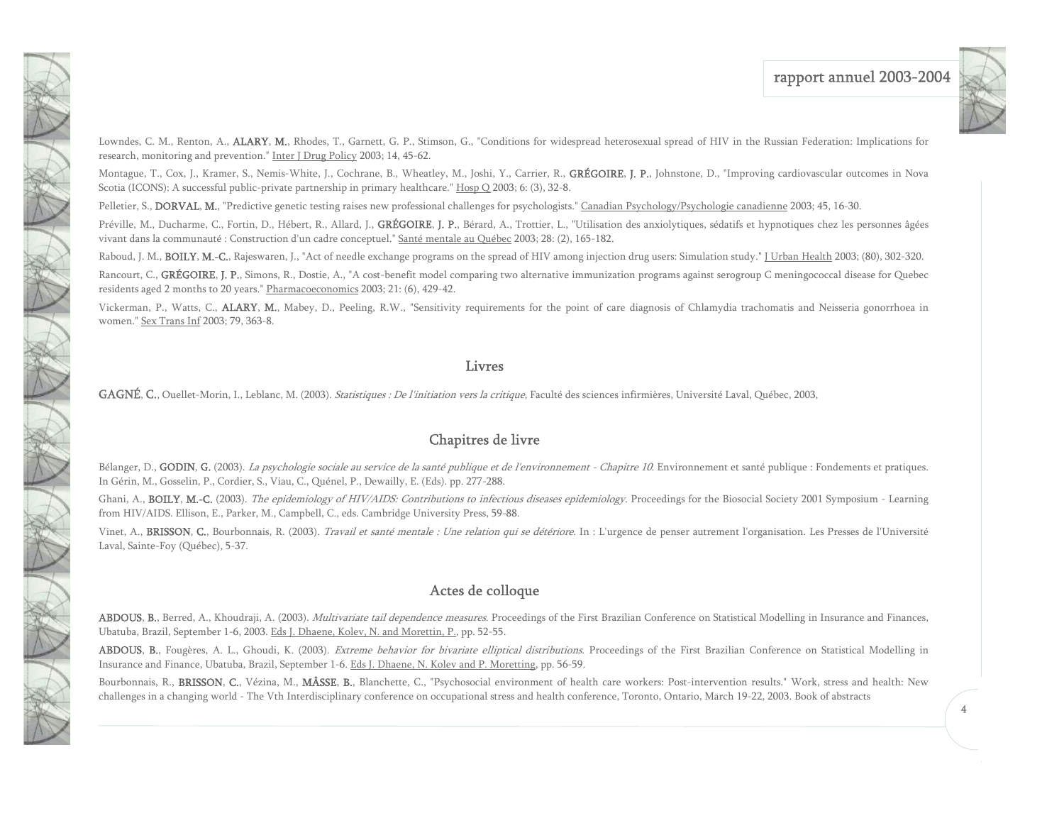

Lowndes, C. M., Renton, A., ALARY, M., Rhodes, T., Garnett, G. P., Stimson, G., "Conditions for widespread heterosexual spread of HIV in the Russian Federation: Implications for research, monitoring and prevention." Inter J Drug Policy 2003; 14, 45-62.

Montague, T., Cox, J., Kramer, S., Nemis-White, J., Cochrane, B., Wheatley, M., Joshi, Y., Carrier, R., GRÉGOIRE, J. P., Johnstone, D., "Improving cardiovascular outcomes in Nova Scotia (ICONS): A successful public-private partnership in primary healthcare." Hosp Q 2003; 6: (3), 32-8.

Pelletier, S., DORVAL, M., "Predictive genetic testing raises new professional challenges for psychologists." Canadian Psychology/Psychologie canadienne 2003; 45, 16-30.

Préville, M., Ducharme, C., Fortin, D., Hébert, R., Allard, J., GRÉGOIRE, J. P., Bérard, A., Trottier, L., "Utilisation des anxiolytiques, sédatifs et hypnotiques chez les personnes âgées vivant dans la communauté : Construction d'un cadre conceptuel." Santé mentale au Québec 2003; 28: (2), 165-182.

Raboud, J. M., BOILY, M.-C., Rajeswaren, J., "Act of needle exchange programs on the spread of HIV among injection drug users: Simulation study." [Urban Health 2003; (80), 302-320.

Rancourt, C., GRÉGOIRE, J. P., Simons, R., Dostie, A., "A cost-benefit model comparing two alternative immunization programs against serogroup C meningococcal disease for Quebec residents aged 2 months to 20 years." Pharmacoeconomics 2003; 21: (6), 429-42.

Vickerman, P., Watts, C., ALARY, M., Mabey, D., Peeling, R.W., "Sensitivity requirements for the point of care diagnosis of Chlamydia trachomatis and Neisseria gonorrhoea in women." Sex Trans Inf 2003; 79, 363-8.

#### Livres

GAGNÉ, C., Ouellet-Morin, I., Leblanc, M. (2003). Statistiques : De l'initiation vers la critique, Faculté des sciences infirmières, Université Laval, Québec, 2003,

### Chapitres de livre

Bélanger, D., GODIN, G. (2003). La psychologie sociale au service de la santé publique et de l'environnement - Chapitre 10. Environnement et santé publique : Fondements et pratiques. In Gérin, M., Gosselin, P., Cordier, S., Viau, C., Quénel, P., Dewailly, E. (Eds). pp. 277-288.

Ghani, A., BOILY, M.-C. (2003). The epidemiology of HIV/AIDS: Contributions to infectious diseases epidemiology. Proceedings for the Biosocial Society 2001 Symposium - Learning from HIV/AIDS. Ellison, E., Parker, M., Campbell, C., eds. Cambridge University Press, 59-88.

Vinet, A., BRISSON, C., Bourbonnais, R. (2003). Travail et santé mentale : Une relation qui se détériore. In : L'urgence de penser autrement l'organisation. Les Presses de l'Université Laval, Sainte-Foy (Québec), 5-37.

### Actes de colloque

ABDOUS, B., Berred, A., Khoudraji, A. (2003). Multivariate tail dependence measures. Proceedings of the First Brazilian Conference on Statistical Modelling in Insurance and Finances, Ubatuba, Brazil, September 1-6, 2003. Eds J. Dhaene, Kolev, N. and Morettin, P., pp. 52-55.

ABDOUS, B., Fougères, A. L., Ghoudi, K. (2003). *Extreme behavior for bivariate elliptical distributions*. Proceedings of the First Brazilian Conference on Statistical Modelling in Insurance and Finance, Ubatuba, Brazil, September 1-6. Eds J. Dhaene, N. Kolev and P. Moretting, pp. 56-59.

Bourbonnais, R., BRISSON, C., Vézina, M., MÂSSE, B., Blanchette, C., "Psychosocial environment of health care workers: Post-intervention results." Work, stress and health: New challenges in a changing world - The Vth Interdisciplinary conference on occupational stress and health conference, Toronto, Ontario, March 19-22, 2003. Book of abstracts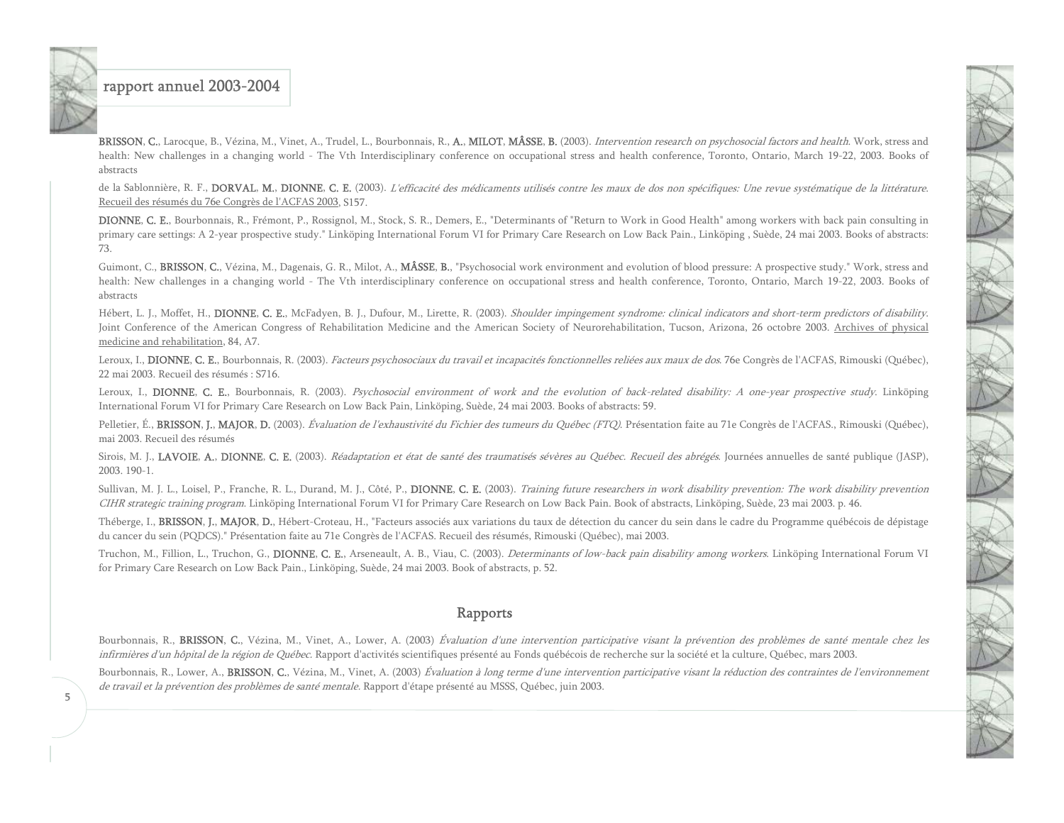BRISSON, C., Larocque, B., Vézina, M., Vinet, A., Trudel, L., Bourbonnais, R., A., MILOT, MÂSSE, B. (2003). *Intervention research on psychosocial factors and health*. Work, stress and health: New challenges in a changing world - The Vth Interdisciplinary conference on occupational stress and health conference, Toronto, Ontario, March 19-22, 2003. Books of abstracts

de la Sablonnière, R. F., DORVAL, M., DIONNE, C. E. (2003). L'efficacité des médicaments utilisés contre les maux de dos non spécifiques: Une revue systématique de la littérature. Recueil des résumés du 76e Congrès de l'ACFAS 2003, S157.

DIONNE, C. E., Bourbonnais, R., Frémont, P., Rossignol, M., Stock, S. R., Demers, E., "Determinants of "Return to Work in Good Health" among workers with back pain consulting in primary care settings: A 2-year prospective study." Linköping International Forum VI for Primary Care Research on Low Back Pain., Linköping , Suède, 24 mai 2003. Books of abstracts: 73.

Guimont, C., BRISSON, C., Vézina, M., Dagenais, G. R., Milot, A., MÂSSE, B., "Psychosocial work environment and evolution of blood pressure: A prospective study." Work, stress and health: New challenges in a changing world - The Vth interdisciplinary conference on occupational stress and health conference, Toronto, Ontario, March 19-22, 2003. Books of abstracts

Hébert, L. J., Moffet, H., DIONNE, C. E., McFadyen, B. J., Dufour, M., Lirette, R. (2003). Shoulder impingement syndrome: clinical indicators and short-term predictors of disability. Joint Conference of the American Congress of Rehabilitation Medicine and the American Society of Neurorehabilitation, Tucson, Arizona, 26 octobre 2003. Archives of physical medicine and rehabilitation, 84, A7.

Leroux, I., DIONNE, C. E., Bourbonnais, R. (2003). Facteurs psychosociaux du travail et incapacités fonctionnelles reliées aux maux de dos. 76e Congrès de l'ACFAS, Rimouski (Québec), 22 mai 2003. Recueil des résumés : S716.

Leroux, I., DIONNE, C. E., Bourbonnais, R. (2003). Psychosocial environment of work and the evolution of back-related disability: A one-year prospective study. Linköping International Forum VI for Primary Care Research on Low Back Pain, Linköping, Suède, 24 mai 2003. Books of abstracts: 59.

Pelletier, É., BRISSON, J., MAJOR, D. (2003). Évaluation de l'exhaustivité du Fichier des tumeurs du Québec (FTQ). Présentation faite au 71e Congrès de l'ACFAS., Rimouski (Québec), mai 2003. Recueil des résumés

Sirois, M. J., LAVOIE, A., DIONNE, C. E. (2003). Réadaptation et état de santé des traumatisés sévères au Québec. Recueil des abrégés. Journées annuelles de santé publique (JASP), 2003. 190-1.

Sullivan, M. J. L., Loisel, P., Franche, R. L., Durand, M. J., Côté, P., DIONNE, C. E. (2003). Training future researchers in work disability prevention: The work disability prevention CIHR strategic training program. Linköping International Forum VI for Primary Care Research on Low Back Pain. Book of abstracts, Linköping, Suède, 23 mai 2003. p. 46.

Théberge, I., BRISSON, J., MAJOR, D., Hébert-Croteau, H., "Facteurs associés aux variations du taux de détection du cancer du sein dans le cadre du Programme québécois de dépistage du cancer du sein (PQDCS)." Présentation faite au 71e Congrès de l'ACFAS. Recueil des résumés, Rimouski (Québec), mai 2003.

Truchon, M., Fillion, L., Truchon, G., DIONNE, C. E., Arseneault, A. B., Viau, C. (2003). Determinants of low-back pain disability among workers. Linköping International Forum VI for Primary Care Research on Low Back Pain., Linköping, Suède, 24 mai 2003. Book of abstracts, p. 52.

#### Rapports

Bourbonnais, R., BRISSON, C., Vézina, M., Vinet, A., Lower, A. (2003) Évaluation d'une intervention participative visant la prévention des problèmes de santé mentale chez les infirmières d'un hôpital de la région de Québec. Rapport d'activités scientifiques présenté au Fonds québécois de recherche sur la société et la culture, Québec, mars 2003.

Bourbonnais, R., Lower, A., BRISSON, C., Vézina, M., Vinet, A. (2003) Évaluation à long terme d'une intervention participative visant la réduction des contraintes de l'environnement de travail et la prévention des problèmes de santé mentale. Rapport d'étape présenté au MSSS, Québec, juin 2003.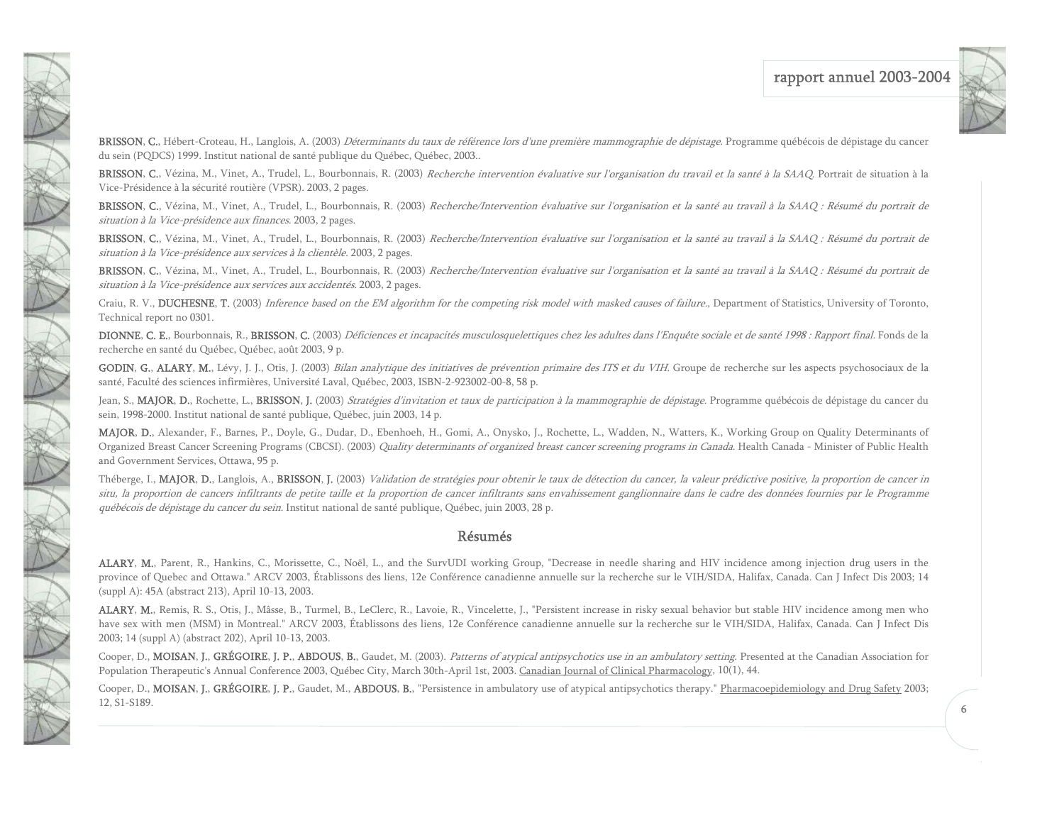

BRISSON, C., Hébert-Croteau, H., Langlois, A. (2003) Déterminants du taux de référence lors d'une première mammographie de dépistage. Programme québécois de dépistage du cancer du sein (PQDCS) 1999. Institut national de santé publique du Québec, Québec, 2003..

BRISSON, C., Vézina, M., Vinet, A., Trudel, L., Bourbonnais, R. (2003) Recherche intervention évaluative sur l'organisation du travail et la santé à la SAAQ. Portrait de situation à la Vice-Présidence à la sécurité routière (VPSR). 2003, 2 pages.

BRISSON, C., Vézina, M., Vinet, A., Trudel, L., Bourbonnais, R. (2003) Recherche/Intervention évaluative sur l'organisation et la santé au travail à la SAAQ : Résumé du portrait de situation à la Vice-présidence aux finances. 2003, 2 pages.

BRISSON, C., Vézina, M., Vinet, A., Trudel, L., Bourbonnais, R. (2003) Recherche/Intervention évaluative sur l'organisation et la santé au travail à la SAAQ : Résumé du portrait de situation à la Vice-présidence aux services à la clientèle. 2003, 2 pages.

BRISSON, C., Vézina, M., Vinet, A., Trudel, L., Bourbonnais, R. (2003) Recherche/Intervention évaluative sur l'organisation et la santé au travail à la SAAQ : Résumé du portrait de situation à la Vice-présidence aux services aux accidentés. 2003, 2 pages.

Craiu, R. V., DUCHESNE, T. (2003) Inference based on the EM algorithm for the competing risk model with masked causes of failure, Department of Statistics, University of Toronto, Technical report no 0301.

**DIONNE, C. E.**, Bourbonnais, R., **BRISSON, C.** (2003) *Déficiences et incapacités musculosquelettiques chez les adultes dans l'Enquête sociale et de santé 1998 : Rapport final. Fonds de la* recherche en santé du Québec, Québec, août 2003, 9 p.

GODIN, G., ALARY, M., Lévy, J. J., Otis, J. (2003) Bilan analytique des initiatives de prévention primaire des ITS et du VIH. Groupe de recherche sur les aspects psychosociaux de la santé, Faculté des sciences infirmières, Université Laval, Québec, 2003, ISBN-2-923002-00-8, 58 p.

Jean, S., MAJOR, D., Rochette, L., BRISSON, J. (2003) Stratégies d'invitation et taux de participation à la mammographie de dépistage. Programme québécois de dépistage du cancer du sein, 1998-2000. Institut national de santé publique, Québec, juin 2003, 14 p.

MAJOR, D., Alexander, F., Barnes, P., Doyle, G., Dudar, D., Ebenhoeh, H., Gomi, A., Onysko, J., Rochette, L., Wadden, N., Watters, K., Working Group on Quality Determinants of Organized Breast Cancer Screening Programs (CBCSI). (2003) Quality determinants of organized breast cancer screening programs in Canada. Health Canada - Minister of Public Health and Government Services, Ottawa, 95 p.

Théberge, I., **MAJOR**, D., Langlois, A., BRISSON, J. (2003) *Validation de stratégies pour obtenir le taux de détection du cancer, la valeur prédictive positive, la proportion de cancer in* situ, la proportion de cancers infiltrants de petite taille et la proportion de cancer infiltrants sans envahissement ganglionnaire dans le cadre des données fournies par le Programme québécois de dépistage du cancer du sein. Institut national de santé publique, Québec, juin 2003, 28 p.

#### Résumés

ALARY, M., Parent, R., Hankins, C., Morissette, C., Noël, L., and the SurvUDI working Group, "Decrease in needle sharing and HIV incidence among injection drug users in the province of Quebec and Ottawa." ARCV 2003, Établissons des liens, 12e Conférence canadienne annuelle sur la recherche sur le VIH/SIDA, Halifax, Canada. Can J Infect Dis 2003; 14 (suppl A): 45A (abstract 213), April 10-13, 2003.

ALARY, M., Remis, R. S., Otis, J., Mâsse, B., Turmel, B., LeClerc, R., Lavoie, R., Vincelette, J., "Persistent increase in risky sexual behavior but stable HIV incidence among men who have sex with men (MSM) in Montreal." ARCV 2003, Établissons des liens, 12e Conférence canadienne annuelle sur la recherche sur le VIH/SIDA, Halifax, Canada. Can J Infect Dis 2003; 14 (suppl A) (abstract 202), April 10-13, 2003.

Cooper, D., MOISAN, J., GRÉGOIRE, J. P., ABDOUS, B., Gaudet, M. (2003). Patterns of atypical antipsychotics use in an ambulatory setting. Presented at the Canadian Association for Population Therapeutic's Annual Conference 2003, Québec City, March 30th-April 1st, 2003. Canadian Journal of Clinical Pharmacology, 10(1), 44.

Cooper, D., MOISAN, J., GRÉGOIRE, J. P., Gaudet, M., ABDOUS, B., "Persistence in ambulatory use of atypical antipsychotics therapy." Pharmacoepidemiology and Drug Safety 2003; 12, S1-S189.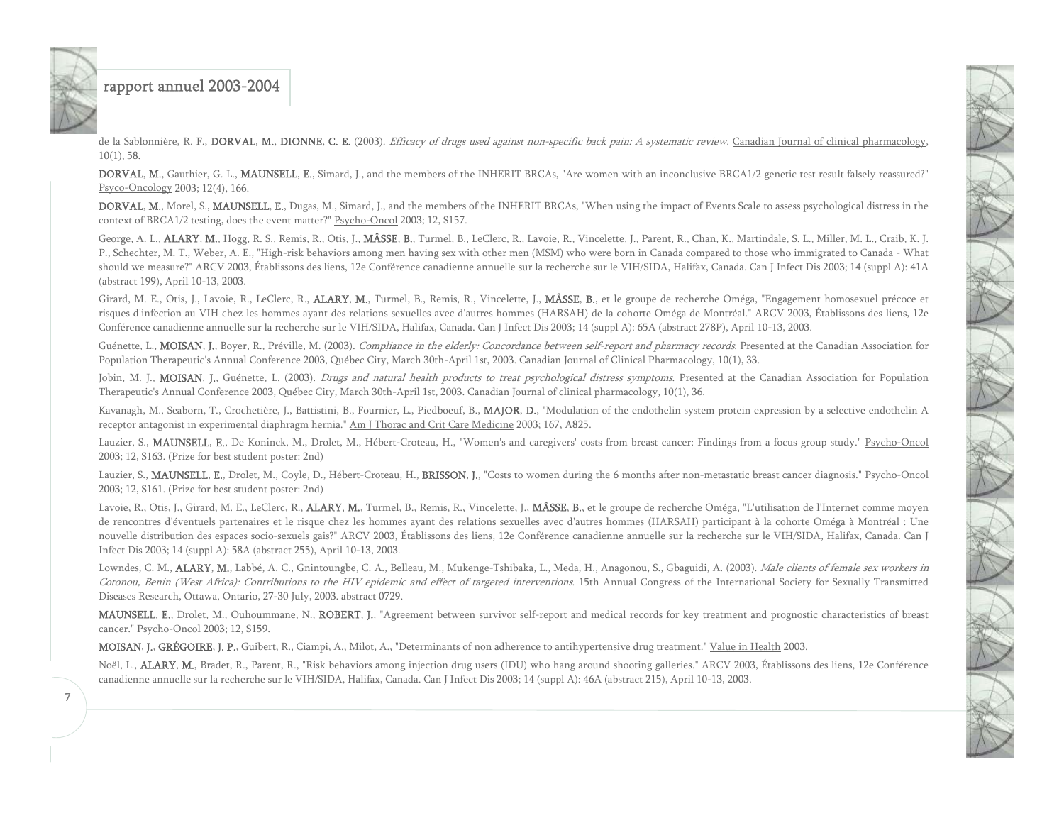de la Sablonnière, R. F., DORVAL, M., DIONNE, C. E. (2003). Efficacy of drugs used against non-specific back pain: A systematic review. Canadian Journal of clinical pharmacology,  $10(1)$ , 58.

DORVAL, M., Gauthier, G. L., MAUNSELL, E., Simard, J., and the members of the INHERIT BRCAs, "Are women with an inconclusive BRCA1/2 genetic test result falsely reassured?" Psyco-Oncology 2003; 12(4), 166.

DORVAL, M., Morel, S., MAUNSELL, E., Dugas, M., Simard, J., and the members of the INHERIT BRCAs, "When using the impact of Events Scale to assess psychological distress in the context of BRCA1/2 testing, does the event matter?" Psycho-Oncol 2003; 12, S157.

George, A. L., ALARY, M., Hogg, R. S., Remis, R., Otis, J., MÂSSE, B., Turmel, B., LeClerc, R., Lavoie, R., Vincelette, J., Parent, R., Chan, K., Martindale, S. L., Miller, M. L., Craib, K. J. P., Schechter, M. T., Weber, A. E., "High-risk behaviors among men having sex with other men (MSM) who were born in Canada compared to those who immigrated to Canada - What should we measure?" ARCV 2003, Établissons des liens, 12e Conférence canadienne annuelle sur la recherche sur le VIH/SIDA, Halifax, Canada. Can J Infect Dis 2003; 14 (suppl A): 41A (abstract 199), April 10-13, 2003.

Girard, M. E., Otis, J., Lavoie, R., LeClerc, R., **ALARY, M.**, Turmel, B., Remis, R., Vincelette, J., **MÂSSE, B.**, et le groupe de recherche Oméga, "Engagement homosexuel précoce et risques d'infection au VIH chez les hommes ayant des relations sexuelles avec d'autres hommes (HARSAH) de la cohorte Oméga de Montréal." ARCV 2003, Établissons des liens, 12e Conférence canadienne annuelle sur la recherche sur le VIH/SIDA, Halifax, Canada. Can J Infect Dis 2003; 14 (suppl A): 65A (abstract 278P), April 10-13, 2003.

Guénette, L., MOISAN, J., Boyer, R., Préville, M. (2003). Compliance in the elderly: Concordance between self-report and pharmacy records. Presented at the Canadian Association for Population Therapeutic's Annual Conference 2003, Québec City, March 30th-April 1st, 2003. Canadian Journal of Clinical Pharmacology, 10(1), 33.

Jobin, M. J., MOISAN, J., Guénette, L. (2003). Drugs and natural health products to treat psychological distress symptoms. Presented at the Canadian Association for Population Therapeutic's Annual Conference 2003, Québec City, March 30th-April 1st, 2003. Canadian Journal of clinical pharmacology, 10(1), 36.

Kavanagh, M., Seaborn, T., Crochetière, J., Battistini, B., Fournier, L., Piedboeuf, B., MAJOR, D., "Modulation of the endothelin system protein expression by a selective endothelin A receptor antagonist in experimental diaphragm hernia." Am J Thorac and Crit Care Medicine 2003; 167, A825.

Lauzier, S., MAUNSELL, E., De Koninck, M., Drolet, M., Hébert-Croteau, H., "Women's and caregivers' costs from breast cancer: Findings from a focus group study." Psycho-Oncol 2003; 12, S163. (Prize for best student poster: 2nd)

Lauzier, S., MAUNSELL, E., Drolet, M., Coyle, D., Hébert-Croteau, H., BRISSON, J., "Costs to women during the 6 months after non-metastatic breast cancer diagnosis." Psycho-Oncol 2003; 12, S161. (Prize for best student poster: 2nd)

Lavoie, R., Otis, J., Girard, M. E., LeClerc, R., ALARY, M., Turmel, B., Remis, R., Vincelette, J., MÂSSE, B., et le groupe de recherche Oméga, "L'utilisation de l'Internet comme moyen de rencontres d'éventuels partenaires et le risque chez les hommes ayant des relations sexuelles avec d'autres hommes (HARSAH) participant à la cohorte Oméga à Montréal : Une nouvelle distribution des espaces socio-sexuels gais?" ARCV 2003, Établissons des liens, 12e Conférence canadienne annuelle sur la recherche sur le VIH/SIDA, Halifax, Canada. Can J Infect Dis 2003; 14 (suppl A): 58A (abstract 255), April 10-13, 2003.

Lowndes, C. M., ALARY, M., Labbé, A. C., Gnintoungbe, C. A., Belleau, M., Mukenge-Tshibaka, L., Meda, H., Anagonou, S., Gbaguidi, A. (2003). Male clients of female sex workers in Cotonou, Benin (West Africa): Contributions to the HIV epidemic and effect of targeted interventions. 15th Annual Congress of the International Society for Sexually Transmitted Diseases Research, Ottawa, Ontario, 27-30 July, 2003. abstract 0729.

MAUNSELL, E., Drolet, M., Ouhoummane, N., ROBERT, J., "Agreement between survivor self-report and medical records for key treatment and prognostic characteristics of breast cancer." Psycho-Oncol 2003; 12, S159.

MOISAN, J., GRÉGOIRE, J. P., Guibert, R., Ciampi, A., Milot, A., "Determinants of non adherence to antihypertensive drug treatment." Value in Health 2003.

Noël, L., ALARY, M., Bradet, R., Parent, R., "Risk behaviors among injection drug users (IDU) who hang around shooting galleries." ARCV 2003, Établissons des liens, 12e Conférence canadienne annuelle sur la recherche sur le VIH/SIDA, Halifax, Canada. Can J Infect Dis 2003; 14 (suppl A): 46A (abstract 215), April 10-13, 2003.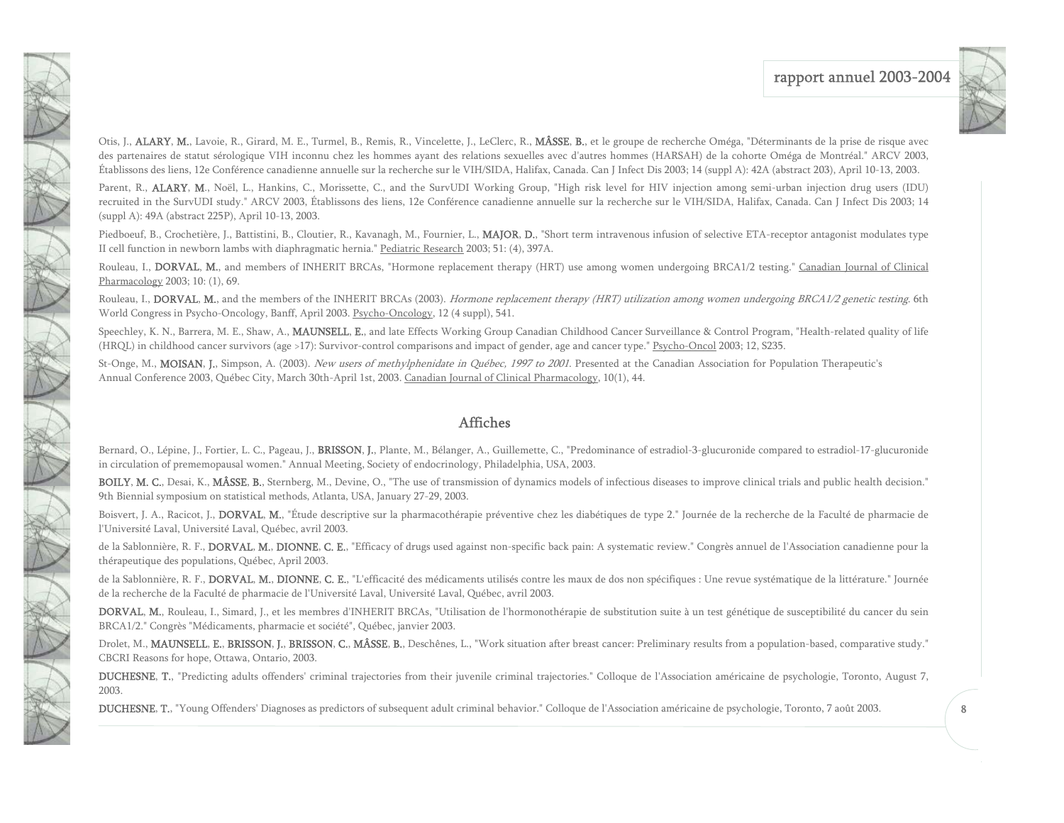

Otis, J., ALARY, M., Lavoie, R., Girard, M. E., Turmel, B., Remis, R., Vincelette, J., LeClerc, R., MÂSSE, B., et le groupe de recherche Oméga, "Déterminants de la prise de risque avec des partenaires de statut sérologique VIH inconnu chez les hommes ayant des relations sexuelles avec d'autres hommes (HARSAH) de la cohorte Oméga de Montréal." ARCV 2003, Établissons des liens, 12e Conférence canadienne annuelle sur la recherche sur le VIH/SIDA, Halifax, Canada. Can J Infect Dis 2003; 14 (suppl A): 42A (abstract 203), April 10-13, 2003.

FRA 1

V

Parent, R., ALARY, M., Noël, L., Hankins, C., Morissette, C., and the SurvUDI Working Group, "High risk level for HIV injection among semi-urban injection drug users (IDU) recruited in the SurvUDI study." ARCV 2003, Établissons des liens, 12e Conférence canadienne annuelle sur la recherche sur le VIH/SIDA, Halifax, Canada. Can J Infect Dis 2003; <sup>14</sup> (suppl A): 49A (abstract 225P), April 10-13, 2003.

Piedboeuf, B., Crochetière, J., Battistini, B., Cloutier, R., Kavanagh, M., Fournier, L., MAJOR, D., "Short term intravenous infusion of selective ETA-receptor antagonist modulates type II cell function in newborn lambs with diaphragmatic hernia." Pediatric Research 2003; 51: (4), 397A.

Rouleau, I., DORVAL, M., and members of INHERIT BRCAs, "Hormone replacement therapy (HRT) use among women undergoing BRCA1/2 testing." Canadian Journal of Clinical Pharmacology 2003; 10: (1), 69.

Rouleau, I., DORVAL, M., and the members of the INHERIT BRCAs (2003). Hormone replacement therapy (HRT) utilization among women undergoing BRCA1/2 genetic testing. 6th World Congress in Psycho-Oncology, Banff, April 2003. Psycho-Oncology, 12 (4 suppl), 541.

Speechley, K. N., Barrera, M. E., Shaw, A., MAUNSELL, E., and late Effects Working Group Canadian Childhood Cancer Surveillance & Control Program, "Health-related quality of life (HRQL) in childhood cancer survivors (age >17): Survivor-control comparisons and impact of gender, age and cancer type." Psycho-Oncol 2003; 12, S235.

St-Onge, M., MOISAN, J., Simpson, A. (2003). New users of methylphenidate in Québec, 1997 to 2001. Presented at the Canadian Association for Population Therapeutic's Annual Conference 2003, Québec City, March 30th-April 1st, 2003. Canadian Journal of Clinical Pharmacology, 10(1), 44.

#### Affiches

Bernard, O., Lépine, J., Fortier, L. C., Pageau, J., BRISSON, J., Plante, M., Bélanger, A., Guillemette, C., "Predominance of estradiol-3-glucuronide compared to estradiol-17-glucuronide in circulation of prememopausal women." Annual Meeting, Society of endocrinology, Philadelphia, USA, 2003.

BOILY, M. C., Desai, K., MÂSSE, B., Sternberg, M., Devine, O., "The use of transmission of dynamics models of infectious diseases to improve clinical trials and public health decision." 9th Biennial symposium on statistical methods, Atlanta, USA, January 27-29, 2003.

Boisvert, J. A., Racicot, J., DORVAL, M., "Étude descriptive sur la pharmacothérapie préventive chez les diabétiques de type 2." Journée de la recherche de la Faculté de pharmacie de l'Université Laval, Université Laval, Québec, avril 2003.

de la Sablonnière, R. F., DORVAL, M., DIONNE, C. E., "Efficacy of drugs used against non-specific back pain: A systematic review." Congrès annuel de l'Association canadienne pour la thérapeutique des populations, Québec, April 2003.

de la Sablonnière, R. F., DORVAL, M., DIONNE, C. E., "L'efficacité des médicaments utilisés contre les maux de dos non spécifiques : Une revue systématique de la littérature." Journée de la recherche de la Faculté de pharmacie de l'Université Laval, Université Laval, Québec, avril 2003.

DORVAL, M., Rouleau, I., Simard, J., et les membres d'INHERIT BRCAs, "Utilisation de l'hormonothérapie de substitution suite à un test génétique de susceptibilité du cancer du sein BRCA1/2." Congrès "Médicaments, pharmacie et société", Québec, janvier 2003.

Drolet, M., MAUNSELL, E., BRISSON, J., BRISSON, C., MÂSSE, B., Deschênes, L., "Work situation after breast cancer: Preliminary results from a population-based, comparative study." CBCRI Reasons for hope, Ottawa, Ontario, 2003.

DUCHESNE, T., "Predicting adults offenders' criminal trajectories from their juvenile criminal trajectories." Colloque de l'Association américaine de psychologie, Toronto, August 7, 2003.

DUCHESNE, T., "Young Offenders' Diagnoses as predictors of subsequent adult criminal behavior." Colloque de l'Association américaine de psychologie, Toronto, 7 août 2003.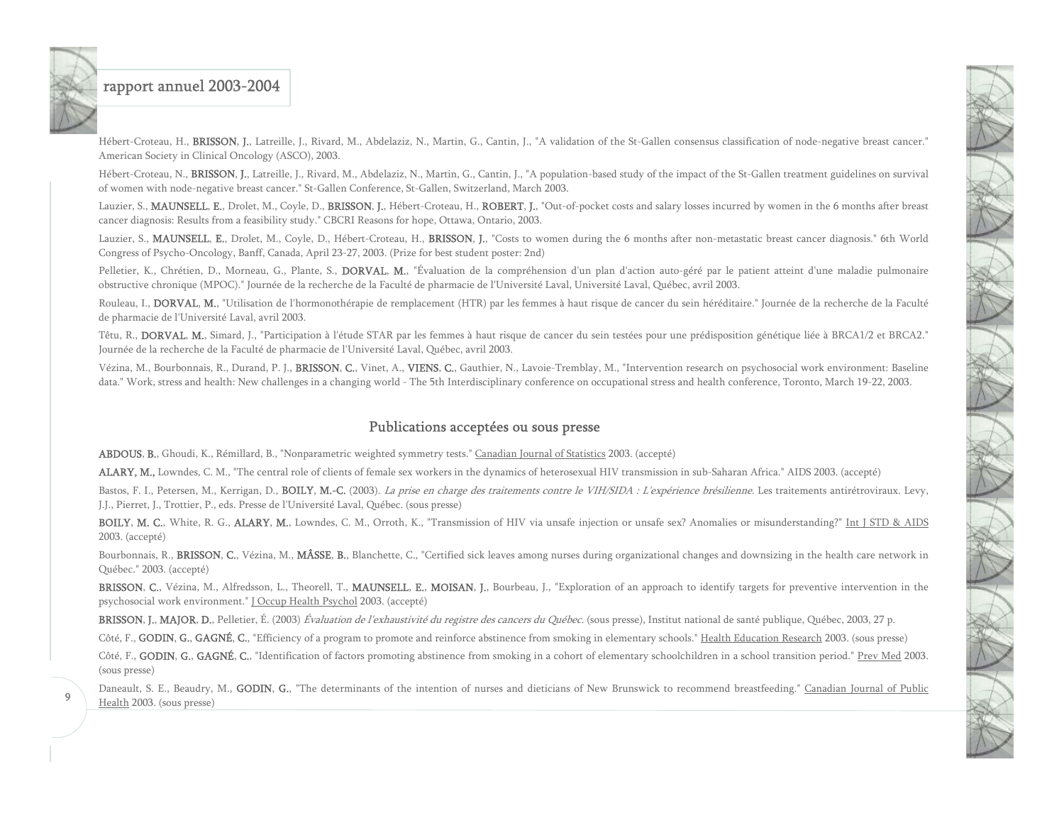9

Hébert-Croteau, H., BRISSON, J., Latreille, J., Rivard, M., Abdelaziz, N., Martin, G., Cantin, J., "A validation of the St-Gallen consensus classification of node-negative breast cancer." American Society in Clinical Oncology (ASCO), 2003.

Hébert-Croteau, N., BRISSON, J., Latreille, J., Rivard, M., Abdelaziz, N., Martin, G., Cantin, J., "A population-based study of the impact of the St-Gallen treatment guidelines on survival of women with node-negative breast cancer." St-Gallen Conference, St-Gallen, Switzerland, March 2003.

Lauzier, S., MAUNSELL, E., Drolet, M., Coyle, D., BRISSON, J., Hébert-Croteau, H., ROBERT, J., "Out-of-pocket costs and salary losses incurred by women in the 6 months after breast cancer diagnosis: Results from a feasibility study." CBCRI Reasons for hope, Ottawa, Ontario, 2003.

Lauzier, S., MAUNSELL, E., Drolet, M., Coyle, D., Hébert-Croteau, H., BRISSON, J., "Costs to women during the 6 months after non-metastatic breast cancer diagnosis." 6th World Congress of Psycho-Oncology, Banff, Canada, April 23-27, 2003. (Prize for best student poster: 2nd)

Pelletier, K., Chrétien, D., Morneau, G., Plante, S., DORVAL, M., "Évaluation de la compréhension d'un plan d'action auto-géré par le patient atteint d'une maladie pulmonaire obstructive chronique (MPOC)." Journée de la recherche de la Faculté de pharmacie de l'Université Laval, Université Laval, Québec, avril 2003.

Rouleau, I., DORVAL, M., "Utilisation de l'hormonothérapie de remplacement (HTR) par les femmes à haut risque de cancer du sein héréditaire." Journée de la recherche de la Faculté de pharmacie de l'Université Laval, avril 2003.

Têtu, R., DORVAL, M., Simard, J., "Participation à l'étude STAR par les femmes à haut risque de cancer du sein testées pour une prédisposition génétique liée à BRCA1/2 et BRCA2." Journée de la recherche de la Faculté de pharmacie de l'Université Laval, Québec, avril 2003.

Vézina, M., Bourbonnais, R., Durand, P. J., BRISSON, C., Vinet, A., VIENS, C., Gauthier, N., Lavoie-Tremblay, M., "Intervention research on psychosocial work environment: Baseline data." Work, stress and health: New challenges in a changing world - The 5th Interdisciplinary conference on occupational stress and health conference, Toronto, March 19-22, 2003.

### Publications acceptées ou sous presse

ABDOUS, B., Ghoudi, K., Rémillard, B., "Nonparametric weighted symmetry tests." Canadian Journal of Statistics 2003. (accepté)

ALARY, M., Lowndes, C. M., "The central role of clients of female sex workers in the dynamics of heterosexual HIV transmission in sub-Saharan Africa." AIDS 2003. (accepté)

Bastos, F. I., Petersen, M., Kerrigan, D., BOILY, M.-C. (2003). La prise en charge des traitements contre le VIH/SIDA : L'expérience brésilienne. Les traitements antirétroviraux. Levy, J.J., Pierret, J., Trottier, P., eds. Presse de l'Université Laval, Québec. (sous presse)

BOILY, M. C., White, R. G., ALARY, M., Lowndes, C. M., Orroth, K., "Transmission of HIV via unsafe injection or unsafe sex? Anomalies or misunderstanding?" Int J STD & AIDS 2003. (accepté)

Bourbonnais, R., BRISSON, C., Vézina, M., MÂSSE, B., Blanchette, C., "Certified sick leaves among nurses during organizational changes and downsizing in the health care network in Québec." 2003. (accepté)

BRISSON, C., Vézina, M., Alfredsson, L., Theorell, T., MAUNSELL, E., MOISAN, J., Bourbeau, J., "Exploration of an approach to identify targets for preventive intervention in the psychosocial work environment." J Occup Health Psychol 2003. (accepté)

BRISSON, J., MAJOR, D., Pelletier, É. (2003) Évaluation de l'exhaustivité du registre des cancers du Québec. (sous presse), Institut national de santé publique, Québec, 2003, 27 p.

Côté, F., GODIN, G., GAGNÉ, C., "Efficiency of a program to promote and reinforce abstinence from smoking in elementary schools." Health Education Research 2003. (sous presse)

Côté, F., GODIN, G., GAGNÉ, C., "Identification of factors promoting abstinence from smoking in a cohort of elementary schoolchildren in a school transition period." Prev Med 2003. (sous presse)

Daneault, S. E., Beaudry, M., GODIN, G., "The determinants of the intention of nurses and dieticians of New Brunswick to recommend breastfeeding." Canadian Journal of Public Health 2003. (sous presse)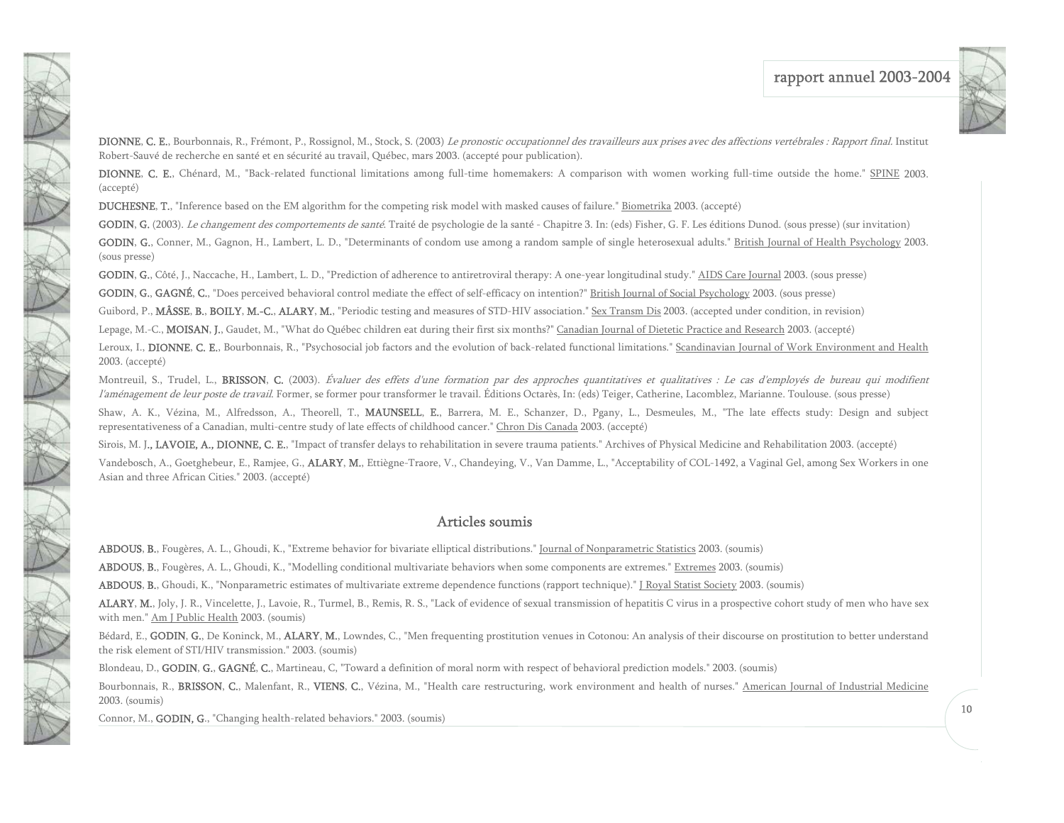

DIONNE, C. E., Bourbonnais, R., Frémont, P., Rossignol, M., Stock, S. (2003) Le pronostic occupationnel des travailleurs aux prises avec des affections vertébrales : Rapport final. Institut Robert-Sauvé de recherche en santé et en sécurité au travail, Québec, mars 2003. (accepté pour publication).

DIONNE, C. E., Chénard, M., "Back-related functional limitations among full-time homemakers: A comparison with women working full-time outside the home." SPINE 2003. (accepté)

DUCHESNE, T., "Inference based on the EM algorithm for the competing risk model with masked causes of failure." Biometrika 2003. (accepté)

GODIN, G. (2003). Le changement des comportements de santé. Traité de psychologie de la santé - Chapitre 3. In: (eds) Fisher, G. F. Les éditions Dunod. (sous presse) (sur invitation)

GODIN, G., Conner, M., Gagnon, H., Lambert, L. D., "Determinants of condom use among a random sample of single heterosexual adults." British Journal of Health Psychology 2003. (sous presse)

GODIN, G., Côté, J., Naccache, H., Lambert, L. D., "Prediction of adherence to antiretroviral therapy: A one-year longitudinal study." AIDS Care Journal 2003. (sous presse)

GODIN, G., GAGNÉ, C., "Does perceived behavioral control mediate the effect of self-efficacy on intention?" British Journal of Social Psychology 2003. (sous presse)

Guibord, P., MÂSSE, B., BOILY, M.-C., ALARY, M., "Periodic testing and measures of STD-HIV association." Sex Transm Dis 2003. (accepted under condition, in revision)

Lepage, M.-C., MOISAN, J., Gaudet, M., "What do Québec children eat during their first six months?" Canadian Journal of Dietetic Practice and Research 2003. (accepté)

Leroux, I., DIONNE, C. E., Bourbonnais, R., "Psychosocial job factors and the evolution of back-related functional limitations." Scandinavian Journal of Work Environment and Health 2003. (accepté)

Montreuil, S., Trudel, L., BRISSON, C. (2003). Évaluer des effets d'une formation par des approches quantitatives et qualitatives : Le cas d'employés de bureau qui modifient l'aménagement de leur poste de travail. Former, se former pour transformer le travail. Éditions Octarès, In: (eds) Teiger, Catherine, Lacomblez, Marianne. Toulouse. (sous presse)

Shaw, A. K., Vézina, M., Alfredsson, A., Theorell, T., MAUNSELL, E., Barrera, M. E., Schanzer, D., Pgany, L., Desmeules, M., "The late effects study: Design and subject representativeness of a Canadian, multi-centre study of late effects of childhood cancer." Chron Dis Canada 2003. (accepté)

Sirois, M. J., LAVOIE, A., DIONNE, C. E., "Impact of transfer delays to rehabilitation in severe trauma patients." Archives of Physical Medicine and Rehabilitation 2003. (accepté) Vandebosch, A., Goetghebeur, E., Ramjee, G., ALARY, M., Ettiègne-Traore, V., Chandeying, V., Van Damme, L., "Acceptability of COL-1492, a Vaginal Gel, among Sex Workers in one Asian and three African Cities." 2003. (accepté)

#### Articles soumis

ABDOUS, B., Fougères, A. L., Ghoudi, K., "Extreme behavior for bivariate elliptical distributions." Journal of Nonparametric Statistics 2003. (soumis)

ABDOUS, B., Fougères, A. L., Ghoudi, K., "Modelling conditional multivariate behaviors when some components are extremes." Extremes 2003. (soumis)

ABDOUS, B., Ghoudi, K., "Nonparametric estimates of multivariate extreme dependence functions (rapport technique)." J Royal Statist Society 2003. (soumis)

ALARY, M., Joly, J. R., Vincelette, J., Lavoie, R., Turmel, B., Remis, R. S., "Lack of evidence of sexual transmission of hepatitis C virus in a prospective cohort study of men who have sex with men." Am J Public Health 2003. (soumis)

Bédard, E., GODIN, G., De Koninck, M., ALARY, M., Lowndes, C., "Men frequenting prostitution venues in Cotonou: An analysis of their discourse on prostitution to better understand the risk element of STI/HIV transmission." 2003. (soumis)

Blondeau, D., GODIN, G., GAGNÉ, C., Martineau, C. "Toward a definition of moral norm with respect of behavioral prediction models." 2003. (soumis)

Bourbonnais, R., BRISSON, C., Malenfant, R., VIENS, C., Vézina, M., "Health care restructuring, work environment and health of nurses." American Journal of Industrial Medicine 2003. (soumis)

Connor, M., GODIN, G., "Changing health-related behaviors." 2003. (soumis)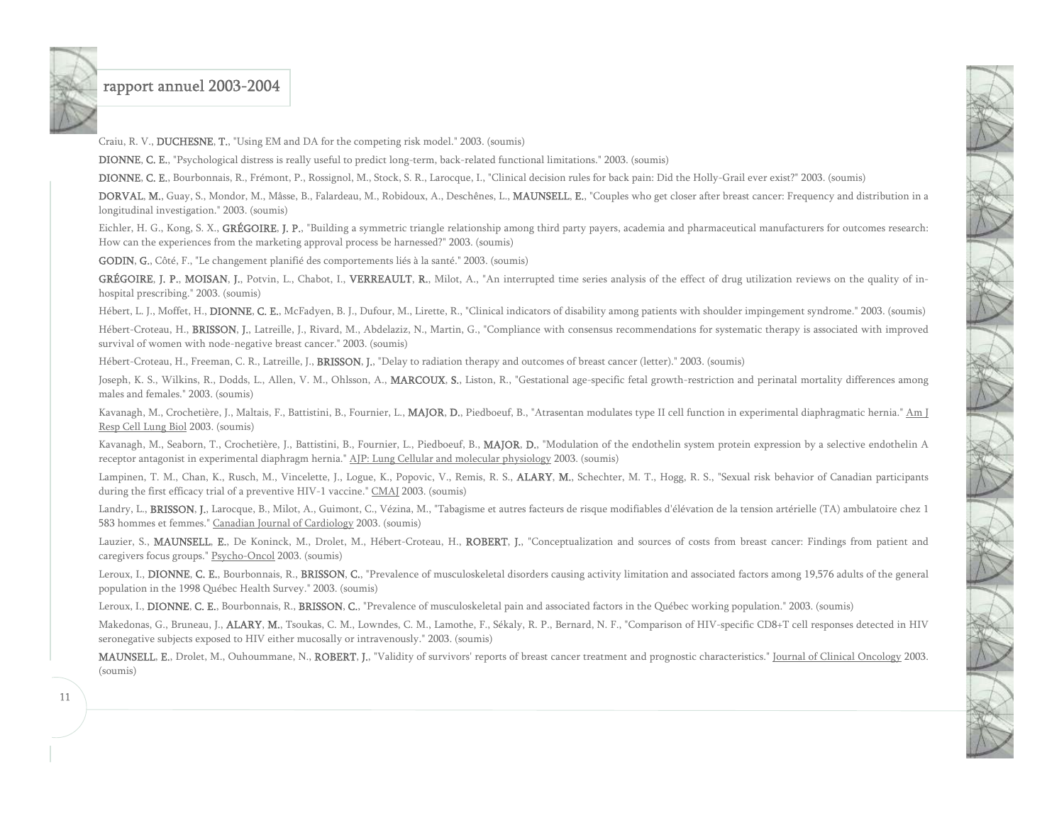

Craiu, R. V., DUCHESNE, T., "Using EM and DA for the competing risk model." 2003. (soumis)

DIONNE, C. E., "Psychological distress is really useful to predict long-term, back-related functional limitations." 2003. (soumis)

DIONNE, C. E., Bourbonnais, R., Frémont, P., Rossignol, M., Stock, S. R., Larocque, I., "Clinical decision rules for back pain: Did the Holly-Grail ever exist?" 2003. (soumis)

DORVAL, M., Guay, S., Mondor, M., Mâsse, B., Falardeau, M., Robidoux, A., Deschênes, L., MAUNSELL, E., "Couples who get closer after breast cancer: Frequency and distribution in a longitudinal investigation." 2003. (soumis)

Eichler, H. G., Kong, S. X., GRÉGOIRE, J. P., "Building a symmetric triangle relationship among third party payers, academia and pharmaceutical manufacturers for outcomes research: How can the experiences from the marketing approval process be harnessed?" 2003. (soumis)

GODIN, G., Côté, F., "Le changement planifié des comportements liés à la santé." 2003. (soumis)

GRÉGOIRE, J. P., MOISAN, J., Potvin, L., Chabot, I., VERREAULT, R., Milot, A., "An interrupted time series analysis of the effect of drug utilization reviews on the quality of inhospital prescribing." 2003. (soumis)

Hébert, L. J., Moffet, H., DIONNE, C. E., McFadyen, B. J., Dufour, M., Lirette, R., "Clinical indicators of disability among patients with shoulder impingement syndrome." 2003. (soumis)

Hébert-Croteau, H., BRISSON, J., Latreille, J., Rivard, M., Abdelaziz, N., Martin, G., "Compliance with consensus recommendations for systematic therapy is associated with improved survival of women with node-negative breast cancer." 2003. (soumis)

Hébert-Croteau, H., Freeman, C. R., Latreille, J., BRISSON, J., "Delay to radiation therapy and outcomes of breast cancer (letter)." 2003. (soumis)

Joseph, K. S., Wilkins, R., Dodds, L., Allen, V. M., Ohlsson, A., MARCOUX, S., Liston, R., "Gestational age-specific fetal growth-restriction and perinatal mortality differences among males and females." 2003. (soumis)

Kavanagh, M., Crochetière, J., Maltais, F., Battistini, B., Fournier, L., MAJOR, D., Piedboeuf, B., "Atrasentan modulates type II cell function in experimental diaphragmatic hernia." Am J Resp Cell Lung Biol 2003. (soumis)

Kavanagh, M., Seaborn, T., Crochetière, J., Battistini, B., Fournier, L., Piedboeuf, B., MAJOR, D., "Modulation of the endothelin system protein expression by a selective endothelin A receptor antagonist in experimental diaphragm hernia." AJP: Lung Cellular and molecular physiology 2003. (soumis)

Lampinen, T. M., Chan, K., Rusch, M., Vincelette, J., Logue, K., Popovic, V., Remis, R. S., ALARY, M., Schechter, M. T., Hogg, R. S., "Sexual risk behavior of Canadian participants during the first efficacy trial of a preventive HIV-1 vaccine." CMAJ 2003. (soumis)

Landry, L., BRISSON, J., Larocque, B., Milot, A., Guimont, C., Vézina, M., "Tabagisme et autres facteurs de risque modifiables d'élévation de la tension artérielle (TA) ambulatoire chez 1 583 hommes et femmes." Canadian Journal of Cardiology 2003. (soumis)

Lauzier, S., MAUNSELL, E., De Koninck, M., Drolet, M., Hébert-Croteau, H., ROBERT, J., "Conceptualization and sources of costs from breast cancer: Findings from patient and caregivers focus groups." Psycho-Oncol 2003. (soumis)

Leroux, I., DIONNE, C. E., Bourbonnais, R., BRISSON, C., "Prevalence of musculoskeletal disorders causing activity limitation and associated factors among 19,576 adults of the general population in the 1998 Québec Health Survey." 2003. (soumis)

Leroux, I., DIONNE, C. E., Bourbonnais, R., BRISSON, C., "Prevalence of musculoskeletal pain and associated factors in the Québec working population." 2003. (soumis)

Makedonas, G., Bruneau, J., **ALARY, M.**, Tsoukas, C. M., Lowndes, C. M., Lamothe, F., Sékaly, R. P., Bernard, N. F., "Comparison of HIV-specific CD8+T cell responses detected in HIV seronegative subjects exposed to HIV either mucosally or intravenously." 2003. (soumis)

MAUNSELL, E., Drolet, M., Ouhoummane, N., ROBERT, J., "Validity of survivors' reports of breast cancer treatment and prognostic characteristics." Journal of Clinical Oncology 2003. (soumis)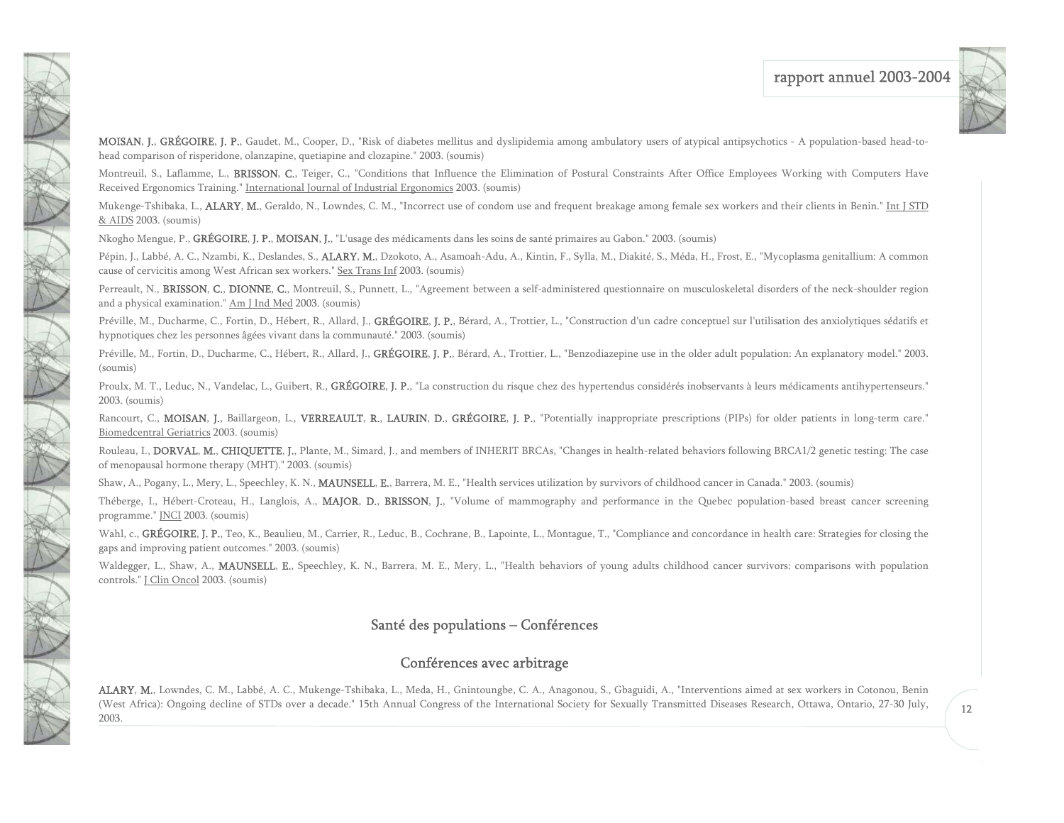

MOISAN, J., GRÉGOIRE, J. P., Gaudet, M., Cooper, D., "Risk of diabetes mellitus and dyslipidemia among ambulatory users of atypical antipsychotics - A population-based head-tohead comparison of risperidone, olanzapine, quetiapine and clozapine." 2003. (soumis)

Montreuil, S., Laflamme, L., BRISSON, C., Teiger, C., "Conditions that Influence the Elimination of Postural Constraints After Office Employees Working with Computers Have Received Ergonomics Training." International Journal of Industrial Ergonomics 2003. (soumis)

Mukenge-Tshibaka, L., ALARY, M., Geraldo, N., Lowndes, C. M., "Incorrect use of condom use and frequent breakage among female sex workers and their clients in Benin." Int J STD & AIDS 2003. (soumis)

Nkogho Mengue, P., GRÉGOIRE, J. P., MOISAN, J., "L'usage des médicaments dans les soins de santé primaires au Gabon." 2003. (soumis)

<span id="page-12-0"></span>N N

大家 医发育

Pépin, J., Labbé, A. C., Nzambi, K., Deslandes, S., ALARY, M., Dzokoto, A., Asamoah-Adu, A., Kintin, F., Sylla, M., Diakité, S., Méda, H., Frost, E., "Mycoplasma genitallium: A common cause of cervicitis among West African sex workers." Sex Trans Inf 2003. (soumis)

Perreault, N., BRISSON, C., DIONNE, C., Montreuil, S., Punnett, L., "Agreement between a self-administered questionnaire on musculoskeletal disorders of the neck-shoulder region and a physical examination." Am J Ind Med 2003. (soumis)

Préville, M., Ducharme, C., Fortin, D., Hébert, R., Allard, J., GRÉGOIRE, J. P., Bérard, A., Trottier, L., "Construction d'un cadre conceptuel sur l'utilisation des anxiolytiques sédatifs et hypnotiques chez les personnes âgées vivant dans la communauté." 2003. (soumis)

Préville, M., Fortin, D., Ducharme, C., Hébert, R., Allard, J., GRÉGOIRE, J. P., Bérard, A., Trottier, L., "Benzodiazepine use in the older adult population: An explanatory model." 2003. (soumis)

Proulx, M. T., Leduc, N., Vandelac, L., Guibert, R., GRÉGOIRE, J. P., "La construction du risque chez des hypertendus considérés inobservants à leurs médicaments antihypertenseurs." 2003. (soumis)

Rancourt, C., MOISAN, J., Baillargeon, L., VERREAULT, R., LAURIN, D., GRÉGOIRE, J. P., "Potentially inappropriate prescriptions (PIPs) for older patients in long-term care." Biomedcentral Geriatrics 2003. (soumis)

Rouleau, I., DORVAL, M., CHIQUETTE, J., Plante, M., Simard, J., and members of INHERIT BRCAs, "Changes in health-related behaviors following BRCA1/2 genetic testing: The case of menopausal hormone therapy (MHT)." 2003. (soumis)

Shaw, A., Pogany, L., Mery, L., Speechley, K. N., MAUNSELL, E., Barrera, M. E., "Health services utilization by survivors of childhood cancer in Canada." 2003. (soumis)

Théberge, I., Hébert-Croteau, H., Langlois, A., MAJOR, D., BRISSON, J., "Volume of mammography and performance in the Quebec population-based breast cancer screening programme." JNCI 2003. (soumis)

Wahl, c., GRÉGOIRE, J. P., Teo, K., Beaulieu, M., Carrier, R., Leduc, B., Cochrane, B., Lapointe, L., Montague, T., "Compliance and concordance in health care: Strategies for closing the gaps and improving patient outcomes." 2003. (soumis)

Waldegger, L., Shaw, A., MAUNSELL, E., Speechley, K. N., Barrera, M. E., Mery, L., "Health behaviors of young adults childhood cancer survivors: comparisons with population controls." J Clin Oncol 2003. (soumis)

### Santé des populations – Conférences

### Conférences avec arbitrage

ALARY, M., Lowndes, C. M., Labbé, A. C., Mukenge-Tshibaka, L., Meda, H., Gnintoungbe, C. A., Anagonou, S., Gbaguidi, A., "Interventions aimed at sex workers in Cotonou, Benin (West Africa): Ongoing decline of STDs over a decade." 15th Annual Congress of the International Society for Sexually Transmitted Diseases Research, Ottawa, Ontario, 27-30 July, 2003.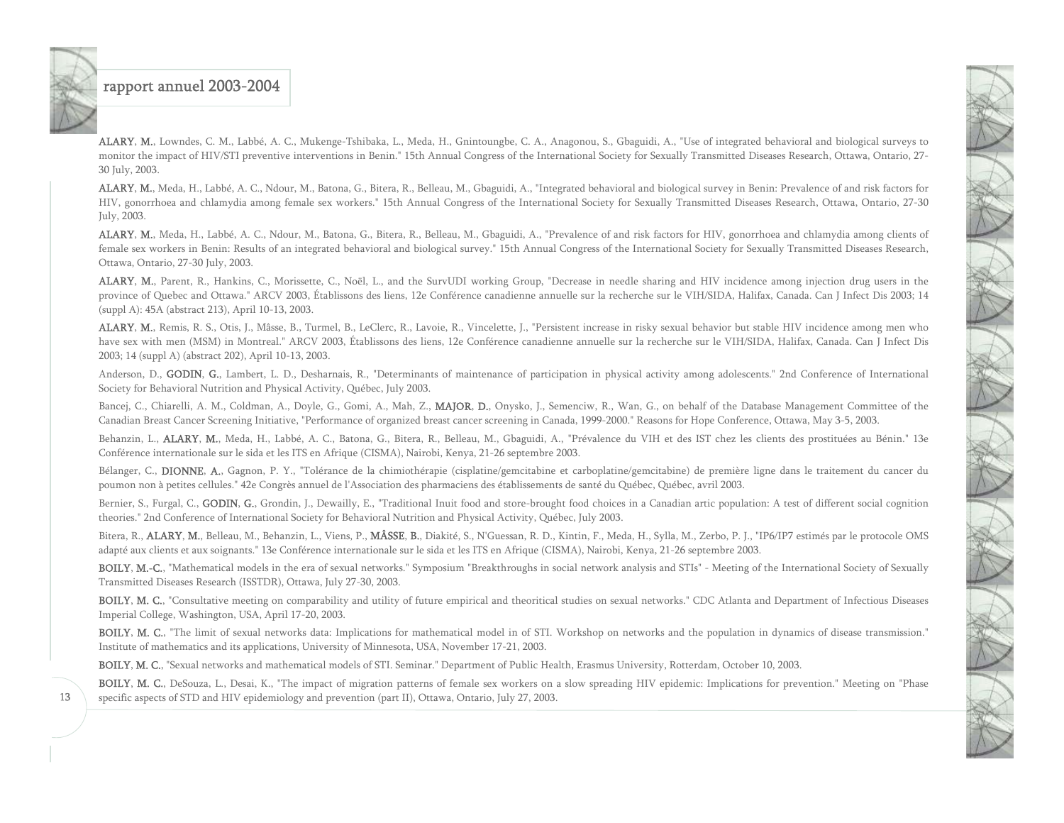

ALARY, M., Lowndes, C. M., Labbé, A. C., Mukenge-Tshibaka, L., Meda, H., Gnintoungbe, C. A., Anagonou, S., Gbaguidi, A., "Use of integrated behavioral and biological surveys to monitor the impact of HIV/STI preventive interventions in Benin." 15th Annual Congress of the International Society for Sexually Transmitted Diseases Research, Ottawa, Ontario, 27- 30 July, 2003.

ALARY, M., Meda, H., Labbé, A. C., Ndour, M., Batona, G., Bitera, R., Belleau, M., Gbaguidi, A., "Integrated behavioral and biological survey in Benin: Prevalence of and risk factors for HIV, gonorrhoea and chlamydia among female sex workers." 15th Annual Congress of the International Society for Sexually Transmitted Diseases Research, Ottawa, Ontario, 27-30 July, 2003.

ALARY, M., Meda, H., Labbé, A. C., Ndour, M., Batona, G., Bitera, R., Belleau, M., Gbaguidi, A., "Prevalence of and risk factors for HIV, gonorrhoea and chlamydia among clients of female sex workers in Benin: Results of an integrated behavioral and biological survey." 15th Annual Congress of the International Society for Sexually Transmitted Diseases Research, Ottawa, Ontario, 27-30 July, 2003.

ALARY, M., Parent, R., Hankins, C., Morissette, C., Noël, L., and the SurvUDI working Group, "Decrease in needle sharing and HIV incidence among injection drug users in the province of Quebec and Ottawa." ARCV 2003, Établissons des liens, 12e Conférence canadienne annuelle sur la recherche sur le VIH/SIDA, Halifax, Canada. Can J Infect Dis 2003; 14 (suppl A): 45A (abstract 213), April 10-13, 2003.

ALARY, M., Remis, R. S., Otis, J., Mâsse, B., Turmel, B., LeClerc, R., Lavoie, R., Vincelette, J., "Persistent increase in risky sexual behavior but stable HIV incidence among men who have sex with men (MSM) in Montreal." ARCV 2003, Établissons des liens, 12e Conférence canadienne annuelle sur la recherche sur le VIH/SIDA, Halifax, Canada. Can J Infect Dis 2003; 14 (suppl A) (abstract 202), April 10-13, 2003.

Anderson, D., GODIN, G., Lambert, L. D., Desharnais, R., "Determinants of maintenance of participation in physical activity among adolescents." 2nd Conference of International Society for Behavioral Nutrition and Physical Activity, Québec, July 2003.

Bancej, C., Chiarelli, A. M., Coldman, A., Doyle, G., Gomi, A., Mah, Z., MAJOR, D., Onysko, J., Semenciw, R., Wan, G., on behalf of the Database Management Committee of the Canadian Breast Cancer Screening Initiative, "Performance of organized breast cancer screening in Canada, 1999-2000." Reasons for Hope Conference, Ottawa, May 3-5, 2003.

Behanzin, L., ALARY, M., Meda, H., Labbé, A. C., Batona, G., Bitera, R., Belleau, M., Gbaguidi, A., "Prévalence du VIH et des IST chez les clients des prostituées au Bénin." 13e Conférence internationale sur le sida et les ITS en Afrique (CISMA), Nairobi, Kenya, 21-26 septembre 2003.

Bélanger, C., DIONNE, A., Gagnon, P. Y., "Tolérance de la chimiothérapie (cisplatine/gemcitabine et carboplatine/gemcitabine) de première ligne dans le traitement du cancer du poumon non à petites cellules." 42e Congrès annuel de l'Association des pharmaciens des établissements de santé du Québec, Québec, avril 2003.

Bernier, S., Furgal, C., GODIN, G., Grondin, J., Dewailly, E., "Traditional Inuit food and store-brought food choices in a Canadian artic population: A test of different social cognition theories." 2nd Conference of International Society for Behavioral Nutrition and Physical Activity, Québec, July 2003.

Bitera, R., ALARY, M., Belleau, M., Behanzin, L., Viens, P., MÂSSE, B., Diakité, S., N'Guessan, R. D., Kintin, F., Meda, H., Sylla, M., Zerbo, P. J., "IP6/IP7 estimés par le protocole OMS adapté aux clients et aux soignants." 13e Conférence internationale sur le sida et les ITS en Afrique (CISMA), Nairobi, Kenya, 21-26 septembre 2003.

BOILY, M.-C., "Mathematical models in the era of sexual networks." Symposium "Breakthroughs in social network analysis and STIs" - Meeting of the International Society of Sexually Transmitted Diseases Research (ISSTDR), Ottawa, July 27-30, 2003.

BOILY, M. C., "Consultative meeting on comparability and utility of future empirical and theoritical studies on sexual networks." CDC Atlanta and Department of Infectious Diseases Imperial College, Washington, USA, April 17-20, 2003.

BOILY, M. C., "The limit of sexual networks data: Implications for mathematical model in of STI. Workshop on networks and the population in dynamics of disease transmission." Institute of mathematics and its applications, University of Minnesota, USA, November 17-21, 2003.

BOILY, M. C., "Sexual networks and mathematical models of STI. Seminar." Department of Public Health, Erasmus University, Rotterdam, October 10, 2003.

BOILY, M. C., DeSouza, L., Desai, K., "The impact of migration patterns of female sex workers on a slow spreading HIV epidemic: Implications for prevention." Meeting on "Phase specific aspects of STD and HIV epidemiology and prevention (part II), Ottawa, Ontario, July 27, 2003.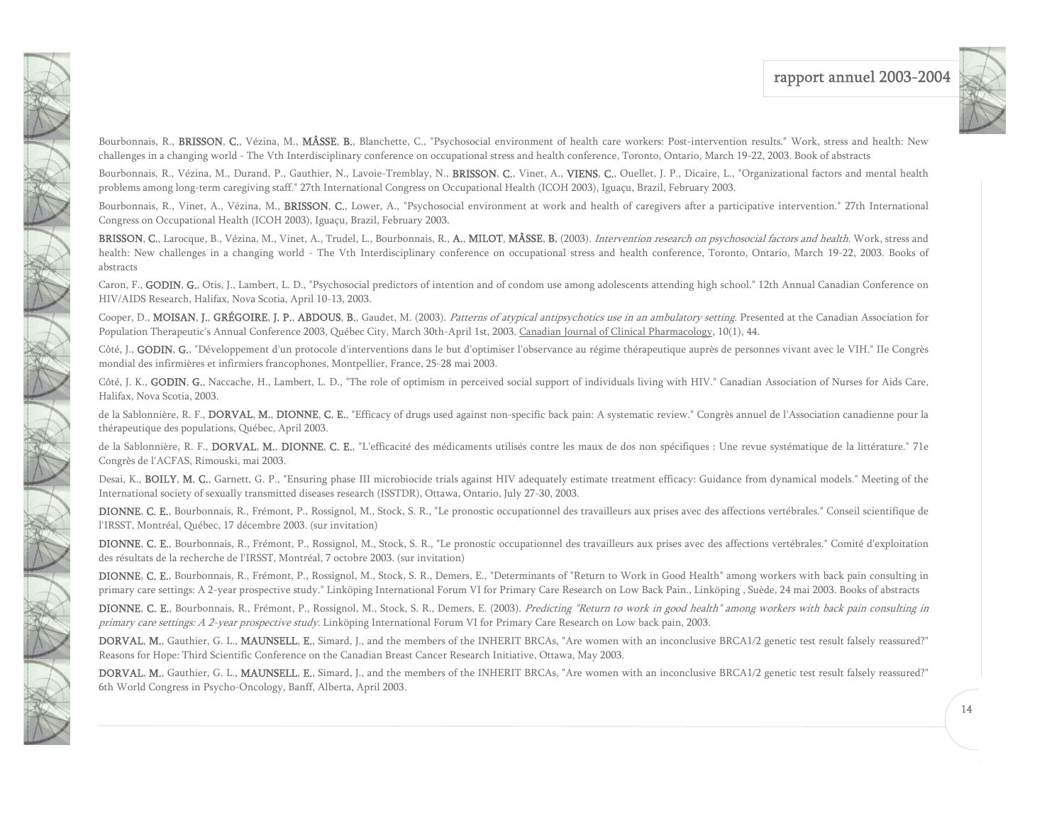

Bourbonnais, R., BRISSON, C., Vézina, M., MÂSSE, B., Blanchette, C., "Psychosocial environment of health care workers: Post-intervention results." Work, stress and health: New challenges in a changing world - The Vth Interdisciplinary conference on occupational stress and health conference, Toronto, Ontario, March 19-22, 2003. Book of abstracts

Bourbonnais, R., Vézina, M., Durand, P., Gauthier, N., Lavoie-Tremblay, N., BRISSON, C., Vinet, A., VIENS, C., Ouellet, J. P., Dicaire, L., "Organizational factors and mental health problems among long-term caregiving staff." 27th International Congress on Occupational Health (ICOH 2003), Iguaçu, Brazil, February 2003.

NAT

Bourbonnais, R., Vinet, A., Vézina, M., BRISSON, C., Lower, A., "Psychosocial environment at work and health of caregivers after a participative intervention." 27th International Congress on Occupational Health (ICOH 2003), Iguaçu, Brazil, February 2003.

BRISSON, C., Larocque, B., Vézina, M., Vinet, A., Trudel, L., Bourbonnais, R., A., MILOT, MÂSSE, B. (2003). Intervention research on psychosocial factors and health. Work, stress and health: New challenges in a changing world - The Vth Interdisciplinary conference on occupational stress and health conference, Toronto, Ontario, March 19-22, 2003. Books of abstracts

Caron, F., GODIN, G., Otis, J., Lambert, L. D., "Psychosocial predictors of intention and of condom use among adolescents attending high school." 12th Annual Canadian Conference on HIV/AIDS Research, Halifax, Nova Scotia, April 10-13, 2003.

Cooper, D., MOISAN, J., GRÉGOIRE, J. P., ABDOUS, B., Gaudet, M. (2003). Patterns of atypical antipsychotics use in an ambulatory setting. Presented at the Canadian Association for Population Therapeutic's Annual Conference 2003, Québec City, March 30th-April 1st, 2003. Canadian Journal of Clinical Pharmacology, 10(1), 44.

Côté, J., GODIN, G., "Développement d'un protocole d'interventions dans le but d'optimiser l'observance au régime thérapeutique auprès de personnes vivant avec le VIH." Ile Congrès mondial des infirmières et infirmiers francophones, Montpellier, France, 25-28 mai 2003.

Côté, J. K., GODIN, G., Naccache, H., Lambert, L. D., "The role of optimism in perceived social support of individuals living with HIV." Canadian Association of Nurses for Aids Care, Halifax, Nova Scotia, 2003.

de la Sablonnière, R. F., DORVAL, M., DIONNE, C. E., "Efficacy of drugs used against non-specific back pain: A systematic review." Congrès annuel de l'Association canadienne pour la thérapeutique des populations, Québec, April 2003.

de la Sablonnière, R. F., DORVAL, M., DIONNE, C. E., "L'efficacité des médicaments utilisés contre les maux de dos non spécifiques : Une revue systématique de la littérature." 71e Congrès de l'ACFAS, Rimouski, mai 2003.

Desai, K., BOILY, M. C., Garnett, G. P., "Ensuring phase III microbiocide trials against HIV adequately estimate treatment efficacy: Guidance from dynamical models." Meeting of the International society of sexually transmitted diseases research (ISSTDR), Ottawa, Ontario, July 27-30, 2003.

DIONNE, C. E., Bourbonnais, R., Frémont, P., Rossignol, M., Stock, S. R., "Le pronostic occupationnel des travailleurs aux prises avec des affections vertébrales." Conseil scientifique de l'IRSST, Montréal, Québec, 17 décembre 2003. (sur invitation)

DIONNE, C. E., Bourbonnais, R., Frémont, P., Rossignol, M., Stock, S. R., "Le pronostic occupationnel des travailleurs aux prises avec des affections vertébrales." Comité d'exploitation des résultats de la recherche de l'IRSST, Montréal, 7 octobre 2003. (sur invitation)

DIONNE, C. E., Bourbonnais, R., Frémont, P., Rossignol, M., Stock, S. R., Demers, E., "Determinants of "Return to Work in Good Health" among workers with back pain consulting in primary care settings: A 2-year prospective study." Linköping International Forum VI for Primary Care Research on Low Back Pain., Linköping , Suède, 24 mai 2003. Books of abstracts

DIONNE, C. E., Bourbonnais, R., Frémont, P., Rossignol, M., Stock, S. R., Demers, E. (2003). Predicting "Return to work in good health" among workers with back pain consulting in primary care settings: A 2-year prospective study. Linköping International Forum VI for Primary Care Research on Low back pain, 2003.

DORVAL, M., Gauthier, G. L., MAUNSELL, E., Simard, J., and the members of the INHERIT BRCAs, "Are women with an inconclusive BRCA1/2 genetic test result falsely reassured?" Reasons for Hope: Third Scientific Conference on the Canadian Breast Cancer Research Initiative, Ottawa, May 2003.

DORVAL, M., Gauthier, G. L., MAUNSELL, E., Simard, J., and the members of the INHERIT BRCAs, "Are women with an inconclusive BRCA1/2 genetic test result falsely reassured?" 6th World Congress in Psycho-Oncology, Banff, Alberta, April 2003.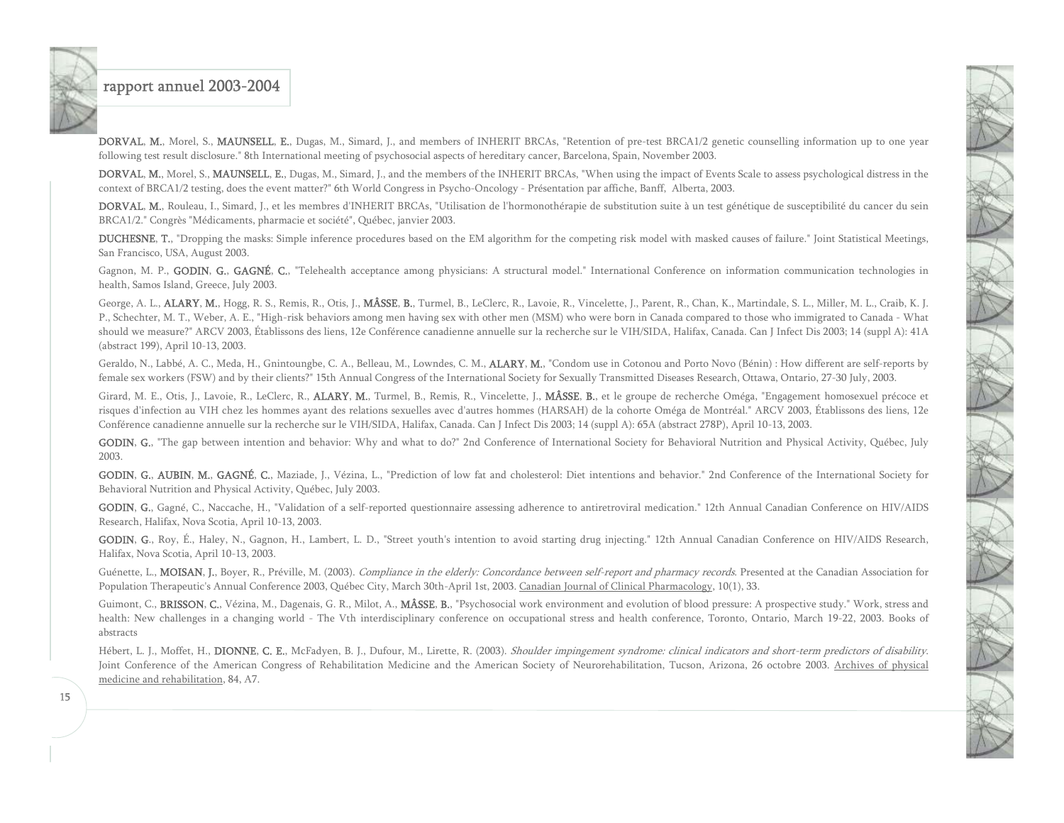

DORVAL, M., Morel, S., MAUNSELL, E., Dugas, M., Simard, J., and members of INHERIT BRCAs, "Retention of pre-test BRCA1/2 genetic counselling information up to one year following test result disclosure." 8th International meeting of psychosocial aspects of hereditary cancer, Barcelona, Spain, November 2003.

DORVAL, M., Morel, S., MAUNSELL, E., Dugas, M., Simard, J., and the members of the INHERIT BRCAs, "When using the impact of Events Scale to assess psychological distress in the context of BRCA1/2 testing, does the event matter?" 6th World Congress in Psycho-Oncology - Présentation par affiche, Banff, Alberta, 2003.

DORVAL, M., Rouleau, I., Simard, J., et les membres d'INHERIT BRCAs, "Utilisation de l'hormonothérapie de substitution suite à un test génétique de susceptibilité du cancer du sein BRCA1/2." Congrès "Médicaments, pharmacie et société", Québec, janvier 2003.

DUCHESNE, T., "Dropping the masks: Simple inference procedures based on the EM algorithm for the competing risk model with masked causes of failure." Joint Statistical Meetings, San Francisco, USA, August 2003.

Gagnon, M. P., GODIN, G., GAGNÉ, C., "Telehealth acceptance among physicians: A structural model." International Conference on information communication technologies in health, Samos Island, Greece, July 2003.

George, A. L., ALARY, M., Hogg, R. S., Remis, R., Otis, J., MÂSSE, B., Turmel, B., LeClerc, R., Lavoie, R., Vincelette, J., Parent, R., Chan, K., Martindale, S. L., Miller, M. L., Craib, K. J. P., Schechter, M. T., Weber, A. E., "High-risk behaviors among men having sex with other men (MSM) who were born in Canada compared to those who immigrated to Canada - What should we measure?" ARCV 2003, Établissons des liens, 12e Conférence canadienne annuelle sur la recherche sur le VIH/SIDA, Halifax, Canada. Can J Infect Dis 2003; 14 (suppl A): 41A (abstract 199), April 10-13, 2003.

Geraldo, N., Labbé, A. C., Meda, H., Gnintoungbe, C. A., Belleau, M., Lowndes, C. M., ALARY, M., "Condom use in Cotonou and Porto Novo (Bénin) : How different are self-reports by female sex workers (FSW) and by their clients?" 15th Annual Congress of the International Society for Sexually Transmitted Diseases Research, Ottawa, Ontario, 27-30 July, 2003.

Girard, M. E., Otis, J., Lavoie, R., LeClerc, R., ALARY, M., Turmel, B., Remis, R., Vincelette, J., MÂSSE, B., et le groupe de recherche Oméga, "Engagement homosexuel précoce et risques d'infection au VIH chez les hommes ayant des relations sexuelles avec d'autres hommes (HARSAH) de la cohorte Oméga de Montréal." ARCV 2003, Établissons des liens, 12e Conférence canadienne annuelle sur la recherche sur le VIH/SIDA, Halifax, Canada. Can J Infect Dis 2003; 14 (suppl A): 65A (abstract 278P), April 10-13, 2003.

GODIN, G., "The gap between intention and behavior: Why and what to do?" 2nd Conference of International Society for Behavioral Nutrition and Physical Activity, Québec, July 2003.

GODIN, G., AUBIN, M., GAGNÉ, C., Maziade, J., Vézina, L., "Prediction of low fat and cholesterol: Diet intentions and behavior." 2nd Conference of the International Society for Behavioral Nutrition and Physical Activity, Québec, July 2003.

GODIN, G., Gagné, C., Naccache, H., "Validation of a self-reported questionnaire assessing adherence to antiretroviral medication." 12th Annual Canadian Conference on HIV/AIDS Research, Halifax, Nova Scotia, April 10-13, 2003.

GODIN, G., Roy, É., Haley, N., Gagnon, H., Lambert, L. D., "Street youth's intention to avoid starting drug injecting." 12th Annual Canadian Conference on HIV/AIDS Research, Halifax, Nova Scotia, April 10-13, 2003.

Guénette, L., MOISAN, J., Boyer, R., Préville, M. (2003). Compliance in the elderly: Concordance between self-report and pharmacy records. Presented at the Canadian Association for Population Therapeutic's Annual Conference 2003, Québec City, March 30th-April 1st, 2003. Canadian Journal of Clinical Pharmacology, 10(1), 33.

Guimont, C., BRISSON, C., Vézina, M., Dagenais, G. R., Milot, A., MÂSSE, B., "Psychosocial work environment and evolution of blood pressure: A prospective study." Work, stress and health: New challenges in a changing world - The Vth interdisciplinary conference on occupational stress and health conference, Toronto, Ontario, March 19-22, 2003. Books of abstracts

Hébert, L. J., Moffet, H., DIONNE, C. E., McFadyen, B. J., Dufour, M., Lirette, R. (2003). Shoulder impingement syndrome: clinical indicators and short-term predictors of disability. Joint Conference of the American Congress of Rehabilitation Medicine and the American Society of Neurorehabilitation, Tucson, Arizona, 26 octobre 2003. Archives of physical medicine and rehabilitation, 84, A7.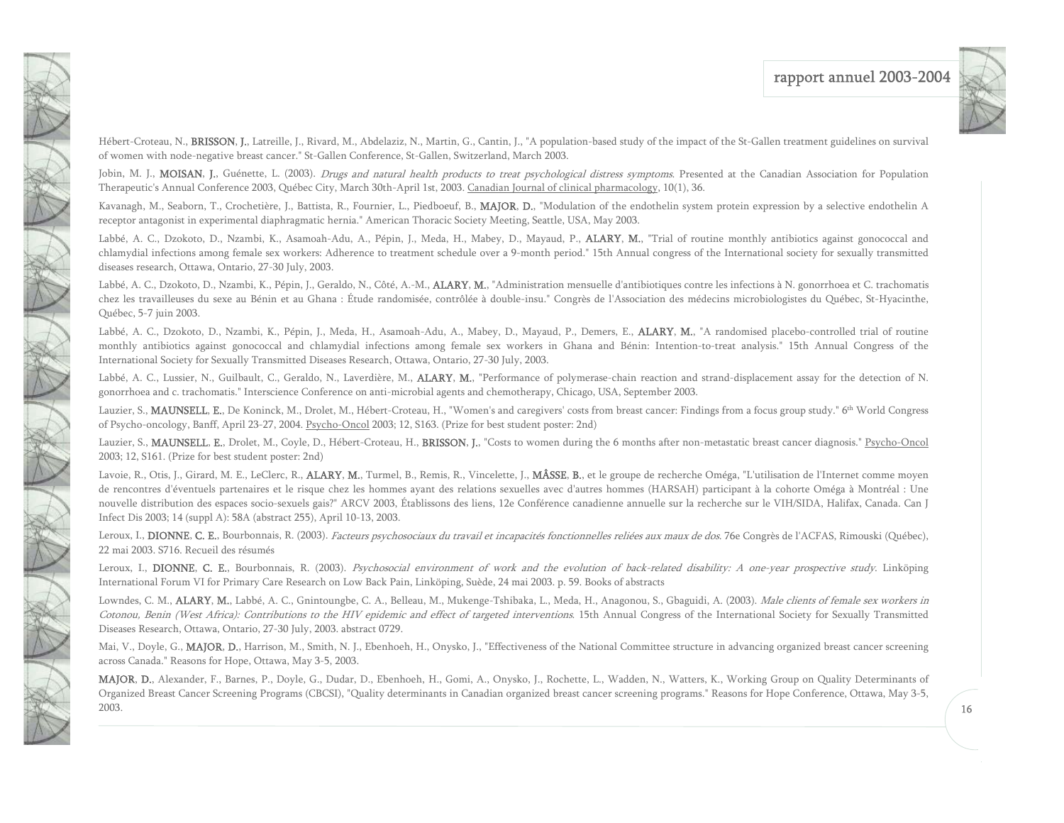

Hébert-Croteau, N., BRISSON, J., Latreille, J., Rivard, M., Abdelaziz, N., Martin, G., Cantin, J., "A population-based study of the impact of the St-Gallen treatment guidelines on survival of women with node-negative breast cancer." St-Gallen Conference, St-Gallen, Switzerland, March 2003.

Jobin, M. J., MOISAN, J., Guénette, L. (2003). Drugs and natural health products to treat psychological distress symptoms. Presented at the Canadian Association for Population Therapeutic's Annual Conference 2003, Québec City, March 30th-April 1st, 2003. Canadian Journal of clinical pharmacology, 10(1), 36.

Kavanagh, M., Seaborn, T., Crochetière, J., Battista, R., Fournier, L., Piedboeuf, B., MAJOR, D., "Modulation of the endothelin system protein expression by a selective endothelin A receptor antagonist in experimental diaphragmatic hernia." American Thoracic Society Meeting, Seattle, USA, May 2003.

Labbé, A. C., Dzokoto, D., Nzambi, K., Asamoah-Adu, A., Pépin, J., Meda, H., Mabey, D., Mayaud, P., ALARY, M., "Trial of routine monthly antibiotics against gonococcal and chlamydial infections among female sex workers: Adherence to treatment schedule over a 9-month period." 15th Annual congress of the International society for sexually transmitted diseases research, Ottawa, Ontario, 27-30 July, 2003.

Labbé, A. C., Dzokoto, D., Nzambi, K., Pépin, J., Geraldo, N., Côté, A.-M., ALARY, M., "Administration mensuelle d'antibiotiques contre les infections à N. gonorrhoea et C. trachomatis chez les travailleuses du sexe au Bénin et au Ghana : Étude randomisée, contrôlée à double-insu." Congrès de l'Association des médecins microbiologistes du Québec, St-Hyacinthe, Québec, 5-7 juin 2003.

Labbé, A. C., Dzokoto, D., Nzambi, K., Pépin, J., Meda, H., Asamoah-Adu, A., Mabey, D., Mayaud, P., Demers, E., ALARY, M., "A randomised placebo-controlled trial of routine monthly antibiotics against gonococcal and chlamydial infections among female sex workers in Ghana and Bénin: Intention-to-treat analysis." 15th Annual Congress of the International Society for Sexually Transmitted Diseases Research, Ottawa, Ontario, 27-30 July, 2003.

Labbé, A. C., Lussier, N., Guilbault, C., Geraldo, N., Laverdière, M., ALARY, M., "Performance of polymerase-chain reaction and strand-displacement assay for the detection of N. gonorrhoea and c. trachomatis." Interscience Conference on anti-microbial agents and chemotherapy, Chicago, USA, September 2003.

Lauzier, S., MAUNSELL, E., De Koninck, M., Drolet, M., Hébert-Croteau, H., "Women's and caregivers' costs from breast cancer: Findings from a focus group study." 6<sup>th</sup> World Congress of Psycho-oncology, Banff, April 23-27, 2004. Psycho-Oncol 2003; 12, S163. (Prize for best student poster: 2nd)

Lauzier, S., MAUNSELL, E., Drolet, M., Coyle, D., Hébert-Croteau, H., BRISSON, J., "Costs to women during the 6 months after non-metastatic breast cancer diagnosis." Psycho-Oncol 2003; 12, S161. (Prize for best student poster: 2nd)

Lavoie, R., Otis, J., Girard, M. E., LeClerc, R., ALARY, M., Turmel, B., Remis, R., Vincelette, J., MÂSSE, B., et le groupe de recherche Oméga, "L'utilisation de l'Internet comme moyen de rencontres d'éventuels partenaires et le risque chez les hommes ayant des relations sexuelles avec d'autres hommes (HARSAH) participant à la cohorte Oméga à Montréal : Une nouvelle distribution des espaces socio-sexuels gais?" ARCV 2003, Établissons des liens, 12e Conférence canadienne annuelle sur la recherche sur le VIH/SIDA, Halifax, Canada. Can J Infect Dis 2003; 14 (suppl A): 58A (abstract 255), April 10-13, 2003.

Leroux, I., DIONNE, C. E., Bourbonnais, R. (2003). Facteurs psychosociaux du travail et incapacités fonctionnelles reliées aux maux de dos. 76e Congrès de l'ACFAS, Rimouski (Québec), 22 mai 2003. S716. Recueil des résumés

Leroux, I., DIONNE, C. E., Bourbonnais, R. (2003). Psychosocial environment of work and the evolution of back-related disability: A one-year prospective study. Linköping International Forum VI for Primary Care Research on Low Back Pain, Linköping, Suède, 24 mai 2003. p. 59. Books of abstracts

Lowndes, C. M., ALARY, M., Labbé, A. C., Gnintoungbe, C. A., Belleau, M., Mukenge-Tshibaka, L., Meda, H., Anagonou, S., Gbaguidi, A. (2003). Male clients of female sex workers in Cotonou, Benin (West Africa): Contributions to the HIV epidemic and effect of targeted interventions. 15th Annual Congress of the International Society for Sexually Transmitted Diseases Research, Ottawa, Ontario, 27-30 July, 2003. abstract 0729.

Mai, V., Doyle, G., MAJOR, D., Harrison, M., Smith, N. J., Ebenhoeh, H., Onysko, J., "Effectiveness of the National Committee structure in advancing organized breast cancer screening across Canada." Reasons for Hope, Ottawa, May 3-5, 2003.

MAJOR, D., Alexander, F., Barnes, P., Doyle, G., Dudar, D., Ebenhoeh, H., Gomi, A., Onysko, J., Rochette, L., Wadden, N., Watters, K., Working Group on Quality Determinants of Organized Breast Cancer Screening Programs (CBCSI), "Quality determinants in Canadian organized breast cancer screening programs." Reasons for Hope Conference, Ottawa, May 3-5, 2003.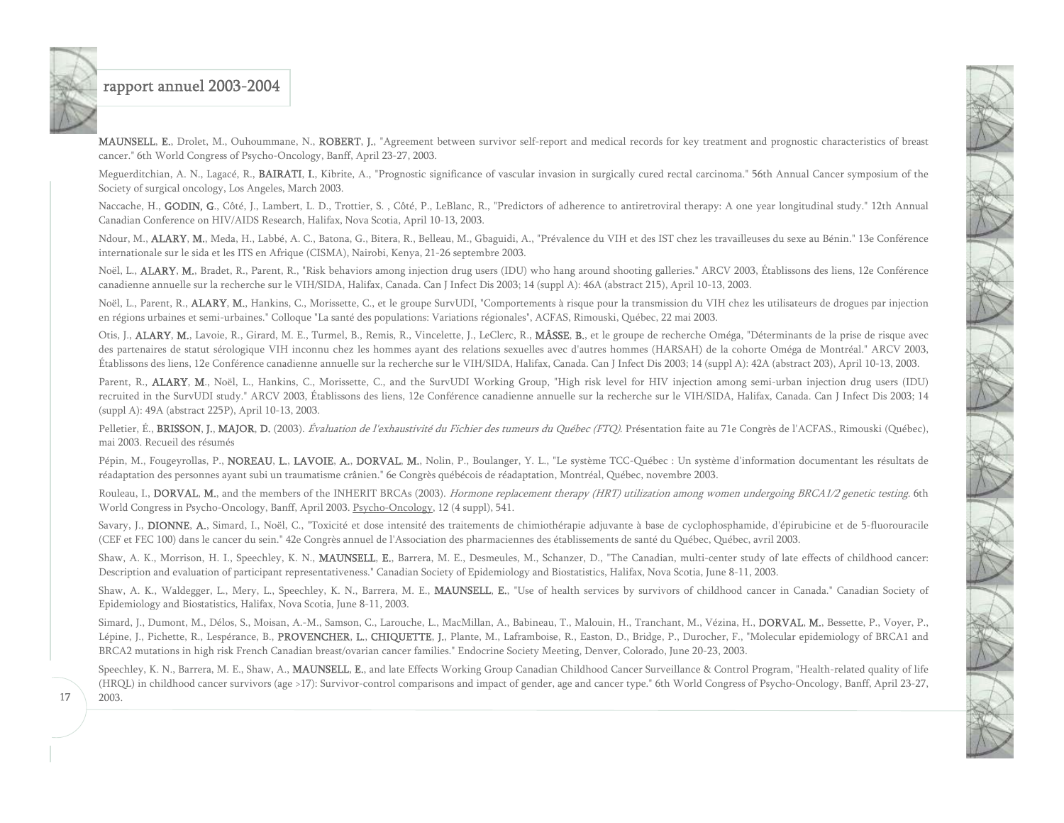17

MAUNSELL, E., Drolet, M., Ouhoummane, N., ROBERT, J., "Agreement between survivor self-report and medical records for key treatment and prognostic characteristics of breast cancer." 6th World Congress of Psycho-Oncology, Banff, April 23-27, 2003.

Meguerditchian, A. N., Lagacé, R., BAIRATI, I., Kibrite, A., "Prognostic significance of vascular invasion in surgically cured rectal carcinoma." 56th Annual Cancer symposium of the Society of surgical oncology, Los Angeles, March 2003.

Naccache, H., GODIN, G., Côté, J., Lambert, L. D., Trottier, S., Côté, P., LeBlanc, R., "Predictors of adherence to antiretroviral therapy: A one year longitudinal study." 12th Annual Canadian Conference on HIV/AIDS Research, Halifax, Nova Scotia, April 10-13, 2003.

Ndour, M., ALARY, M., Meda, H., Labbé, A. C., Batona, G., Bitera, R., Belleau, M., Gbaguidi, A., "Prévalence du VIH et des IST chez les travailleuses du sexe au Bénin." 13e Conférence internationale sur le sida et les ITS en Afrique (CISMA), Nairobi, Kenya, 21-26 septembre 2003.

Noël, L., ALARY, M., Bradet, R., Parent, R., "Risk behaviors among injection drug users (IDU) who hang around shooting galleries." ARCV 2003, Établissons des liens, 12e Conférence canadienne annuelle sur la recherche sur le VIH/SIDA, Halifax, Canada. Can J Infect Dis 2003; 14 (suppl A): 46A (abstract 215), April 10-13, 2003.

Noël, L., Parent, R., ALARY, M., Hankins, C., Morissette, C., et le groupe SurvUDI, "Comportements à risque pour la transmission du VIH chez les utilisateurs de drogues par injection en régions urbaines et semi-urbaines." Colloque "La santé des populations: Variations régionales", ACFAS, Rimouski, Québec, 22 mai 2003.

Otis, J., **ALARY, M.**, Lavoie, R., Girard, M. E., Turmel, B., Remis, R., Vincelette, J., LeClerc, R., **MÂSSE, B.**, et le groupe de recherche Oméga, "Déterminants de la prise de risque avec des partenaires de statut sérologique VIH inconnu chez les hommes ayant des relations sexuelles avec d'autres hommes (HARSAH) de la cohorte Oméga de Montréal." ARCV 2003, Établissons des liens, 12e Conférence canadienne annuelle sur la recherche sur le VIH/SIDA, Halifax, Canada. Can J Infect Dis 2003; 14 (suppl A): 42A (abstract 203), April 10-13, 2003.

Parent, R., ALARY, M., Noël, L., Hankins, C., Morissette, C., and the SurvUDI Working Group, "High risk level for HIV injection among semi-urban injection drug users (IDU) recruited in the SurvUDI study." ARCV 2003, Établissons des liens, 12e Conférence canadienne annuelle sur la recherche sur le VIH/SIDA, Halifax, Canada. Can J Infect Dis 2003; <sup>14</sup> (suppl A): 49A (abstract 225P), April 10-13, 2003.

Pelletier, É., BRISSON, J., MAJOR, D. (2003). Évaluation de l'exhaustivité du Fichier des tumeurs du Québec (FTQ). Présentation faite au 71e Congrès de l'ACFAS., Rimouski (Québec), mai 2003. Recueil des résumés

Pépin, M., Fougeyrollas, P., NOREAU, L., LAVOIE, A., DORVAL, M., Nolin, P., Boulanger, Y. L., "Le système TCC-Québec : Un système d'information documentant les résultats de réadaptation des personnes ayant subi un traumatisme crânien." 6e Congrès québécois de réadaptation, Montréal, Québec, novembre 2003.

Rouleau, I., DORVAL, M., and the members of the INHERIT BRCAs (2003). Hormone replacement therapy (HRT) utilization among women undergoing BRCA1/2 genetic testing. 6th World Congress in Psycho-Oncology, Banff, April 2003. Psycho-Oncology, 12 (4 suppl), 541.

Savary, J., DIONNE, A., Simard, I., Noël, C., "Toxicité et dose intensité des traitements de chimiothérapie adjuvante à base de cyclophosphamide, d'épirubicine et de 5-fluorouracile (CEF et FEC 100) dans le cancer du sein." 42e Congrès annuel de l'Association des pharmaciennes des établissements de santé du Québec, Québec, avril 2003.

Shaw, A. K., Morrison, H. I., Speechley, K. N., MAUNSELL, E., Barrera, M. E., Desmeules, M., Schanzer, D., "The Canadian, multi-center study of late effects of childhood cancer: Description and evaluation of participant representativeness." Canadian Society of Epidemiology and Biostatistics, Halifax, Nova Scotia, June 8-11, 2003.

Shaw, A. K., Waldegger, L., Mery, L., Speechley, K. N., Barrera, M. E., MAUNSELL, E., "Use of health services by survivors of childhood cancer in Canada." Canadian Society of Epidemiology and Biostatistics, Halifax, Nova Scotia, June 8-11, 2003.

Simard, J., Dumont, M., Délos, S., Moisan, A.-M., Samson, C., Larouche, L., MacMillan, A., Babineau, T., Malouin, H., Tranchant, M., Vézina, H., **DORVAL, M.**, Bessette, P., Voyer, P., Lépine, J., Pichette, R., Lespérance, B., PROVENCHER, L., CHIQUETTE, J., Plante, M., Laframboise, R., Easton, D., Bridge, P., Durocher, F., "Molecular epidemiology of BRCA1 and BRCA2 mutations in high risk French Canadian breast/ovarian cancer families." Endocrine Society Meeting, Denver, Colorado, June 20-23, 2003.

Speechley, K. N., Barrera, M. E., Shaw, A., MAUNSELL, E., and late Effects Working Group Canadian Childhood Cancer Surveillance & Control Program, "Health-related quality of life (HRQL) in childhood cancer survivors (age >17): Survivor-control comparisons and impact of gender, age and cancer type." 6th World Congress of Psycho-Oncology, Banff, April 23-27, 2003.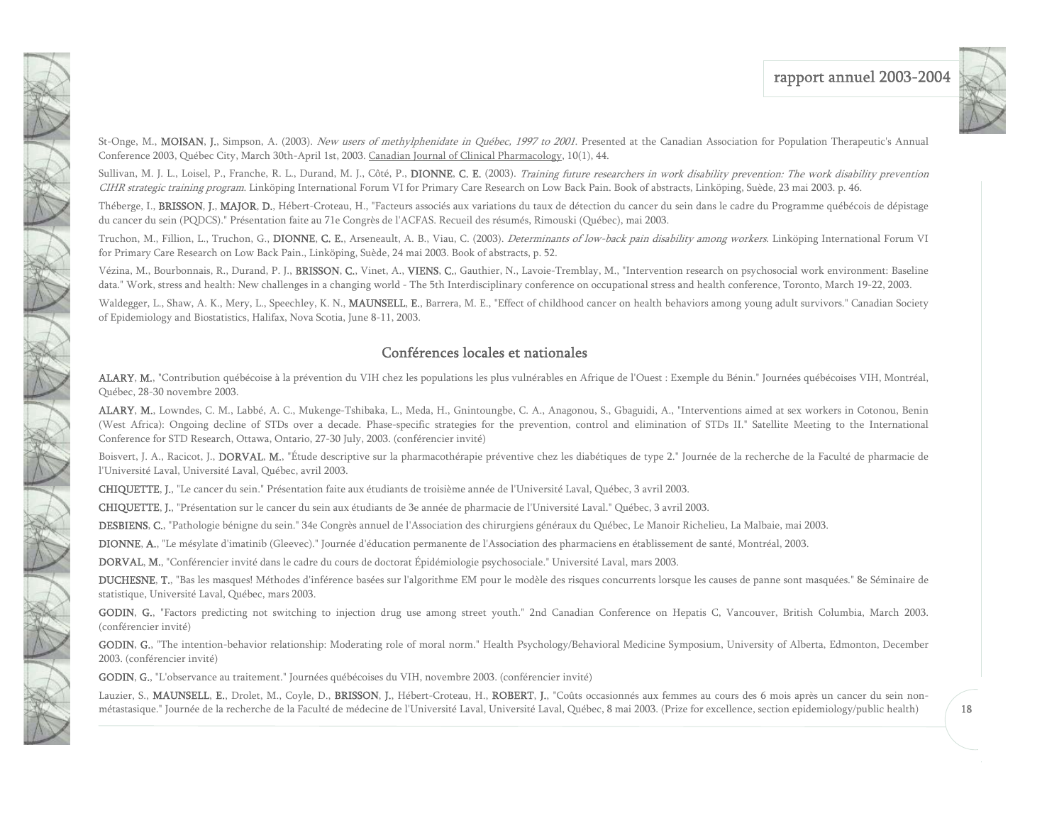

St-Onge, M., MOISAN, J., Simpson, A. (2003). New users of methylphenidate in Québec, 1997 to 2001. Presented at the Canadian Association for Population Therapeutic's Annual Conference 2003, Québec City, March 30th-April 1st, 2003. Canadian Journal of Clinical Pharmacology, 10(1), 44.

Sullivan, M. J. L., Loisel, P., Franche, R. L., Durand, M. J., Côté, P., DIONNE, C. E. (2003). Training future researchers in work disability prevention: The work disability prevention CIHR strategic training program. Linköping International Forum VI for Primary Care Research on Low Back Pain. Book of abstracts, Linköping, Suède, 23 mai 2003. p. 46.

Théberge, I., BRISSON, J., MAJOR, D., Hébert-Croteau, H., "Facteurs associés aux variations du taux de détection du cancer du sein dans le cadre du Programme québécois de dépistage du cancer du sein (PQDCS)." Présentation faite au 71e Congrès de l'ACFAS. Recueil des résumés, Rimouski (Québec), mai 2003.

Truchon, M., Fillion, L., Truchon, G., DIONNE, C. E., Arseneault, A. B., Viau, C. (2003). Determinants of low-back pain disability among workers. Linköping International Forum VI for Primary Care Research on Low Back Pain., Linköping, Suède, 24 mai 2003. Book of abstracts, p. 52.

Vézina, M., Bourbonnais, R., Durand, P. J., BRISSON, C., Vinet, A., VIENS, C., Gauthier, N., Lavoie-Tremblay, M., "Intervention research on psychosocial work environment: Baseline data." Work, stress and health: New challenges in a changing world - The 5th Interdisciplinary conference on occupational stress and health conference, Toronto, March 19-22, 2003.

Waldegger, L., Shaw, A. K., Mery, L., Speechley, K. N., MAUNSELL, E., Barrera, M. E., "Effect of childhood cancer on health behaviors among young adult survivors." Canadian Society of Epidemiology and Biostatistics, Halifax, Nova Scotia, June 8-11, 2003.

#### Conférences locales et nationales

ALARY, M., "Contribution québécoise à la prévention du VIH chez les populations les plus vulnérables en Afrique de l'Ouest : Exemple du Bénin." Journées québécoises VIH, Montréal, Québec, 28-30 novembre 2003.

ALARY, M., Lowndes, C. M., Labbé, A. C., Mukenge-Tshibaka, L., Meda, H., Gnintoungbe, C. A., Anagonou, S., Gbaguidi, A., "Interventions aimed at sex workers in Cotonou, Benin (West Africa): Ongoing decline of STDs over a decade. Phase-specific strategies for the prevention, control and elimination of STDs II." Satellite Meeting to the International Conference for STD Research, Ottawa, Ontario, 27-30 July, 2003. (conférencier invité)

Boisvert, J. A., Racicot, J., DORVAL, M., "Étude descriptive sur la pharmacothérapie préventive chez les diabétiques de type 2." Journée de la recherche de la Faculté de pharmacie de l'Université Laval, Université Laval, Québec, avril 2003.

CHIQUETTE, J., "Le cancer du sein." Présentation faite aux étudiants de troisième année de l'Université Laval, Québec, 3 avril 2003.

CHIQUETTE, J., "Présentation sur le cancer du sein aux étudiants de 3e année de pharmacie de l'Université Laval." Québec, 3 avril 2003.

DESBIENS, C., "Pathologie bénigne du sein." 34e Congrès annuel de l'Association des chirurgiens généraux du Québec, Le Manoir Richelieu, La Malbaie, mai 2003.

DIONNE, A., "Le mésylate d'imatinib (Gleevec)." Journée d'éducation permanente de l'Association des pharmaciens en établissement de santé, Montréal, 2003.

DORVAL, M., "Conférencier invité dans le cadre du cours de doctorat Épidémiologie psychosociale." Université Laval, mars 2003.

DUCHESNE, T., "Bas les masques! Méthodes d'inférence basées sur l'algorithme EM pour le modèle des risques concurrents lorsque les causes de panne sont masquées." 8e Séminaire de statistique, Université Laval, Québec, mars 2003.

GODIN, G., "Factors predicting not switching to injection drug use among street youth." 2nd Canadian Conference on Hepatis C, Vancouver, British Columbia, March 2003. (conférencier invité)

GODIN, G., "The intention-behavior relationship: Moderating role of moral norm." Health Psychology/Behavioral Medicine Symposium, University of Alberta, Edmonton, December 2003. (conférencier invité)

GODIN, G., "L'observance au traitement." Journées québécoises du VIH, novembre 2003. (conférencier invité)

1

Lauzier, S., MAUNSELL, E., Drolet, M., Coyle, D., BRISSON, J., Hébert-Croteau, H., ROBERT, J., "Coûts occasionnés aux femmes au cours des 6 mois après un cancer du sein nonmétastasique." Journée de la recherche de la Faculté de médecine de l'Université Laval, Université Laval, Québec, 8 mai 2003. (Prize for excellence, section epidemiology/public health)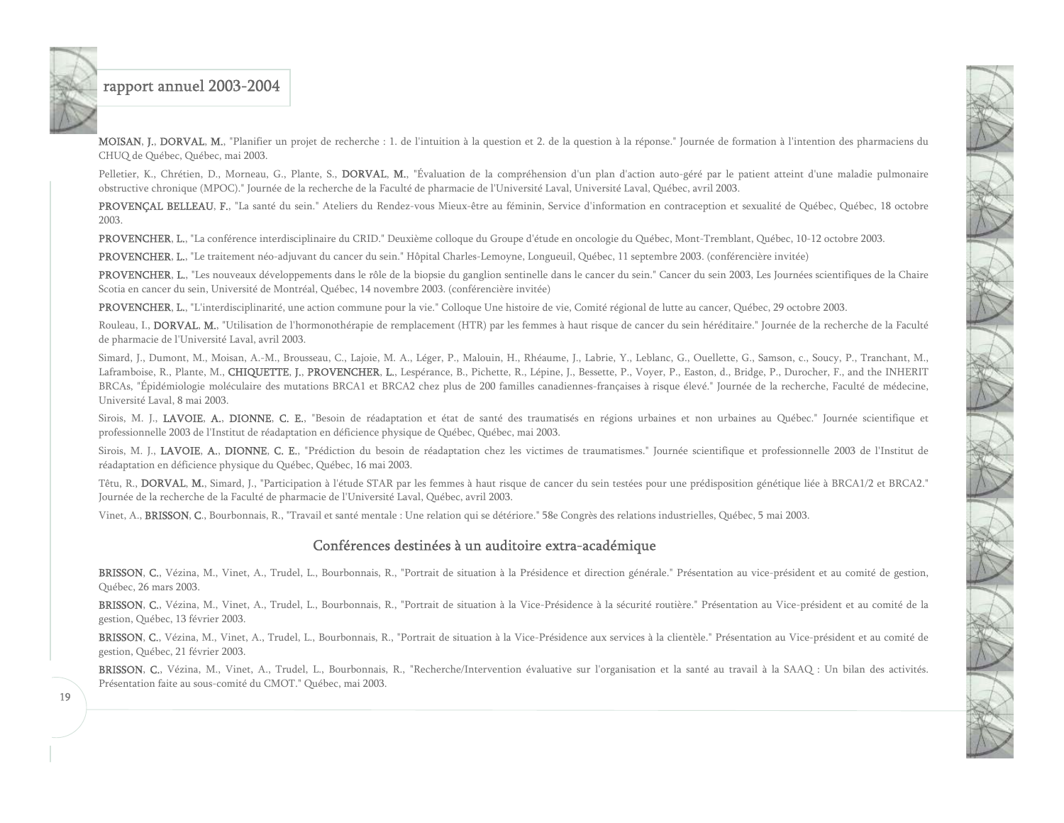MOISAN, J., DORVAL, M., "Planifier un projet de recherche : 1. de l'intuition à la question et 2. de la question à la réponse." Journée de formation à l'intention des pharmaciens du CHUQ de Québec, Québec, mai 2003.

Pelletier, K., Chrétien, D., Morneau, G., Plante, S., DORVAL, M., "Évaluation de la compréhension d'un plan d'action auto-géré par le patient atteint d'une maladie pulmonaire obstructive chronique (MPOC)." Journée de la recherche de la Faculté de pharmacie de l'Université Laval, Université Laval, Québec, avril 2003.

PROVENÇAL BELLEAU, F., "La santé du sein." Ateliers du Rendez-vous Mieux-être au féminin, Service d'information en contraception et sexualité de Québec, Québec, 18 octobre 2003.

PROVENCHER, L., "La conférence interdisciplinaire du CRID." Deuxième colloque du Groupe d'étude en oncologie du Québec, Mont-Tremblant, Québec, 10-12 octobre 2003.

PROVENCHER, L., "Le traitement néo-adjuvant du cancer du sein." Hôpital Charles-Lemoyne, Longueuil, Québec, 11 septembre 2003. (conférencière invitée)

PROVENCHER, L., "Les nouveaux développements dans le rôle de la biopsie du ganglion sentinelle dans le cancer du sein." Cancer du sein 2003, Les Journées scientifiques de la Chaire Scotia en cancer du sein, Université de Montréal, Québec, 14 novembre 2003. (conférencière invitée)

PROVENCHER, L., "L'interdisciplinarité, une action commune pour la vie." Colloque Une histoire de vie, Comité régional de lutte au cancer, Québec, 29 octobre 2003.

Rouleau, I., DORVAL, M., "Utilisation de l'hormonothérapie de remplacement (HTR) par les femmes à haut risque de cancer du sein héréditaire." Journée de la recherche de la Faculté de pharmacie de l'Université Laval, avril 2003.

Simard, J., Dumont, M., Moisan, A.-M., Brousseau, C., Lajoie, M. A., Léger, P., Malouin, H., Rhéaume, J., Labrie, Y., Leblanc, G., Ouellette, G., Samson, c., Soucy, P., Tranchant, M., Laframboise, R., Plante, M., CHIQUETTE, J., PROVENCHER, L., Lespérance, B., Pichette, R., Lépine, J., Bessette, P., Voyer, P., Easton, d., Bridge, P., Durocher, F., and the INHERIT BRCAs, "Épidémiologie moléculaire des mutations BRCA1 et BRCA2 chez plus de 200 familles canadiennes-françaises à risque élevé." Journée de la recherche, Faculté de médecine, Université Laval, 8 mai 2003.

Sirois, M. J., LAVOIE, A., DIONNE, C. E., "Besoin de réadaptation et état de santé des traumatisés en régions urbaines et non urbaines au Québec." Journée scientifique et professionnelle 2003 de l'Institut de réadaptation en déficience physique de Québec, Québec, mai 2003.

Sirois, M. J., LAVOIE, A., DIONNE, C. E., "Prédiction du besoin de réadaptation chez les victimes de traumatismes." Journée scientifique et professionnelle 2003 de l'Institut de réadaptation en déficience physique du Québec, Québec, 16 mai 2003.

Têtu, R., DORVAL, M., Simard, J., "Participation à l'étude STAR par les femmes à haut risque de cancer du sein testées pour une prédisposition génétique liée à BRCA1/2 et BRCA2." Journée de la recherche de la Faculté de pharmacie de l'Université Laval, Québec, avril 2003.

Vinet, A., BRISSON, C., Bourbonnais, R., "Travail et santé mentale : Une relation qui se détériore." 58e Congrès des relations industrielles, Québec, 5 mai 2003.

#### Conférences destinées à un auditoire extra-académique

BRISSON, C., Vézina, M., Vinet, A., Trudel, L., Bourbonnais, R., "Portrait de situation à la Présidence et direction générale." Présentation au vice-président et au comité de gestion, Québec, 26 mars 2003.

BRISSON, C., Vézina, M., Vinet, A., Trudel, L., Bourbonnais, R., "Portrait de situation à la Vice-Présidence à la sécurité routière." Présentation au Vice-président et au comité de la gestion, Québec, 13 février 2003.

BRISSON, C., Vézina, M., Vinet, A., Trudel, L., Bourbonnais, R., "Portrait de situation à la Vice-Présidence aux services à la clientèle." Présentation au Vice-président et au comité de gestion, Québec, 21 février 2003.

BRISSON, C., Vézina, M., Vinet, A., Trudel, L., Bourbonnais, R., "Recherche/Intervention évaluative sur l'organisation et la santé au travail à la SAAQ : Un bilan des activités. Présentation faite au sous-comité du CMOT." Québec, mai 2003.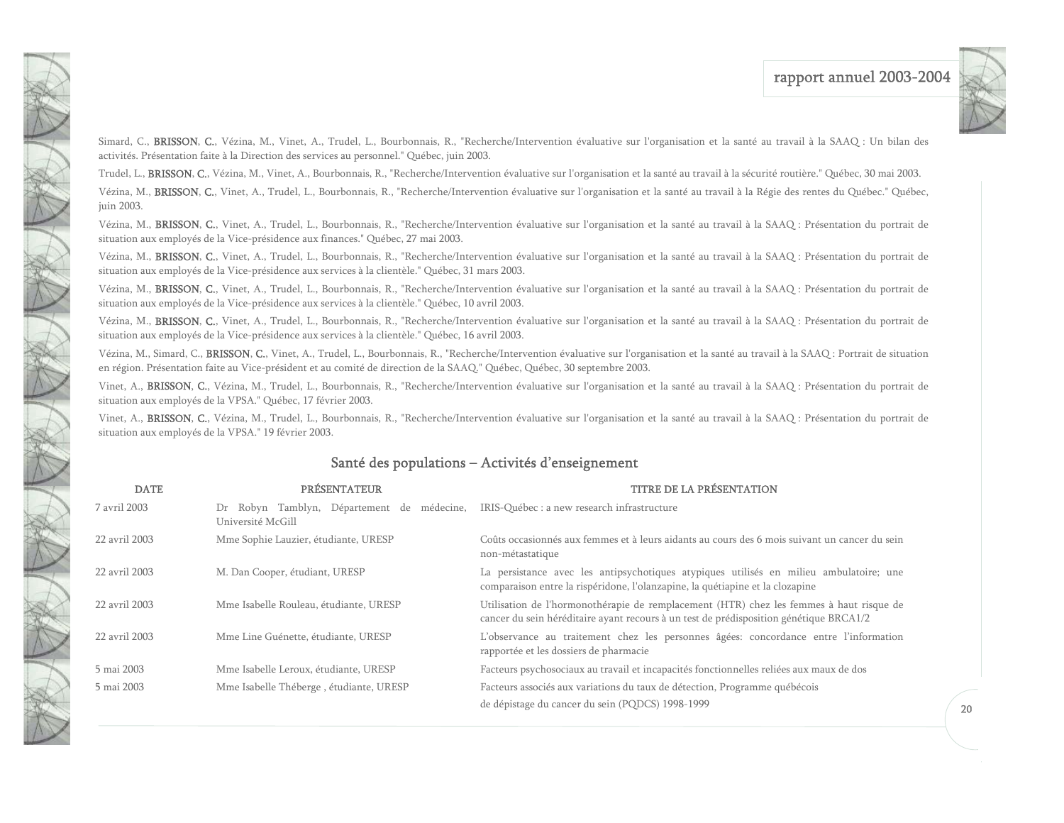

Simard, C., BRISSON, C., Vézina, M., Vinet, A., Trudel, L., Bourbonnais, R., "Recherche/Intervention évaluative sur l'organisation et la santé au travail à la SAAQ : Un bilan des activités. Présentation faite à la Direction des services au personnel." Québec, juin 2003.

Trudel, L., BRISSON, C., Vézina, M., Vinet, A., Bourbonnais, R., "Recherche/Intervention évaluative sur l'organisation et la santé au travail à la sécurité routière." Québec, 30 mai 2003.

<span id="page-20-0"></span>1

Vézina, M., BRISSON, C., Vinet, A., Trudel, L., Bourbonnais, R., "Recherche/Intervention évaluative sur l'organisation et la santé au travail à la Régie des rentes du Québec." Québec, juin 2003.

Vézina, M., BRISSON, C., Vinet, A., Trudel, L., Bourbonnais, R., "Recherche/Intervention évaluative sur l'organisation et la santé au travail à la SAAQ : Présentation du portrait de situation aux employés de la Vice-présidence aux finances." Québec, 27 mai 2003.

Vézina, M., BRISSON, C., Vinet, A., Trudel, L., Bourbonnais, R., "Recherche/Intervention évaluative sur l'organisation et la santé au travail à la SAAQ : Présentation du portrait de situation aux employés de la Vice-présidence aux services à la clientèle." Québec, 31 mars 2003.

Vézina, M., BRISSON, C., Vinet, A., Trudel, L., Bourbonnais, R., "Recherche/Intervention évaluative sur l'organisation et la santé au travail à la SAAQ : Présentation du portrait de situation aux employés de la Vice-présidence aux services à la clientèle." Québec, 10 avril 2003.

Vézina, M., BRISSON, C., Vinet, A., Trudel, L., Bourbonnais, R., "Recherche/Intervention évaluative sur l'organisation et la santé au travail à la SAAQ : Présentation du portrait de situation aux employés de la Vice-présidence aux services à la clientèle." Québec, 16 avril 2003.

Vézina, M., Simard, C., BRISSON, C., Vinet, A., Trudel, L., Bourbonnais, R., "Recherche/Intervention évaluative sur l'organisation et la santé au travail à la SAAQ : Portrait de situation en région. Présentation faite au Vice-président et au comité de direction de la SAAQ." Québec, Québec, 30 septembre 2003.

Vinet, A., BRISSON, C., Vézina, M., Trudel, L., Bourbonnais, R., "Recherche/Intervention évaluative sur l'organisation et la santé au travail à la SAAQ : Présentation du portrait de situation aux employés de la VPSA." Québec, 17 février 2003.

Vinet, A., BRISSON, C., Vézina, M., Trudel, L., Bourbonnais, R., "Recherche/Intervention évaluative sur l'organisation et la santé au travail à la SAAQ : Présentation du portrait de situation aux employés de la VPSA." 19 février 2003.

#### Santé des populations – Activités d'enseignement

| <b>DATE</b>   | <b>PRÉSENTATEUR</b>                                                                                         | TITRE DE LA PRÉSENTATION                                                                                                                                                          |
|---------------|-------------------------------------------------------------------------------------------------------------|-----------------------------------------------------------------------------------------------------------------------------------------------------------------------------------|
| 7 avril 2003  | Dr Robyn Tamblyn, Département de médecine, IRIS-Québec : a new research infrastructure<br>Université McGill |                                                                                                                                                                                   |
| 22 avril 2003 | Mme Sophie Lauzier, étudiante, URESP                                                                        | Coûts occasionnés aux femmes et à leurs aidants au cours des 6 mois suivant un cancer du sein<br>non-métastatique                                                                 |
| 22 avril 2003 | M. Dan Cooper, étudiant, URESP                                                                              | La persistance avec les antipsychotiques atypiques utilisés en milieu ambulatoire; une<br>comparaison entre la rispéridone, l'olanzapine, la quétiapine et la clozapine           |
| 22 avril 2003 | Mme Isabelle Rouleau, étudiante, URESP                                                                      | Utilisation de l'hormonothérapie de remplacement (HTR) chez les femmes à haut risque de<br>cancer du sein héréditaire ayant recours à un test de prédisposition génétique BRCA1/2 |
| 22 avril 2003 | Mme Line Guénette, étudiante, URESP                                                                         | L'observance au traitement chez les personnes âgées: concordance entre l'information<br>rapportée et les dossiers de pharmacie                                                    |
| 5 mai 2003    | Mme Isabelle Leroux, étudiante, URESP                                                                       | Facteurs psychosociaux au travail et incapacités fonctionnelles reliées aux maux de dos                                                                                           |
| 5 mai 2003    | Mme Isabelle Théberge, étudiante, URESP                                                                     | Facteurs associés aux variations du taux de détection, Programme québécois<br>de dépistage du cancer du sein (PQDCS) 1998-1999                                                    |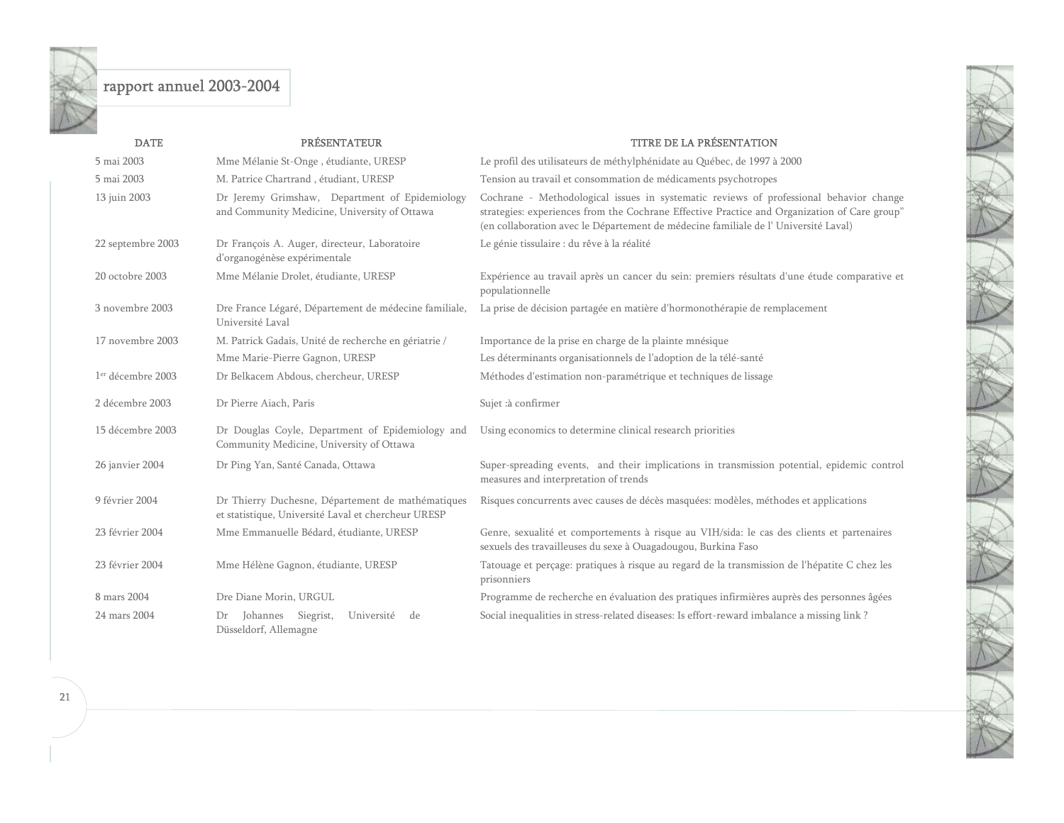

| <b>DATE</b>                   | <b>PRÉSENTATEUR</b>                                                                                      | <b>TITRE DE LA PRÉSENTATION</b>                                                                                                                                                                                                                                              |
|-------------------------------|----------------------------------------------------------------------------------------------------------|------------------------------------------------------------------------------------------------------------------------------------------------------------------------------------------------------------------------------------------------------------------------------|
| 5 mai 2003                    | Mme Mélanie St-Onge, étudiante, URESP                                                                    | Le profil des utilisateurs de méthylphénidate au Québec, de 1997 à 2000                                                                                                                                                                                                      |
| 5 mai 2003                    | M. Patrice Chartrand, étudiant, URESP                                                                    | Tension au travail et consommation de médicaments psychotropes                                                                                                                                                                                                               |
| 13 juin 2003                  | Dr Jeremy Grimshaw, Department of Epidemiology<br>and Community Medicine, University of Ottawa           | Cochrane - Methodological issues in systematic reviews of professional behavior change<br>strategies: experiences from the Cochrane Effective Practice and Organization of Care group"<br>(en collaboration avec le Département de médecine familiale de l'Université Laval) |
| 22 septembre 2003             | Dr François A. Auger, directeur, Laboratoire<br>d'organogénèse expérimentale                             | Le génie tissulaire : du rêve à la réalité                                                                                                                                                                                                                                   |
| 20 octobre 2003               | Mme Mélanie Drolet, étudiante, URESP                                                                     | Expérience au travail après un cancer du sein: premiers résultats d'une étude comparative et<br>populationnelle                                                                                                                                                              |
| 3 novembre 2003               | Dre France Légaré, Département de médecine familiale,<br>Université Laval                                | La prise de décision partagée en matière d'hormonothérapie de remplacement                                                                                                                                                                                                   |
| 17 novembre 2003              | M. Patrick Gadais, Unité de recherche en gériatrie /                                                     | Importance de la prise en charge de la plainte mnésique                                                                                                                                                                                                                      |
|                               | Mme Marie-Pierre Gagnon, URESP                                                                           | Les déterminants organisationnels de l'adoption de la télé-santé                                                                                                                                                                                                             |
| 1 <sup>er</sup> décembre 2003 | Dr Belkacem Abdous, chercheur, URESP                                                                     | Méthodes d'estimation non-paramétrique et techniques de lissage                                                                                                                                                                                                              |
| 2 décembre 2003               | Dr Pierre Aiach, Paris                                                                                   | Sujet :à confirmer                                                                                                                                                                                                                                                           |
| 15 décembre 2003              | Dr Douglas Coyle, Department of Epidemiology and<br>Community Medicine, University of Ottawa             | Using economics to determine clinical research priorities                                                                                                                                                                                                                    |
| 26 janvier 2004               | Dr Ping Yan, Santé Canada, Ottawa                                                                        | Super-spreading events, and their implications in transmission potential, epidemic control<br>measures and interpretation of trends                                                                                                                                          |
| 9 février 2004                | Dr Thierry Duchesne, Département de mathématiques<br>et statistique, Université Laval et chercheur URESP | Risques concurrents avec causes de décès masquées: modèles, méthodes et applications                                                                                                                                                                                         |
| 23 février 2004               | Mme Emmanuelle Bédard, étudiante, URESP                                                                  | Genre, sexualité et comportements à risque au VIH/sida: le cas des clients et partenaires<br>sexuels des travailleuses du sexe à Ouagadougou, Burkina Faso                                                                                                                   |
| 23 février 2004               | Mme Hélène Gagnon, étudiante, URESP                                                                      | Tatouage et perçage: pratiques à risque au regard de la transmission de l'hépatite C chez les<br>prisonniers                                                                                                                                                                 |
| 8 mars 2004                   | Dre Diane Morin, URGUL                                                                                   | Programme de recherche en évaluation des pratiques infirmières auprès des personnes âgées                                                                                                                                                                                    |
| 24 mars 2004                  | Johannes Siegrist,<br>Université<br>de<br>Dr<br>Düsseldorf, Allemagne                                    | Social inequalities in stress-related diseases: Is effort-reward imbalance a missing link?                                                                                                                                                                                   |

#### 21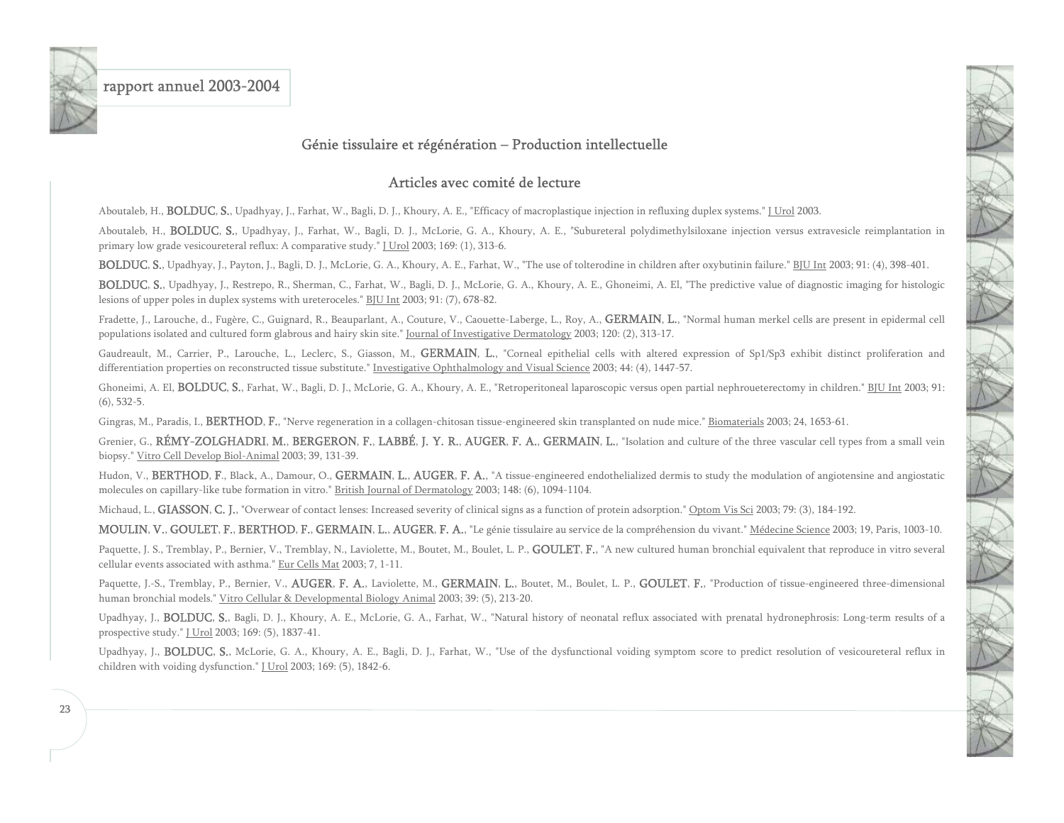<span id="page-23-0"></span>

#### Génie tissulaire et régénération – Production intellectuelle

#### Articles avec comité de lecture

Aboutaleb, H., **BOLDUC, S.**, Upadhyay, J., Farhat, W., Bagli, D. J., Khoury, A. E., "Efficacy of macroplastique injection in refluxing duplex systems." J Urol 2003.

Aboutaleb, H., **BOLDUC, S.**, Upadhyay, J., Farhat, W., Bagli, D. J., McLorie, G. A., Khoury, A. E., "Subureteral polydimethylsiloxane injection versus extravesicle reimplantation in primary low grade vesicoureteral reflux: A comparative study." J Urol 2003; 169: (1), 313-6.

BOLDUC, S., Upadhyay, J., Payton, J., Bagli, D. J., McLorie, G. A., Khoury, A. E., Farhat, W., "The use of tolterodine in children after oxybutinin failure." BJU Int 2003; 91: (4), 398-401.

BOLDUC, S., Upadhyay, J., Restrepo, R., Sherman, C., Farhat, W., Bagli, D. J., McLorie, G. A., Khoury, A. E., Ghoneimi, A. El, "The predictive value of diagnostic imaging for histologic lesions of upper poles in duplex systems with ureteroceles." BJU Int 2003; 91: (7), 678-82.

Fradette, J., Larouche, d., Fugère, C., Guignard, R., Beauparlant, A., Couture, V., Caouette-Laberge, L., Roy, A., GERMAIN, L., "Normal human merkel cells are present in epidermal cell populations isolated and cultured form glabrous and hairy skin site." Journal of Investigative Dermatology 2003; 120: (2), 313-17.

Gaudreault, M., Carrier, P., Larouche, L., Leclerc, S., Giasson, M., GERMAIN, L., "Corneal epithelial cells with altered expression of Sp1/Sp3 exhibit distinct proliferation and differentiation properties on reconstructed tissue substitute." Investigative Ophthalmology and Visual Science 2003; 44: (4), 1447-57.

Ghoneimi, A. El, **BOLDUC, S.**, Farhat, W., Bagli, D. J., McLorie, G. A., Khoury, A. E., "Retroperitoneal laparoscopic versus open partial nephroueterectomy in children." BJU Int 2003; 91: (6), 532-5.

Gingras, M., Paradis, I., BERTHOD, F., "Nerve regeneration in a collagen-chitosan tissue-engineered skin transplanted on nude mice." Biomaterials 2003; 24, 1653-61.

Grenier, G., RÉMY-ZOLGHADRI, M., BERGERON, F., LABBÉ, J. Y. R., AUGER, F. A., GERMAIN, L., "Isolation and culture of the three vascular cell types from a small vein biopsy." Vitro Cell Develop Biol-Animal 2003; 39, 131-39.

Hudon, V., BERTHOD, F., Black, A., Damour, O., GERMAIN, L., AUGER, F. A., "A tissue-engineered endothelialized dermis to study the modulation of angiotensine and angiostatic molecules on capillary-like tube formation in vitro." British Journal of Dermatology 2003; 148: (6), 1094-1104.

Michaud, L., GIASSON, C. J., "Overwear of contact lenses: Increased severity of clinical signs as a function of protein adsorption." Optom Vis Sci 2003; 79: (3), 184-192.

MOULIN, V., GOULET, F., BERTHOD, F., GERMAIN, L., AUGER, F. A., "Le génie tissulaire au service de la compréhension du vivant." Médecine Science 2003; 19, Paris, 1003-10.

Paquette, J. S., Tremblay, P., Bernier, V., Tremblay, N., Laviolette, M., Boutet, M., Boulet, L. P., **GOULET, F.**, "A new cultured human bronchial equivalent that reproduce in vitro several cellular events associated with asthma." Eur Cells Mat 2003; 7, 1-11.

Paquette, J.-S., Tremblay, P., Bernier, V., AUGER, F. A., Laviolette, M., GERMAIN, L., Boutet, M., Boulet, L. P., GOULET, F., "Production of tissue-engineered three-dimensional human bronchial models." Vitro Cellular & Developmental Biology Animal 2003; 39: (5), 213-20.

Upadhyay, J., BOLDUC, S., Bagli, D. J., Khoury, A. E., McLorie, G. A., Farhat, W., "Natural history of neonatal reflux associated with prenatal hydronephrosis: Long-term results of a prospective study." **J** Urol 2003; 169: (5), 1837-41.

Upadhyay, J., BOLDUC, S., McLorie, G. A., Khoury, A. E., Bagli, D. J., Farhat, W., "Use of the dysfunctional voiding symptom score to predict resolution of vesicoureteral reflux in children with voiding dysfunction." [Urol 2003; 169: (5), 1842-6.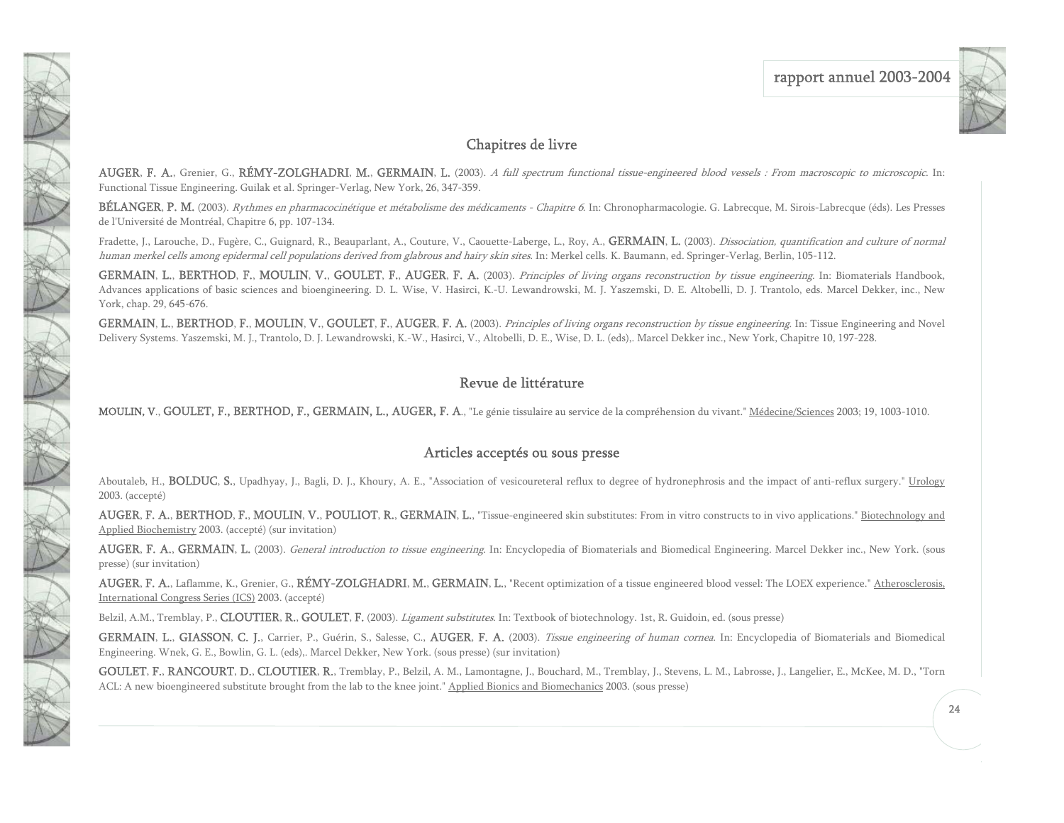

### Chapitres de livre

AUGER, F. A., Grenier, G., RÉMY-ZOLGHADRI, M., GERMAIN, L. (2003). A full spectrum functional tissue-engineered blood vessels : From macroscopic to microscopic. In: Functional Tissue Engineering. Guilak et al. Springer-Verlag, New York, 26, 347-359.

BÉLANGER, P. M. (2003). *Rythmes en pharmacocinétique et métabolisme des médicaments - Chapitre 6*. In: Chronopharmacologie. G. Labrecque, M. Sirois-Labrecque (éds). Les Presses de l'Université de Montréal, Chapitre 6, pp. 107-134.

Fradette, J., Larouche, D., Fugère, C., Guignard, R., Beauparlant, A., Couture, V., Caouette-Laberge, L., Roy, A., GERMAIN, L. (2003). Dissociation, quantification and culture of normal human merkel cells among epidermal cell populations derived from glabrous and hairy skin sites. In: Merkel cells. K. Baumann, ed. Springer-Verlag, Berlin, 105-112.

GERMAIN, L., BERTHOD, F., MOULIN, V., GOULET, F., AUGER, F. A. (2003). Principles of living organs reconstruction by tissue engineering. In: Biomaterials Handbook, Advances applications of basic sciences and bioengineering. D. L. Wise, V. Hasirci, K.-U. Lewandrowski, M. J. Yaszemski, D. E. Altobelli, D. J. Trantolo, eds. Marcel Dekker, inc., New York, chap. 29, 645-676.

GERMAIN, L., BERTHOD, F., MOULIN, V., GOULET, F., AUGER, F. A. (2003). Principles of living organs reconstruction by tissue engineering. In: Tissue Engineering and Novel Delivery Systems. Yaszemski, M. J., Trantolo, D. J. Lewandrowski, K.-W., Hasirci, V., Altobelli, D. E., Wise, D. L. (eds),. Marcel Dekker inc., New York, Chapitre 10, 197-228.

### Revue de littérature

MOULIN, V., GOULET, F., BERTHOD, F., GERMAIN, L., AUGER, F. A., "Le génie tissulaire au service de la compréhension du vivant." Médecine/Sciences 2003; 19, 1003-1010.

### Articles acceptés ou sous presse

Aboutaleb, H., **BOLDUC, S.**, Upadhyay, J., Bagli, D. J., Khoury, A. E., "Association of vesicoureteral reflux to degree of hydronephrosis and the impact of anti-reflux surgery." Urology 2003. (accepté)

AUGER, F. A., BERTHOD, F., MOULIN, V., POULIOT, R., GERMAIN, L., "Tissue-engineered skin substitutes: From in vitro constructs to in vivo applications." Biotechnology and Applied Biochemistry 2003. (accepté) (sur invitation)

AUGER, F. A., GERMAIN, L. (2003). General introduction to tissue engineering. In: Encyclopedia of Biomaterials and Biomedical Engineering. Marcel Dekker inc., New York. (sous presse) (sur invitation)

AUGER, F. A., Laflamme, K., Grenier, G., RÉMY-ZOLGHADRI, M., GERMAIN, L., "Recent optimization of a tissue engineered blood vessel: The LOEX experience." Atherosclerosis, International Congress Series (ICS) 2003. (accepté)

Belzil, A.M., Tremblay, P., CLOUTIER, R., GOULET, F. (2003). *Ligament substitutes*. In: Textbook of biotechnology. 1st, R. Guidoin, ed. (sous presse)

GERMAIN, L., GIASSON, C. J., Carrier, P., Guérin, S., Salesse, C., AUGER, F. A. (2003). Tissue engineering of human cornea. In: Encyclopedia of Biomaterials and Biomedical Engineering. Wnek, G. E., Bowlin, G. L. (eds),. Marcel Dekker, New York. (sous presse) (sur invitation)

GOULET, F., RANCOURT, D., CLOUTIER, R., Tremblay, P., Belzil, A. M., Lamontagne, J., Bouchard, M., Tremblay, J., Stevens, L. M., Labrosse, J., Langelier, E., McKee, M. D., "Torn ACL: A new bioengineered substitute brought from the lab to the knee joint." Applied Bionics and Biomechanics 2003. (sous presse)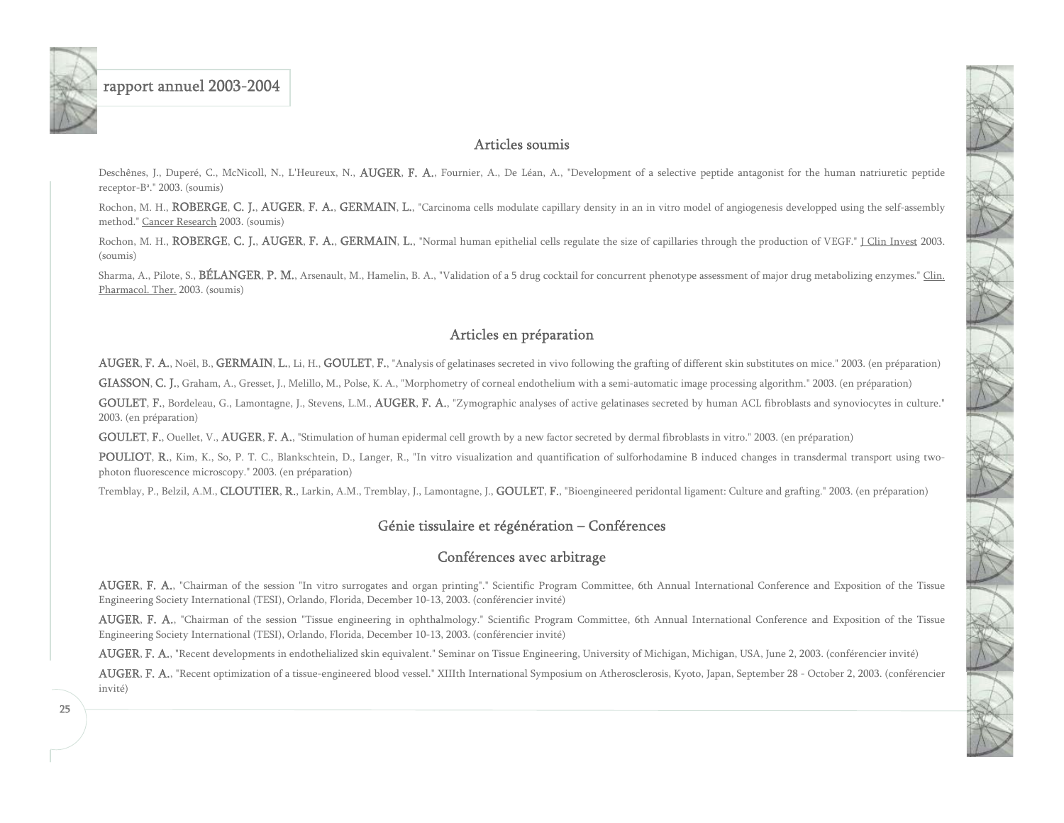<span id="page-25-0"></span>

#### Articles soumis

Deschênes, J., Duperé, C., McNicoll, N., L'Heureux, N., **AUGER, F. A.**, Fournier, A., De Léan, A., "Development of a selective peptide antagonist for the human natriuretic peptide receptor-B<sup>a</sup>." 2003. (soumis)

Rochon, M. H., ROBERGE, C. J., AUGER, F. A., GERMAIN, L., "Carcinoma cells modulate capillary density in an in vitro model of angiogenesis developped using the self-assembly method." Cancer Research 2003. (soumis)

Rochon, M. H., ROBERGE, C. J., AUGER, F. A., GERMAIN, L., "Normal human epithelial cells regulate the size of capillaries through the production of VEGF." J Clin Invest 2003. (soumis)

Sharma, A., Pilote, S., BÉLANGER, P. M., Arsenault, M., Hamelin, B. A., "Validation of a 5 drug cocktail for concurrent phenotype assessment of major drug metabolizing enzymes." Clin. Pharmacol. Ther. 2003. (soumis)

### Articles en préparation

AUGER, F. A., Noël, B., GERMAIN, L., Li, H., GOULET, F., "Analysis of gelatinases secreted in vivo following the grafting of different skin substitutes on mice." 2003. (en préparation)

GIASSON, C. J., Graham, A., Gresset, J., Melillo, M., Polse, K. A., "Morphometry of corneal endothelium with a semi-automatic image processing algorithm." 2003. (en préparation)

GOULET, F., Bordeleau, G., Lamontagne, J., Stevens, L.M., AUGER, F. A., "Zymographic analyses of active gelatinases secreted by human ACL fibroblasts and synoviocytes in culture." 2003. (en préparation)

GOULET, F., Ouellet, V., AUGER, F. A., "Stimulation of human epidermal cell growth by a new factor secreted by dermal fibroblasts in vitro." 2003. (en préparation)

POULIOT, R., Kim, K., So, P. T. C., Blankschtein, D., Langer, R., "In vitro visualization and quantification of sulforhodamine B induced changes in transdermal transport using twophoton fluorescence microscopy." 2003. (en préparation)

Tremblay, P., Belzil, A.M., CLOUTIER, R., Larkin, A.M., Tremblay, J., Lamontagne, J., GOULET, F., "Bioengineered peridontal ligament: Culture and grafting." 2003. (en préparation)

#### Génie tissulaire et régénération – Conférences

### Conférences avec arbitrage

AUGER, F. A., "Chairman of the session "In vitro surrogates and organ printing"." Scientific Program Committee, 6th Annual International Conference and Exposition of the Tissue Engineering Society International (TESI), Orlando, Florida, December 10-13, 2003. (conférencier invité)

AUGER, F. A., "Chairman of the session "Tissue engineering in ophthalmology." Scientific Program Committee, 6th Annual International Conference and Exposition of the Tissue Engineering Society International (TESI), Orlando, Florida, December 10-13, 2003. (conférencier invité)

AUGER, F. A., "Recent developments in endothelialized skin equivalent." Seminar on Tissue Engineering, University of Michigan, Michigan, USA, June 2, 2003. (conférencier invité)

AUGER, F. A., "Recent optimization of a tissue-engineered blood vessel." XIIIth International Symposium on Atherosclerosis, Kyoto, Japan, September 28 - October 2, 2003. (conférencier invité)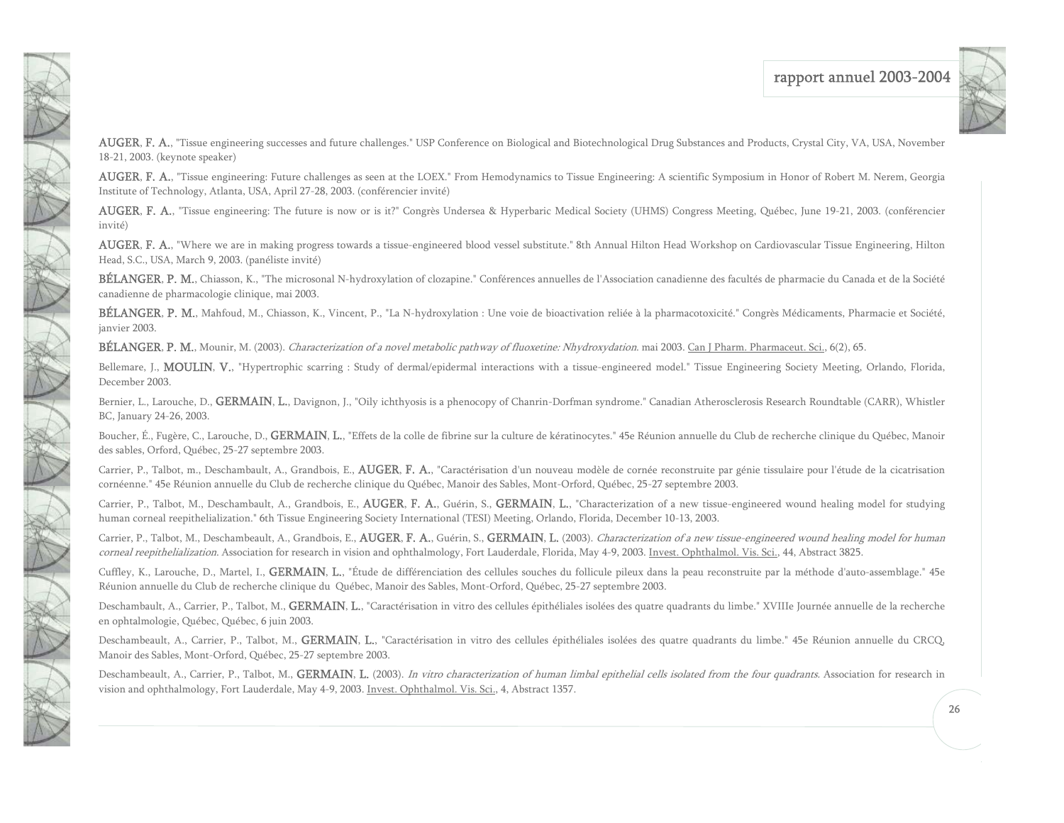

**AUGER, F. A.,** "Tissue engineering successes and future challenges." USP Conference on Biological and Biotechnological Drug Substances and Products, Crystal City, VA, USA, November 18-21, 2003. (keynote speaker)

AUGER, F. A., "Tissue engineering: Future challenges as seen at the LOEX." From Hemodynamics to Tissue Engineering: A scientific Symposium in Honor of Robert M. Nerem, Georgia Institute of Technology, Atlanta, USA, April 27-28, 2003. (conférencier invité)

AUGER, F. A., "Tissue engineering: The future is now or is it?" Congrès Undersea & Hyperbaric Medical Society (UHMS) Congress Meeting, Québec, June 19-21, 2003. (conférencier invité)

**AUGER, F. A.**, "Where we are in making progress towards a tissue-engineered blood vessel substitute." 8th Annual Hilton Head Workshop on Cardiovascular Tissue Engineering, Hilton Head, S.C., USA, March 9, 2003. (panéliste invité)

BÉLANGER, P. M., Chiasson, K., "The microsonal N-hydroxylation of clozapine." Conférences annuelles de l'Association canadienne des facultés de pharmacie du Canada et de la Société canadienne de pharmacologie clinique, mai 2003.

BÉLANGER, P. M., Mahfoud, M., Chiasson, K., Vincent, P., "La N-hydroxylation : Une voie de bioactivation reliée à la pharmacotoxicité." Congrès Médicaments, Pharmacie et Société, janvier 2003.

BÉLANGER, P. M., Mounir, M. (2003). Characterization of a novel metabolic pathway of fluoxetine: Nhydroxydation. mai 2003. Can J Pharm. Pharmaceut. Sci., 6(2), 65.

1

1大家 大家大家

TAN

Bellemare, J., MOULIN, V., "Hypertrophic scarring : Study of dermal/epidermal interactions with a tissue-engineered model." Tissue Engineering Society Meeting, Orlando, Florida, December 2003.

Bernier, L., Larouche, D., GERMAIN, L., Davignon, J., "Oily ichthyosis is a phenocopy of Chanrin-Dorfman syndrome." Canadian Atherosclerosis Research Roundtable (CARR), Whistler BC, January 24-26, 2003.

Boucher, É., Fugère, C., Larouche, D., **GERMAIN, L.**, "Effets de la colle de fibrine sur la culture de kératinocytes." 45e Réunion annuelle du Club de recherche clinique du Québec, Manoir des sables, Orford, Québec, 25-27 septembre 2003.

Carrier, P., Talbot, m., Deschambault, A., Grandbois, E., AUGER, F. A., "Caractérisation d'un nouveau modèle de cornée reconstruite par génie tissulaire pour l'étude de la cicatrisation cornéenne." 45e Réunion annuelle du Club de recherche clinique du Québec, Manoir des Sables, Mont-Orford, Québec, 25-27 septembre 2003.

Carrier, P., Talbot, M., Deschambault, A., Grandbois, E., AUGER, F. A., Guérin, S., GERMAIN, L., "Characterization of a new tissue-engineered wound healing model for studying human corneal reepithelialization." 6th Tissue Engineering Society International (TESI) Meeting, Orlando, Florida, December 10-13, 2003.

Carrier, P., Talbot, M., Deschambeault, A., Grandbois, E., AUGER, F. A., Guérin, S., GERMAIN, L. (2003). Characterization of a new tissue-engineered wound healing model for human corneal reepithelialization. Association for research in vision and ophthalmology, Fort Lauderdale, Florida, May 4-9, 2003. Invest. Ophthalmol. Vis. Sci., 44, Abstract 3825.

Cuffley, K., Larouche, D., Martel, I., **GERMAIN, L.**, "Étude de différenciation des cellules souches du follicule pileux dans la peau reconstruite par la méthode d'auto-assemblage." 45e Réunion annuelle du Club de recherche clinique du Québec, Manoir des Sables, Mont-Orford, Québec, 25-27 septembre 2003.

Deschambault, A., Carrier, P., Talbot, M., GERMAIN, L., "Caractérisation in vitro des cellules épithéliales isolées des quatre quadrants du limbe." XVIIIe Journée annuelle de la recherche en ophtalmologie, Québec, Québec, 6 juin 2003.

Deschambeault, A., Carrier, P., Talbot, M., GERMAIN, L., "Caractérisation in vitro des cellules épithéliales isolées des quatre quadrants du limbe." 45e Réunion annuelle du CRCQ, Manoir des Sables, Mont-Orford, Québec, 25-27 septembre 2003.

Deschambeault, A., Carrier, P., Talbot, M., GERMAIN, L. (2003). In vitro characterization of human limbal epithelial cells isolated from the four quadrants. Association for research in vision and ophthalmology, Fort Lauderdale, May 4-9, 2003. Invest. Ophthalmol. Vis. Sci., 4, Abstract 1357.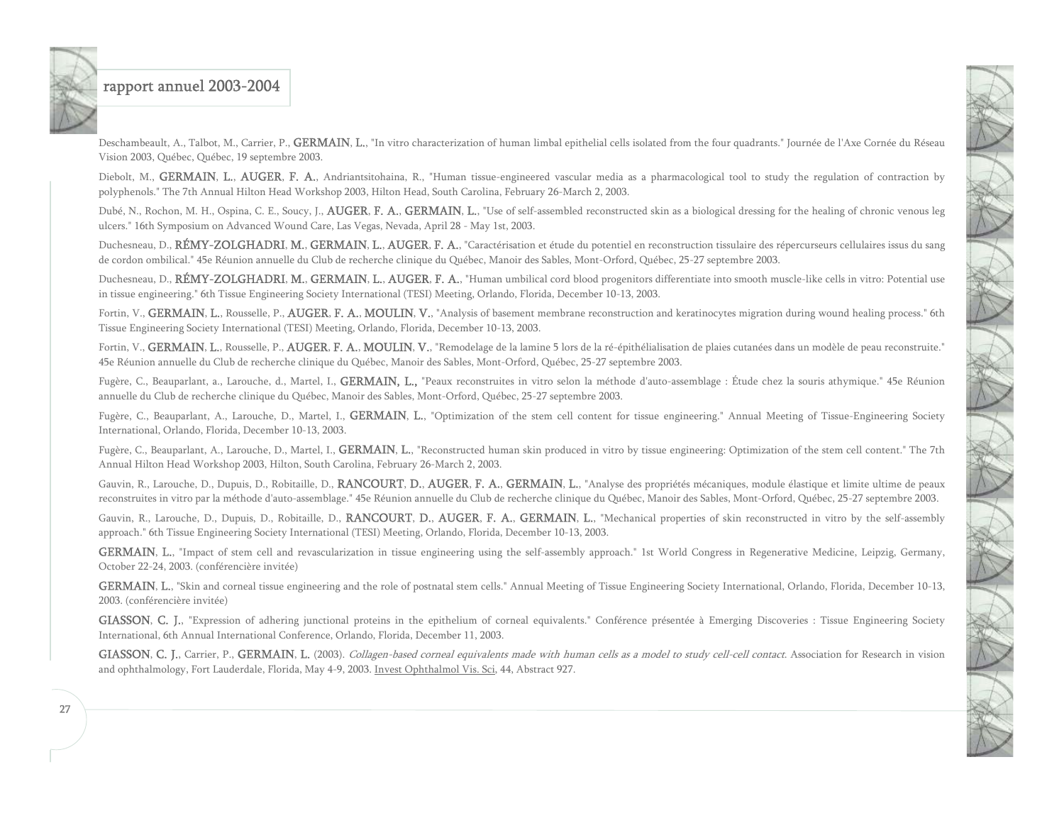

Deschambeault, A., Talbot, M., Carrier, P., GERMAIN, L., "In vitro characterization of human limbal epithelial cells isolated from the four quadrants." Journée de l'Axe Cornée du Réseau Vision 2003, Québec, Québec, 19 septembre 2003.

Diebolt, M., GERMAIN, L., AUGER, F. A., Andriantsitohaina, R., "Human tissue-engineered vascular media as a pharmacological tool to study the regulation of contraction by polyphenols." The 7th Annual Hilton Head Workshop 2003, Hilton Head, South Carolina, February 26-March 2, 2003.

Dubé, N., Rochon, M. H., Ospina, C. E., Soucy, J., AUGER, F. A., GERMAIN, L., "Use of self-assembled reconstructed skin as a biological dressing for the healing of chronic venous leg ulcers." 16th Symposium on Advanced Wound Care, Las Vegas, Nevada, April 28 - May 1st, 2003.

Duchesneau, D., RÉMY-ZOLGHADRI, M., GERMAIN, L., AUGER, F. A., "Caractérisation et étude du potentiel en reconstruction tissulaire des répercurseurs cellulaires issus du sang de cordon ombilical." 45e Réunion annuelle du Club de recherche clinique du Québec, Manoir des Sables, Mont-Orford, Québec, 25-27 septembre 2003.

Duchesneau, D., RÉMY-ZOLGHADRI, M., GERMAIN, L., AUGER, F. A., "Human umbilical cord blood progenitors differentiate into smooth muscle-like cells in vitro: Potential use in tissue engineering." 6th Tissue Engineering Society International (TESI) Meeting, Orlando, Florida, December 10-13, 2003.

Fortin, V., GERMAIN, L., Rousselle, P., AUGER, F. A., MOULIN, V., "Analysis of basement membrane reconstruction and keratinocytes migration during wound healing process." 6th Tissue Engineering Society International (TESI) Meeting, Orlando, Florida, December 10-13, 2003.

Fortin, V., GERMAIN, L., Rousselle, P., AUGER, F. A., MOULIN, V., "Remodelage de la lamine 5 lors de la ré-épithélialisation de plaies cutanées dans un modèle de peau reconstruite." 45e Réunion annuelle du Club de recherche clinique du Québec, Manoir des Sables, Mont-Orford, Québec, 25-27 septembre 2003.

Fugère, C., Beauparlant, a., Larouche, d., Martel, I., GERMAIN, L., "Peaux reconstruites in vitro selon la méthode d'auto-assemblage : Étude chez la souris athymique." 45e Réunion annuelle du Club de recherche clinique du Québec, Manoir des Sables, Mont-Orford, Québec, 25-27 septembre 2003.

Fugère, C., Beauparlant, A., Larouche, D., Martel, I., GERMAIN, L., "Optimization of the stem cell content for tissue engineering." Annual Meeting of Tissue-Engineering Society International, Orlando, Florida, December 10-13, 2003.

Fugère, C., Beauparlant, A., Larouche, D., Martel, I., GERMAIN, L., "Reconstructed human skin produced in vitro by tissue engineering: Optimization of the stem cell content." The 7th Annual Hilton Head Workshop 2003, Hilton, South Carolina, February 26-March 2, 2003.

Gauvin, R., Larouche, D., Dupuis, D., Robitaille, D., RANCOURT, D., AUGER, F. A., GERMAIN, L., "Analyse des propriétés mécaniques, module élastique et limite ultime de peaux reconstruites in vitro par la méthode d'auto-assemblage." 45e Réunion annuelle du Club de recherche clinique du Québec, Manoir des Sables, Mont-Orford, Québec, 25-27 septembre 2003.

Gauvin, R., Larouche, D., Dupuis, D., Robitaille, D., RANCOURT, D., AUGER, F. A., GERMAIN, L., "Mechanical properties of skin reconstructed in vitro by the self-assembly approach." 6th Tissue Engineering Society International (TESI) Meeting, Orlando, Florida, December 10-13, 2003.

GERMAIN, L., "Impact of stem cell and revascularization in tissue engineering using the self-assembly approach." 1st World Congress in Regenerative Medicine, Leipzig, Germany, October 22-24, 2003. (conférencière invitée)

GERMAIN, L., "Skin and corneal tissue engineering and the role of postnatal stem cells." Annual Meeting of Tissue Engineering Society International, Orlando, Florida, December 10-13, 2003. (conférencière invitée)

GIASSON, C. J., "Expression of adhering junctional proteins in the epithelium of corneal equivalents." Conférence présentée à Emerging Discoveries : Tissue Engineering Society International, 6th Annual International Conference, Orlando, Florida, December 11, 2003.

GIASSON, C. J., Carrier, P., GERMAIN, L. (2003). Collagen-based corneal equivalents made with human cells as a model to study cell-cell contact. Association for Research in vision and ophthalmology, Fort Lauderdale, Florida, May 4-9, 2003. Invest Ophthalmol Vis. Sci, 44, Abstract 927.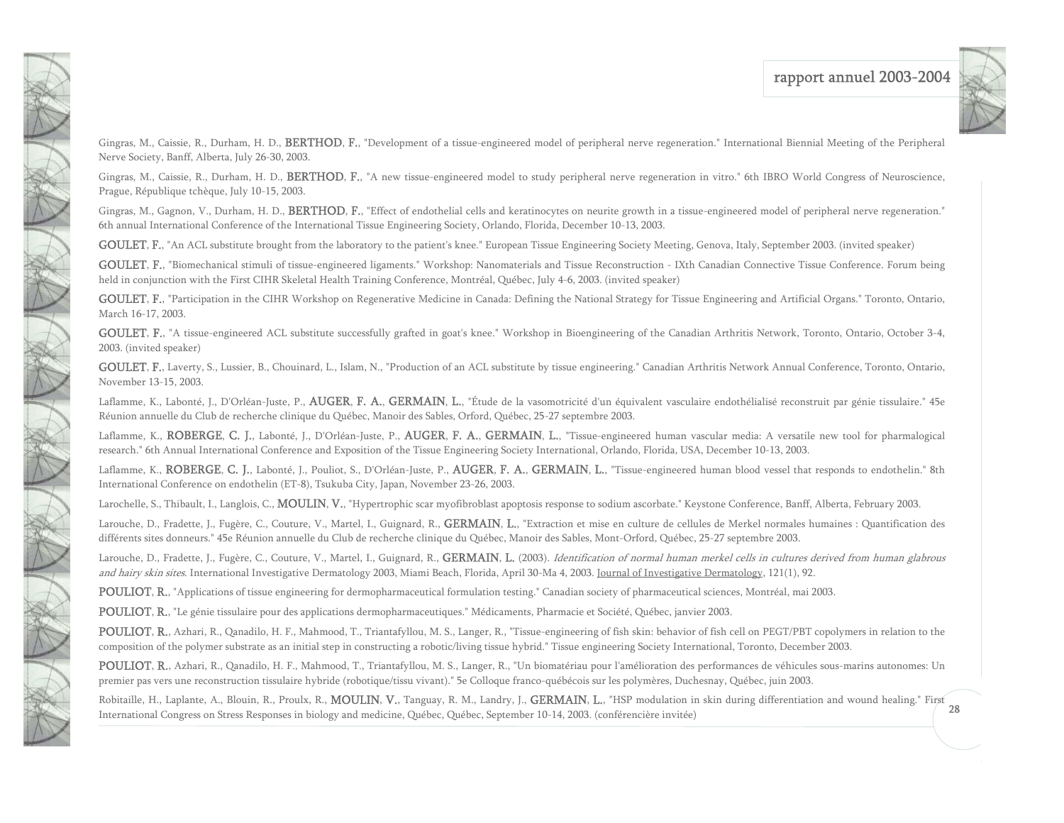

Gingras, M., Caissie, R., Durham, H. D., BERTHOD, F., "Development of a tissue-engineered model of peripheral nerve regeneration." International Biennial Meeting of the Peripheral Nerve Society, Banff, Alberta, July 26-30, 2003.

Gingras, M., Caissie, R., Durham, H. D., BERTHOD, F., "A new tissue-engineered model to study peripheral nerve regeneration in vitro." 6th IBRO World Congress of Neuroscience, Prague, République tchèque, July 10-15, 2003.

Gingras, M., Gagnon, V., Durham, H. D., BERTHOD, F., "Effect of endothelial cells and keratinocytes on neurite growth in a tissue-engineered model of peripheral nerve regeneration." 6th annual International Conference of the International Tissue Engineering Society, Orlando, Florida, December 10-13, 2003.

GOULET, F., "An ACL substitute brought from the laboratory to the patient's knee." European Tissue Engineering Society Meeting, Genova, Italy, September 2003. (invited speaker)

GOULET, F., "Biomechanical stimuli of tissue-engineered ligaments." Workshop: Nanomaterials and Tissue Reconstruction - IXth Canadian Connective Tissue Conference. Forum being held in conjunction with the First CIHR Skeletal Health Training Conference, Montréal, Québec, July 4-6, 2003. (invited speaker)

GOULET, F., "Participation in the CIHR Workshop on Regenerative Medicine in Canada: Defining the National Strategy for Tissue Engineering and Artificial Organs." Toronto, Ontario, March 16-17, 2003.

GOULET, F., "A tissue-engineered ACL substitute successfully grafted in goat's knee." Workshop in Bioengineering of the Canadian Arthritis Network, Toronto, Ontario, October 3-4, 2003. (invited speaker)

GOULET, F., Laverty, S., Lussier, B., Chouinard, L., Islam, N., "Production of an ACL substitute by tissue engineering." Canadian Arthritis Network Annual Conference, Toronto, Ontario, November 13-15, 2003.

Laflamme, K., Labonté, J., D'Orléan-Juste, P., **AUGER, F. A., GERMAIN, L.**, "Étude de la vasomotricité d'un équivalent vasculaire endothélialisé reconstruit par génie tissulaire." 45e Réunion annuelle du Club de recherche clinique du Québec, Manoir des Sables, Orford, Québec, 25-27 septembre 2003.

Laflamme, K., ROBERGE, C. J., Labonté, J., D'Orléan-Juste, P., AUGER, F. A., GERMAIN, L., "Tissue-engineered human vascular media: A versatile new tool for pharmalogical research." 6th Annual International Conference and Exposition of the Tissue Engineering Society International, Orlando, Florida, USA, December 10-13, 2003.

Laflamme, K., ROBERGE, C. J., Labonté, J., Pouliot, S., D'Orléan-Juste, P., AUGER, F. A., GERMAIN, L., "Tissue-engineered human blood vessel that responds to endothelin." 8th International Conference on endothelin (ET-8), Tsukuba City, Japan, November 23-26, 2003.

Larochelle, S., Thibault, I., Langlois, C., **MOULIN, V.**, "Hypertrophic scar myofibroblast apoptosis response to sodium ascorbate." Keystone Conference, Banff, Alberta, February 2003.

Larouche, D., Fradette, J., Fugère, C., Couture, V., Martel, I., Guignard, R., GERMAIN, L., "Extraction et mise en culture de cellules de Merkel normales humaines : Quantification des différents sites donneurs." 45e Réunion annuelle du Club de recherche clinique du Québec, Manoir des Sables, Mont-Orford, Québec, 25-27 septembre 2003.

Larouche, D., Fradette, J., Fugère, C., Couture, V., Martel, I., Guignard, R., GERMAIN, L. (2003). *Identification of normal human merkel cells in cultures derived from human glabrous* and hairy skin sites. International Investigative Dermatology 2003, Miami Beach, Florida, April 30-Ma 4, 2003. Journal of Investigative Dermatology, 121(1), 92.

POULIOT, R., "Applications of tissue engineering for dermopharmaceutical formulation testing." Canadian society of pharmaceutical sciences, Montréal, mai 2003.

POULIOT, R., "Le génie tissulaire pour des applications dermopharmaceutiques." Médicaments, Pharmacie et Société, Québec, janvier 2003.

N A

TAN TAN

NEWS

POULIOT, R., Azhari, R., Qanadilo, H. F., Mahmood, T., Triantafyllou, M. S., Langer, R., "Tissue-engineering of fish skin: behavior of fish cell on PEGT/PBT copolymers in relation to the composition of the polymer substrate as an initial step in constructing a robotic/living tissue hybrid." Tissue engineering Society International, Toronto, December 2003.

POULIOT, R., Azhari, R., Qanadilo, H. F., Mahmood, T., Triantafyllou, M. S., Langer, R., "Un biomatériau pour l'amélioration des performances de véhicules sous-marins autonomes: Un premier pas vers une reconstruction tissulaire hybride (robotique/tissu vivant)." 5e Colloque franco-québécois sur les polymères, Duchesnay, Québec, juin 2003.

28Robitaille, H., Laplante, A., Blouin, R., Proulx, R., MOULIN, V., Tanguay, R. M., Landry, J., GERMAIN, L., "HSP modulation in skin during differentiation and wound healing." First International Congress on Stress Responses in biology and medicine, Québec, Québec, September 10-14, 2003. (conférencière invitée)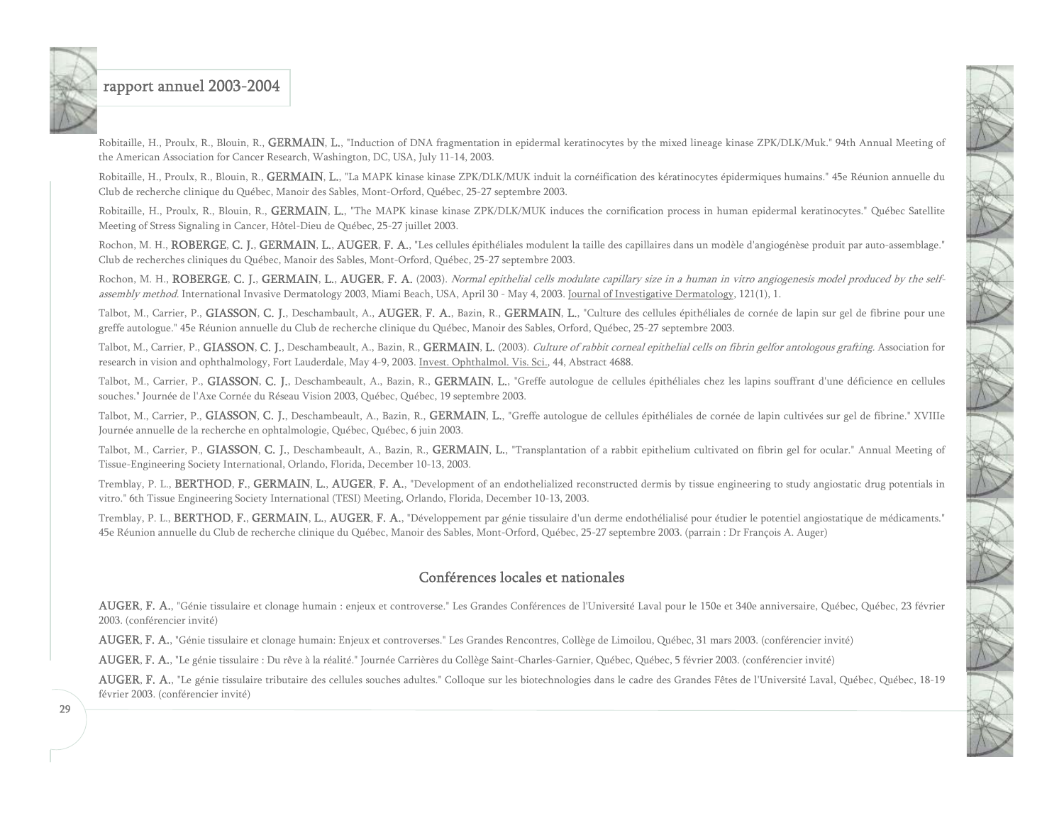Robitaille, H., Proulx, R., Blouin, R., GERMAIN, L., "Induction of DNA fragmentation in epidermal keratinocytes by the mixed lineage kinase ZPK/DLK/Muk." 94th Annual Meeting of the American Association for Cancer Research, Washington, DC, USA, July 11-14, 2003.

Robitaille, H., Proulx, R., Blouin, R., GERMAIN, L., "La MAPK kinase kinase ZPK/DLK/MUK induit la cornéification des kératinocytes épidermiques humains." 45e Réunion annuelle du Club de recherche clinique du Québec, Manoir des Sables, Mont-Orford, Québec, 25-27 septembre 2003.

Robitaille, H., Proulx, R., Blouin, R., GERMAIN, L., "The MAPK kinase kinase ZPK/DLK/MUK induces the cornification process in human epidermal keratinocytes." Québec Satellite Meeting of Stress Signaling in Cancer, Hôtel-Dieu de Québec, 25-27 juillet 2003.

Rochon, M. H., ROBERGE, C. J., GERMAIN, L., AUGER, F. A., "Les cellules épithéliales modulent la taille des capillaires dans un modèle d'angiogénèse produit par auto-assemblage." Club de recherches cliniques du Québec, Manoir des Sables, Mont-Orford, Québec, 25-27 septembre 2003.

Rochon, M. H., ROBERGE, C. J., GERMAIN, L., AUGER, F. A. (2003). Normal epithelial cells modulate capillary size in a human in vitro angiogenesis model produced by the selfassembly method. International Invasive Dermatology 2003, Miami Beach, USA, April 30 - May 4, 2003. Journal of Investigative Dermatology, 121(1), 1.

Talbot, M., Carrier, P., GIASSON, C. J., Deschambault, A., AUGER, F. A., Bazin, R., GERMAIN, L., "Culture des cellules épithéliales de cornée de lapin sur gel de fibrine pour une greffe autologue." 45e Réunion annuelle du Club de recherche clinique du Québec, Manoir des Sables, Orford, Québec, 25-27 septembre 2003.

Talbot, M., Carrier, P., GIASSON, C. J., Deschambeault, A., Bazin, R., GERMAIN, L. (2003). Culture of rabbit corneal epithelial cells on fibrin gelfor antologous grafting. Association for research in vision and ophthalmology, Fort Lauderdale, May 4-9, 2003. Invest. Ophthalmol. Vis. Sci., 44, Abstract 4688.

Talbot, M., Carrier, P., GIASSON, C. J., Deschambeault, A., Bazin, R., GERMAIN, L., "Greffe autologue de cellules épithéliales chez les lapins souffrant d'une déficience en cellules souches." Journée de l'Axe Cornée du Réseau Vision 2003, Québec, Québec, 19 septembre 2003.

Talbot, M., Carrier, P., GIASSON, C. J., Deschambeault, A., Bazin, R., GERMAIN, L., "Greffe autologue de cellules épithéliales de cornée de lapin cultivées sur gel de fibrine." XVIIIe Journée annuelle de la recherche en ophtalmologie, Québec, Québec, 6 juin 2003.

Talbot, M., Carrier, P., GIASSON, C. J., Deschambeault, A., Bazin, R., GERMAIN, L., "Transplantation of a rabbit epithelium cultivated on fibrin gel for ocular." Annual Meeting of Tissue-Engineering Society International, Orlando, Florida, December 10-13, 2003.

Tremblay, P. L., BERTHOD, F., GERMAIN, L., AUGER, F. A., "Development of an endothelialized reconstructed dermis by tissue engineering to study angiostatic drug potentials in vitro." 6th Tissue Engineering Society International (TESI) Meeting, Orlando, Florida, December 10-13, 2003.

Tremblay, P. L., BERTHOD, F., GERMAIN, L., AUGER, F. A., "Développement par génie tissulaire d'un derme endothélialisé pour étudier le potentiel angiostatique de médicaments." 45e Réunion annuelle du Club de recherche clinique du Québec, Manoir des Sables, Mont-Orford, Québec, 25-27 septembre 2003. (parrain : Dr François A. Auger)

#### Conférences locales et nationales

AUGER, F. A., "Génie tissulaire et clonage humain : enjeux et controverse." Les Grandes Conférences de l'Université Laval pour le 150e et 340e anniversaire, Québec, Québec, 23 février 2003. (conférencier invité)

AUGER, F. A., "Génie tissulaire et clonage humain: Enjeux et controverses." Les Grandes Rencontres, Collège de Limoilou, Québec, 31 mars 2003. (conférencier invité)

AUGER, F. A., "Le génie tissulaire : Du rêve à la réalité." Journée Carrières du Collège Saint-Charles-Garnier, Québec, Québec, 5 février 2003. (conférencier invité)

AUGER, F. A., "Le génie tissulaire tributaire des cellules souches adultes." Colloque sur les biotechnologies dans le cadre des Grandes Fêtes de l'Université Laval, Québec, Québec, 18-19 février 2003. (conférencier invité)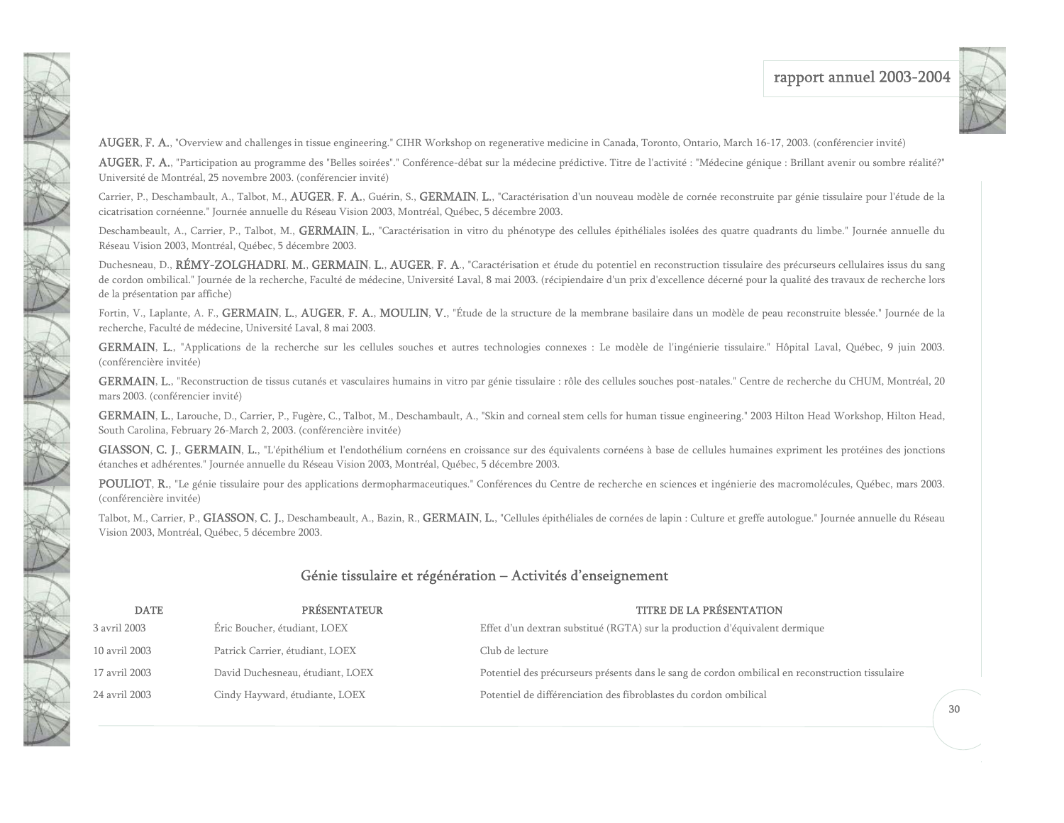

AUGER, F. A., "Overview and challenges in tissue engineering." CIHR Workshop on regenerative medicine in Canada, Toronto, Ontario, March 16-17, 2003. (conférencier invité)

AUGER, F. A., "Participation au programme des "Belles soirées"." Conférence-débat sur la médecine prédictive. Titre de l'activité : "Médecine génique : Brillant avenir ou sombre réalité?" Université de Montréal, 25 novembre 2003. (conférencier invité)

Carrier, P., Deschambault, A., Talbot, M., AUGER, F. A., Guérin, S., GERMAIN, L., "Caractérisation d'un nouveau modèle de cornée reconstruite par génie tissulaire pour l'étude de la cicatrisation cornéenne." Journée annuelle du Réseau Vision 2003, Montréal, Québec, 5 décembre 2003.

Deschambeault, A., Carrier, P., Talbot, M., GERMAIN, L., "Caractérisation in vitro du phénotype des cellules épithéliales isolées des quatre quadrants du limbe." Journée annuelle du Réseau Vision 2003, Montréal, Québec, 5 décembre 2003.

Duchesneau, D., RÉMY-ZOLGHADRI, M., GERMAIN, L., AUGER, F. A., "Caractérisation et étude du potentiel en reconstruction tissulaire des précurseurs cellulaires issus du sang de cordon ombilical." Journée de la recherche, Faculté de médecine, Université Laval, 8 mai 2003. (récipiendaire d'un prix d'excellence décerné pour la qualité des travaux de recherche lors de la présentation par affiche)

<span id="page-30-0"></span>CONNECTION

Fortin, V., Laplante, A. F., GERMAIN, L., AUGER, F. A., MOULIN, V., "Étude de la structure de la membrane basilaire dans un modèle de peau reconstruite blessée." Journée de la recherche, Faculté de médecine, Université Laval, 8 mai 2003.

GERMAIN, L., "Applications de la recherche sur les cellules souches et autres technologies connexes : Le modèle de l'ingénierie tissulaire." Hôpital Laval, Québec, 9 juin 2003. (conférencière invitée)

GERMAIN, L., "Reconstruction de tissus cutanés et vasculaires humains in vitro par génie tissulaire : rôle des cellules souches post-natales." Centre de recherche du CHUM, Montréal, 20 mars 2003. (conférencier invité)

GERMAIN, L., Larouche, D., Carrier, P., Fugère, C., Talbot, M., Deschambault, A., "Skin and corneal stem cells for human tissue engineering." 2003 Hilton Head Workshop, Hilton Head, South Carolina, February 26-March 2, 2003. (conférencière invitée)

GIASSON, C. J., GERMAIN, L., "L'épithélium et l'endothélium cornéens en croissance sur des équivalents cornéens à base de cellules humaines expriment les protéines des jonctions étanches et adhérentes." Journée annuelle du Réseau Vision 2003, Montréal, Québec, 5 décembre 2003.

POULIOT, R., "Le génie tissulaire pour des applications dermopharmaceutiques." Conférences du Centre de recherche en sciences et ingénierie des macromolécules, Québec, mars 2003. (conférencière invitée)

Talbot, M., Carrier, P., GIASSON, C. J., Deschambeault, A., Bazin, R., GERMAIN, L., "Cellules épithéliales de cornées de lapin : Culture et greffe autologue." Journée annuelle du Réseau Vision 2003, Montréal, Québec, 5 décembre 2003.

#### Génie tissulaire et régénération – Activités d'enseignement

| <b>DATE</b>   | PRÉSENTATEUR                     | <b>TITRE DE LA PRÉSENTATION</b>                                                                  |
|---------------|----------------------------------|--------------------------------------------------------------------------------------------------|
| 3 avril 2003  | Éric Boucher, étudiant, LOEX     | Effet d'un dextran substitué (RGTA) sur la production d'équivalent dermique                      |
| 10 avril 2003 | Patrick Carrier, étudiant, LOEX  | Club de lecture                                                                                  |
| 17 avril 2003 | David Duchesneau, étudiant, LOEX | Potentiel des précurseurs présents dans le sang de cordon ombilical en reconstruction tissulaire |
| 24 avril 2003 | Cindy Hayward, étudiante, LOEX   | Potentiel de différenciation des fibroblastes du cordon ombilical                                |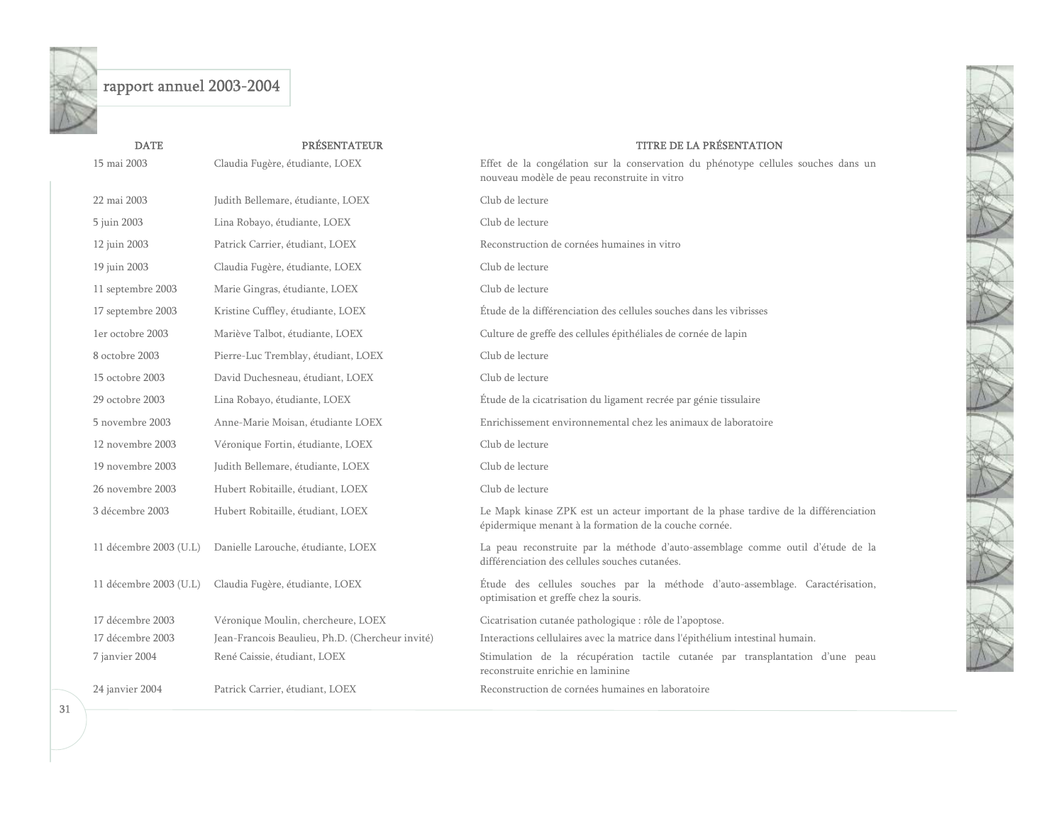| <b>DATE</b>            | <b>PRÉSENTATEUR</b>                              | <b>TITRE DE LA PRÉSENTATION</b>                                                                                                                |
|------------------------|--------------------------------------------------|------------------------------------------------------------------------------------------------------------------------------------------------|
| 15 mai 2003            | Claudia Fugère, étudiante, LOEX                  | Effet de la congélation sur la conservation du phénotype cellules souches dans un<br>nouveau modèle de peau reconstruite in vitro              |
| 22 mai 2003            | Judith Bellemare, étudiante, LOEX                | Club de lecture                                                                                                                                |
| 5 juin 2003            | Lina Robayo, étudiante, LOEX                     | Club de lecture                                                                                                                                |
| 12 juin 2003           | Patrick Carrier, étudiant, LOEX                  | Reconstruction de cornées humaines in vitro                                                                                                    |
| 19 juin 2003           | Claudia Fugère, étudiante, LOEX                  | Club de lecture                                                                                                                                |
| 11 septembre 2003      | Marie Gingras, étudiante, LOEX                   | Club de lecture                                                                                                                                |
| 17 septembre 2003      | Kristine Cuffley, étudiante, LOEX                | Étude de la différenciation des cellules souches dans les vibrisses                                                                            |
| 1er octobre 2003       | Mariève Talbot, étudiante, LOEX                  | Culture de greffe des cellules épithéliales de cornée de lapin                                                                                 |
| 8 octobre 2003         | Pierre-Luc Tremblay, étudiant, LOEX              | Club de lecture                                                                                                                                |
| 15 octobre 2003        | David Duchesneau, étudiant, LOEX                 | Club de lecture                                                                                                                                |
| 29 octobre 2003        | Lina Robayo, étudiante, LOEX                     | Étude de la cicatrisation du ligament recrée par génie tissulaire                                                                              |
| 5 novembre 2003        | Anne-Marie Moisan, étudiante LOEX                | Enrichissement environnemental chez les animaux de laboratoire                                                                                 |
| 12 novembre 2003       | Véronique Fortin, étudiante, LOEX                | Club de lecture                                                                                                                                |
| 19 novembre 2003       | Judith Bellemare, étudiante, LOEX                | Club de lecture                                                                                                                                |
| 26 novembre 2003       | Hubert Robitaille, étudiant, LOEX                | Club de lecture                                                                                                                                |
| 3 décembre 2003        | Hubert Robitaille, étudiant, LOEX                | Le Mapk kinase ZPK est un acteur important de la phase tardive de la différenciation<br>épidermique menant à la formation de la couche cornée. |
| 11 décembre 2003 (U.L) | Danielle Larouche, étudiante, LOEX               | La peau reconstruite par la méthode d'auto-assemblage comme outil d'étude de la<br>différenciation des cellules souches cutanées.              |
| 11 décembre 2003 (U.L) | Claudia Fugère, étudiante, LOEX                  | Étude des cellules souches par la méthode d'auto-assemblage. Caractérisation,<br>optimisation et greffe chez la souris.                        |
| 17 décembre 2003       | Véronique Moulin, chercheure, LOEX               | Cicatrisation cutanée pathologique : rôle de l'apoptose.                                                                                       |
| 17 décembre 2003       | Jean-Francois Beaulieu, Ph.D. (Chercheur invité) | Interactions cellulaires avec la matrice dans l'épithélium intestinal humain.                                                                  |
| 7 janvier 2004         | René Caissie, étudiant, LOEX                     | Stimulation de la récupération tactile cutanée par transplantation d'une peau<br>reconstruite enrichie en laminine                             |
| 24 janvier 2004        | Patrick Carrier, étudiant, LOEX                  | Reconstruction de cornées humaines en laboratoire                                                                                              |
|                        |                                                  |                                                                                                                                                |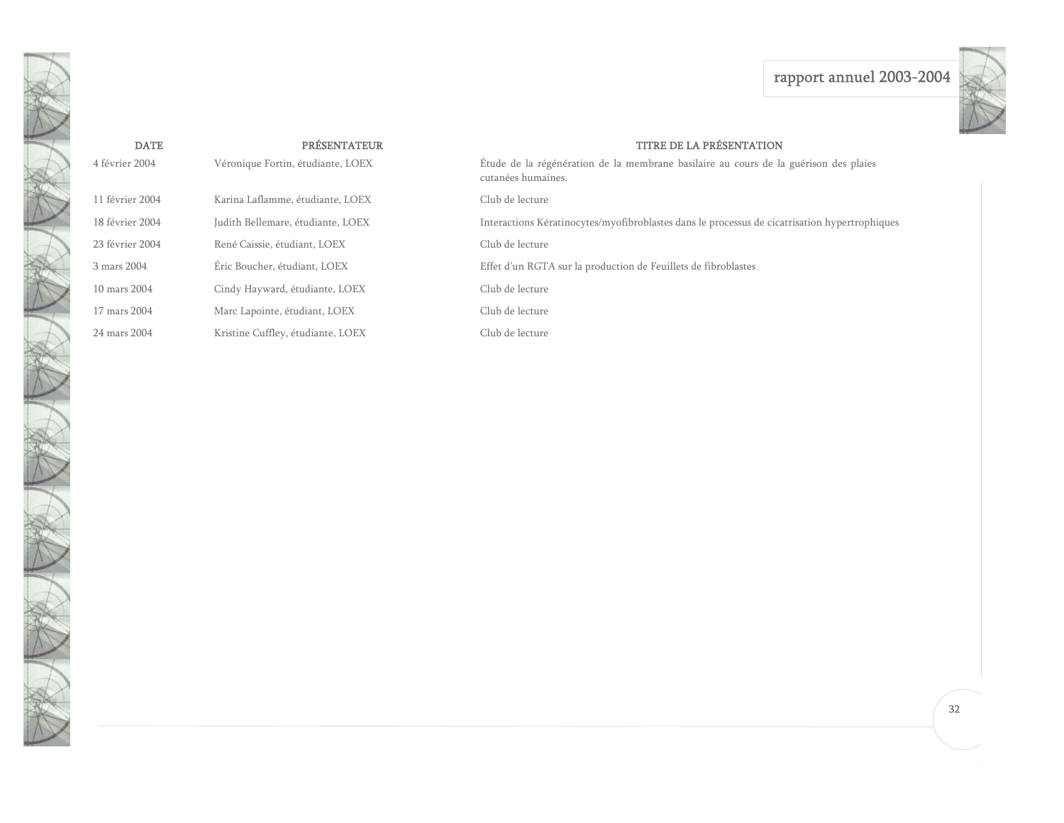

| <b>DATE</b>     | <b>PRÉSENTATEUR</b>               | <b>TITRE DE LA PRÉSENTATION</b>                                                                            |
|-----------------|-----------------------------------|------------------------------------------------------------------------------------------------------------|
| 4 février 2004  | Véronique Fortin, étudiante, LOEX | Étude de la régénération de la membrane basilaire au cours de la guérison des plaies<br>cutanées humaines. |
| 11 février 2004 | Karina Laflamme, étudiante, LOEX  | Club de lecture                                                                                            |
| 18 février 2004 | Judith Bellemare, étudiante, LOEX | Interactions Kératinocytes/myofibroblastes dans le processus de cicatrisation hypertrophiques              |
| 23 février 2004 | René Caissie, étudiant, LOEX      | Club de lecture                                                                                            |
| 3 mars 2004     | Éric Boucher, étudiant, LOEX      | Effet d'un RGTA sur la production de Feuillets de fibroblastes                                             |
| 10 mars 2004    | Cindy Hayward, étudiante, LOEX    | Club de lecture                                                                                            |
| 17 mars 2004    | Marc Lapointe, étudiant, LOEX     | Club de lecture                                                                                            |
| 24 mars 2004    | Kristine Cuffley, étudiante, LOEX | Club de lecture                                                                                            |

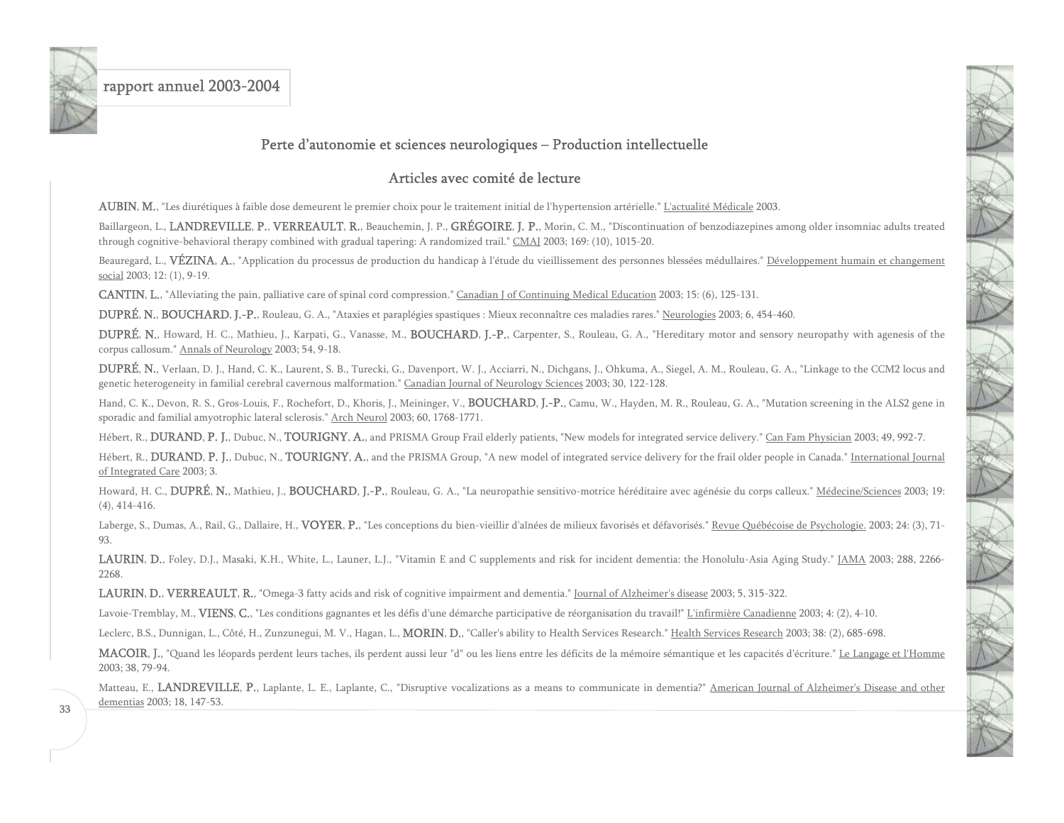<span id="page-33-0"></span>

### Perte d'autonomie et sciences neurologiques – Production intellectuelle

### Articles avec comité de lecture

AUBIN, M., "Les diurétiques à faible dose demeurent le premier choix pour le traitement initial de l'hypertension artérielle." L'actualité Médicale 2003.

Baillargeon, L., LANDREVILLE, P., VERREAULT, R., Beauchemin, J. P., GRÉGOIRE, J. P., Morin, C. M., "Discontinuation of benzodiazepines among older insomniac adults treated through cognitive-behavioral therapy combined with gradual tapering: A randomized trail." CMAJ 2003; 169: (10), 1015-20.

Beauregard, L., VÉZINA, A., "Application du processus de production du handicap à l'étude du vieillissement des personnes blessées médullaires." Développement humain et changement social 2003; 12: (1), 9-19.

CANTIN, L., "Alleviating the pain, palliative care of spinal cord compression." Canadian J of Continuing Medical Education 2003; 15: (6), 125-131.

DUPRÉ, N., BOUCHARD, J.-P., Rouleau, G. A., "Ataxies et paraplégies spastiques : Mieux reconnaître ces maladies rares." Neurologies 2003; 6, 454-460.

DUPRÉ, N., Howard, H. C., Mathieu, J., Karpati, G., Vanasse, M., BOUCHARD, J.-P., Carpenter, S., Rouleau, G. A., "Hereditary motor and sensory neuropathy with agenesis of the corpus callosum." Annals of Neurology 2003; 54, 9-18.

DUPRÉ, N., Verlaan, D. J., Hand, C. K., Laurent, S. B., Turecki, G., Davenport, W. J., Acciarri, N., Dichgans, J., Ohkuma, A., Siegel, A. M., Rouleau, G. A., "Linkage to the CCM2 locus and genetic heterogeneity in familial cerebral cavernous malformation." Canadian Journal of Neurology Sciences 2003; 30, 122-128.

Hand, C. K., Devon, R. S., Gros-Louis, F., Rochefort, D., Khoris, J., Meininger, V., BOUCHARD, J.-P., Camu, W., Hayden, M. R., Rouleau, G. A., "Mutation screening in the ALS2 gene in sporadic and familial amyotrophic lateral sclerosis." Arch Neurol 2003; 60, 1768-1771.

Hébert, R., DURAND, P. J., Dubuc, N., TOURIGNY, A., and PRISMA Group Frail elderly patients, "New models for integrated service delivery." Can Fam Physician 2003; 49, 992-7.

Hébert, R., DURAND, P. J., Dubuc, N., TOURIGNY, A., and the PRISMA Group, "A new model of integrated service delivery for the frail older people in Canada." International Journal of Integrated Care 2003; 3.

Howard, H. C., DUPRÉ, N., Mathieu, J., BOUCHARD, J.-P., Rouleau, G. A., "La neuropathie sensitivo-motrice héréditaire avec agénésie du corps calleux." Médecine/Sciences 2003; 19: (4), 414-416.

Laberge, S., Dumas, A., Rail, G., Dallaire, H., VOYER, P., "Les conceptions du bien-vieillir d'aînées de milieux favorisés et défavorisés." Revue Québécoise de Psychologie. 2003; 24: (3), 71-93.

LAURIN, D., Foley, D.J., Masaki, K.H., White, L., Launer, L.J., "Vitamin E and C supplements and risk for incident dementia: the Honolulu-Asia Aging Study." JAMA 2003; 288, 2266-2268.

LAURIN, D., VERREAULT, R., "Omega-3 fatty acids and risk of cognitive impairment and dementia." Journal of Alzheimer's disease 2003; 5, 315-322.

Lavoie-Tremblay, M., VIENS, C., "Les conditions gagnantes et les défis d'une démarche participative de réorganisation du travail!" L'infirmière Canadienne 2003; 4: (2), 4-10.

Leclerc, B.S., Dunnigan, L., Côté, H., Zunzunegui, M. V., Hagan, L., MORIN, D., "Caller's ability to Health Services Research." Health Services Research 2003; 38: (2), 685-698.

MACOIR, J., "Quand les léopards perdent leurs taches, ils perdent aussi leur "d" ou les liens entre les déficits de la mémoire sémantique et les capacités d'écriture." Le Langage et l'Homme 2003; 38, 79-94.

Matteau, E., LANDREVILLE, P., Laplante, L. E., Laplante, C., "Disruptive vocalizations as a means to communicate in dementia?" American Journal of Alzheimer's Disease and other dementias 2003; 18, 147-53.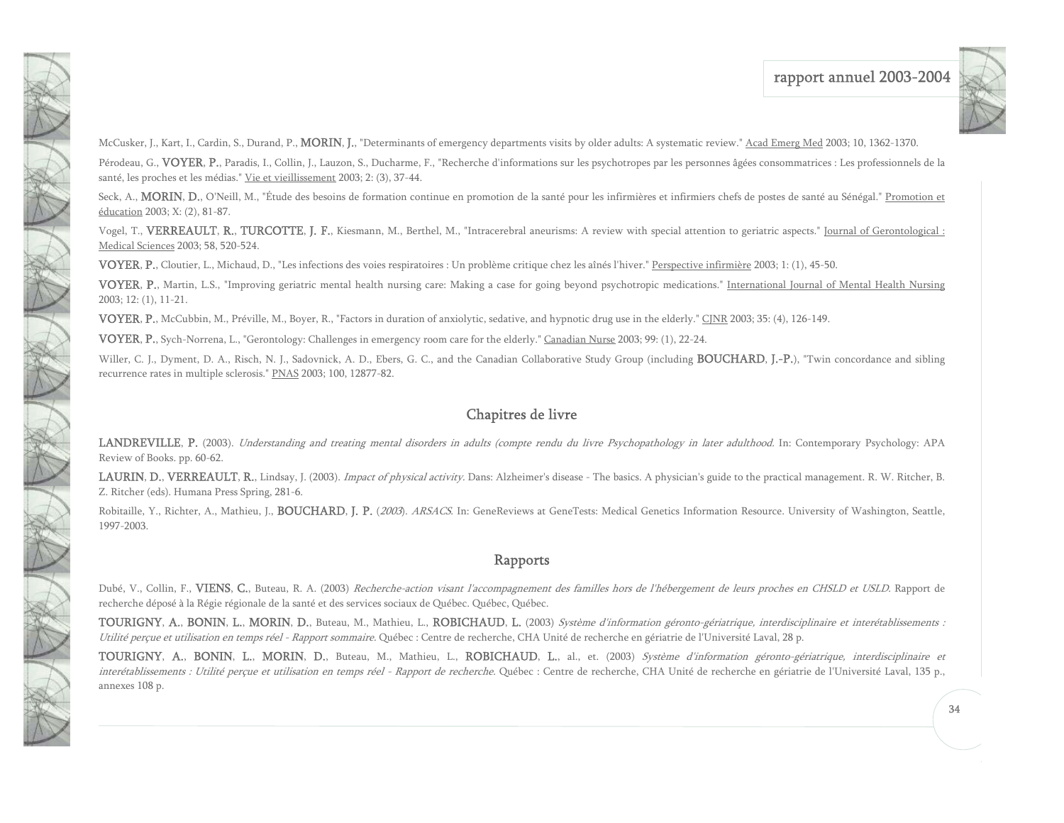

McCusker, J., Kart, I., Cardin, S., Durand, P., **MORIN, J.**, "Determinants of emergency departments visits by older adults: A systematic review." Acad Emerg Med 2003; 10, 1362-1370.

Pérodeau, G., VOYER, P., Paradis, I., Collin, J., Lauzon, S., Ducharme, F., "Recherche d'informations sur les psychotropes par les personnes âgées consommatrices : Les professionnels de la santé, les proches et les médias." Vie et vieillissement 2003; 2: (3), 37-44.

Seck, A., **MORIN, D.**, O'Neill, M., "Étude des besoins de formation continue en promotion de la santé pour les infirmières et infirmiers chefs de postes de santé au Sénégal." Promotion et éducation 2003; X: (2), 81-87.

Vogel, T., VERREAULT, R., TURCOTTE, J. F., Kiesmann, M., Berthel, M., "Intracerebral aneurisms: A review with special attention to geriatric aspects." Journal of Gerontological : Medical Sciences 2003; 58, 520-524.

VOYER, P., Cloutier, L., Michaud, D., "Les infections des voies respiratoires : Un problème critique chez les aînés l'hiver." Perspective infirmière 2003; 1: (1), 45-50.

VOYER, P., Martin, L.S., "Improving geriatric mental health nursing care: Making a case for going beyond psychotropic medications." International Journal of Mental Health Nursing 2003; 12: (1), 11-21.

VOYER, P., McCubbin, M., Préville, M., Boyer, R., "Factors in duration of anxiolytic, sedative, and hypnotic drug use in the elderly." CJNR 2003; 35: (4), 126-149.

VOYER, P., Sych-Norrena, L., "Gerontology: Challenges in emergency room care for the elderly." Canadian Nurse 2003; 99: (1), 22-24.

Willer, C. J., Dyment, D. A., Risch, N. J., Sadovnick, A. D., Ebers, G. C., and the Canadian Collaborative Study Group (including **BOUCHARD, J.-P.**), "Twin concordance and sibling recurrence rates in multiple sclerosis." PNAS 2003; 100, 12877-82.

### Chapitres de livre

LANDREVILLE, P. (2003). Understanding and treating mental disorders in adults (compte rendu du livre Psychopathology in later adulthood. In: Contemporary Psychology: APA Review of Books. pp. 60-62.

LAURIN, D., VERREAULT, R., Lindsay, J. (2003). *Impact of physical activity*. Dans: Alzheimer's disease - The basics. A physician's guide to the practical management. R. W. Ritcher, B. Z. Ritcher (eds). Humana Press Spring, 281-6.

Robitaille, Y., Richter, A., Mathieu, J., BOUCHARD, J. P. (2003). ARSACS. In: GeneReviews at GeneTests: Medical Genetics Information Resource. University of Washington, Seattle, 1997-2003.

### Rapports

Dubé, V., Collin, F., VIENS, C., Buteau, R. A. (2003) Recherche-action visant l'accompagnement des familles hors de l'hébergement de leurs proches en CHSLD et USLD. Rapport de recherche déposé à la Régie régionale de la santé et des services sociaux de Québec. Québec, Québec.

TOURIGNY, A., BONIN, L., MORIN, D., Buteau, M., Mathieu, L., ROBICHAUD, L. (2003) Système d'information géronto-gériatrique, interdisciplinaire et interétablissements : Utilité perçue et utilisation en temps réel - Rapport sommaire. Québec : Centre de recherche, CHA Unité de recherche en gériatrie de l'Université Laval, 28 p.

TOURIGNY, A., BONIN, L., MORIN, D., Buteau, M., Mathieu, L., ROBICHAUD, L., al., et. (2003) Système d'information géronto-gériatrique, interdisciplinaire et interétablissements : Utilité perçue et utilisation en temps réel - Rapport de recherche. Québec : Centre de recherche, CHA Unité de recherche en gériatrie de l'Université Laval, 135 p., annexes 108 p.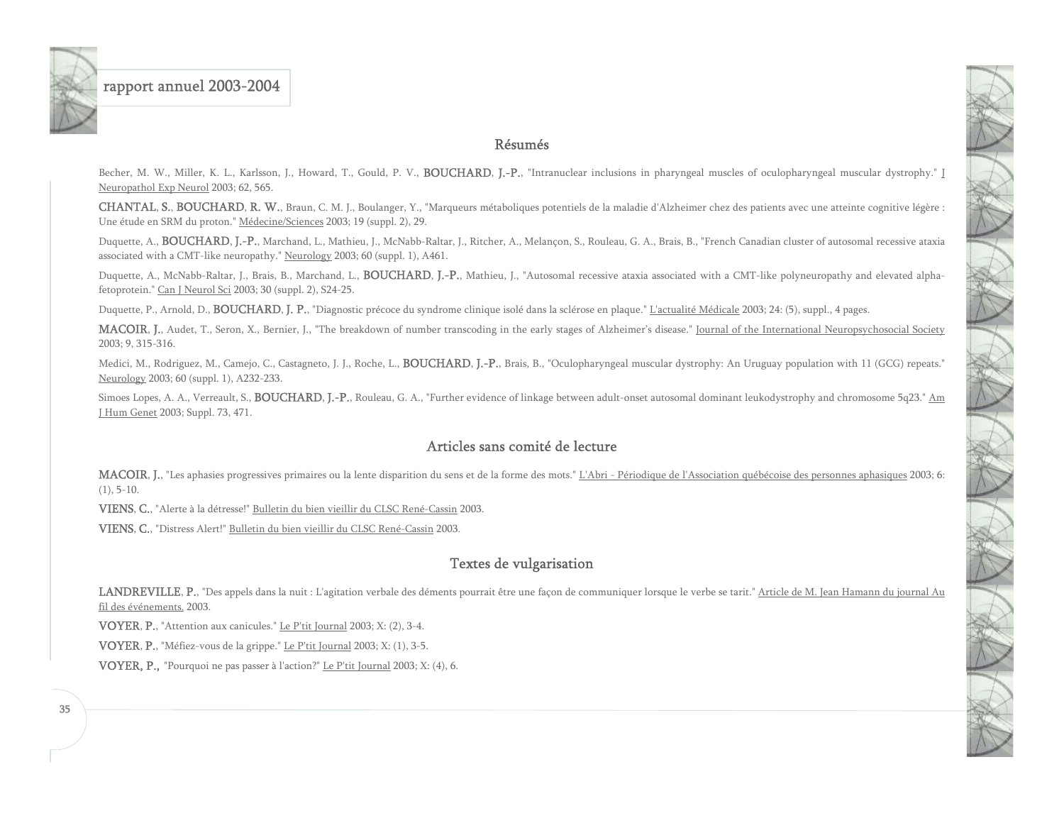#### Résumés

Becher, M. W., Miller, K. L., Karlsson, J., Howard, T., Gould, P. V., BOUCHARD, J.-P., "Intranuclear inclusions in pharyngeal muscles of oculopharyngeal muscular dystrophy." J Neuropathol Exp Neurol 2003; 62, 565.

CHANTAL, S., BOUCHARD, R. W., Braun, C. M. J., Boulanger, Y., "Marqueurs métaboliques potentiels de la maladie d'Alzheimer chez des patients avec une atteinte cognitive légère : Une étude en SRM du proton." Médecine/Sciences 2003; 19 (suppl. 2), 29.

Duquette, A., BOUCHARD, J.-P., Marchand, L., Mathieu, J., McNabb-Raltar, J., Ritcher, A., Melançon, S., Rouleau, G. A., Brais, B., "French Canadian cluster of autosomal recessive ataxia associated with a CMT-like neuropathy." Neurology 2003; 60 (suppl. 1), A461.

Duquette, A., McNabb-Raltar, J., Brais, B., Marchand, L., BOUCHARD, J.-P., Mathieu, J., "Autosomal recessive ataxia associated with a CMT-like polyneuropathy and elevated alphafetoprotein." Can J Neurol Sci 2003; 30 (suppl. 2), S24-25.

Duquette, P., Arnold, D., **BOUCHARD, J. P.**, "Diagnostic précoce du syndrome clinique isolé dans la sclérose en plaque." L'actualité Médicale 2003; 24: (5), suppl., 4 pages.

MACOIR, J., Audet, T., Seron, X., Bernier, J., "The breakdown of number transcoding in the early stages of Alzheimer's disease." Journal of the International Neuropsychosocial Society 2003; 9, 315-316.

Medici, M., Rodriguez, M., Camejo, C., Castagneto, J. J., Roche, L., **BOUCHARD, J.-P.**, Brais, B., "Oculopharyngeal muscular dystrophy: An Uruguay population with 11 (GCG) repeats." Neurology 2003; 60 (suppl. 1), A232-233.

Simoes Lopes, A. A., Verreault, S., **BOUCHARD**, J.-P., Rouleau, G. A., "Further evidence of linkage between adult-onset autosomal dominant leukodystrophy and chromosome 5q23." Am J Hum Genet 2003; Suppl. 73, 471.

### Articles sans comité de lecture

MACOIR, J., "Les aphasies progressives primaires ou la lente disparition du sens et de la forme des mots." L'Abri - Périodique de l'Association québécoise des personnes aphasiques 2003; 6:  $(1), 5-10.$ 

VIENS, C., "Alerte à la détresse!" Bulletin du bien vieillir du CLSC René-Cassin 2003.

VIENS, C., "Distress Alert!" Bulletin du bien vieillir du CLSC René-Cassin 2003.

### Textes de vulgarisation

LANDREVILLE, P., "Des appels dans la nuit : L'agitation verbale des déments pourrait être une façon de communiquer lorsque le verbe se tarit." Article de M. Jean Hamann du journal Au fil des événements. 2003.

VOYER, P., "Attention aux canicules." Le P'tit Journal 2003; X: (2), 3-4.

VOYER, P., "Méfiez-vous de la grippe." Le P'tit Journal 2003; X: (1), 3-5.

VOYER, P., "Pourquoi ne pas passer à l'action?" Le P'tit Journal 2003; X: (4), 6.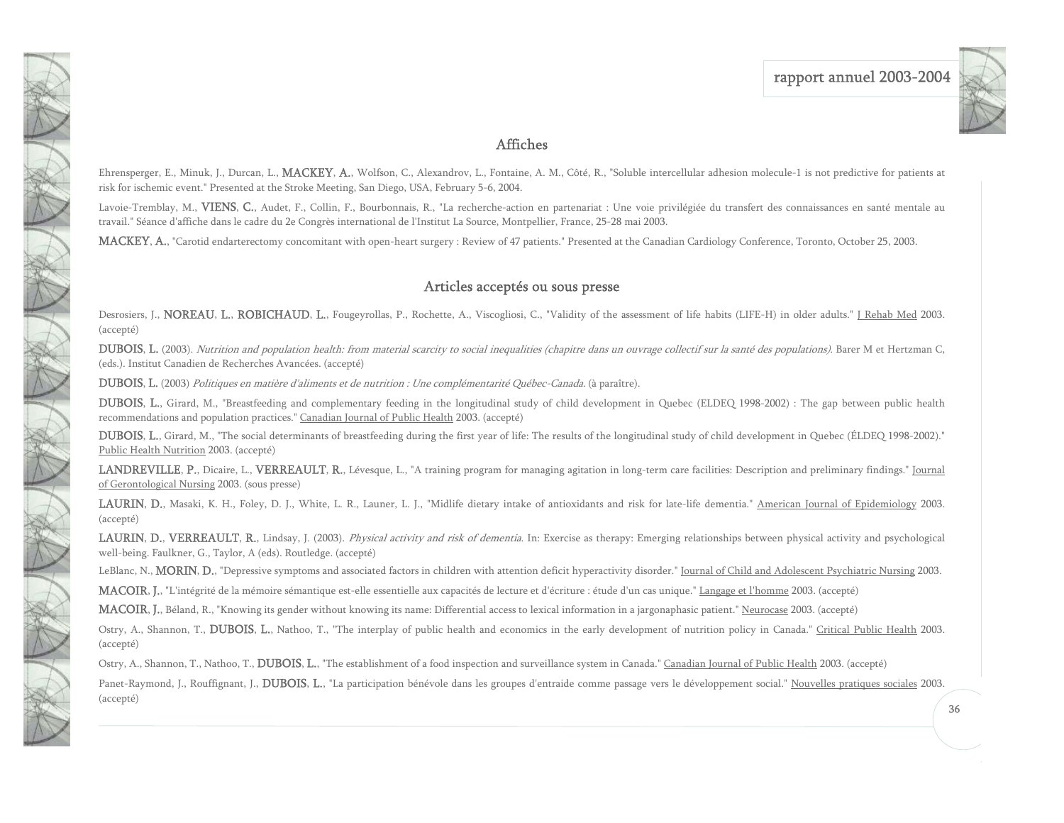

#### Affiches

Ehrensperger, E., Minuk, J., Durcan, L., **MACKEY, A.**, Wolfson, C., Alexandrov, L., Fontaine, A. M., Côté, R., "Soluble intercellular adhesion molecule-1 is not predictive for patients at risk for ischemic event." Presented at the Stroke Meeting, San Diego, USA, February 5-6, 2004.

Lavoie-Tremblay, M., VIENS, C., Audet, F., Collin, F., Bourbonnais, R., "La recherche-action en partenariat : Une voie privilégiée du transfert des connaissances en santé mentale au travail." Séance d'affiche dans le cadre du 2e Congrès international de l'Institut La Source, Montpellier, France, 25-28 mai 2003.

MACKEY, A., "Carotid endarterectomy concomitant with open-heart surgery : Review of 47 patients." Presented at the Canadian Cardiology Conference, Toronto, October 25, 2003.

#### Articles acceptés ou sous presse

Desrosiers, J., **NOREAU, L., ROBICHAUD, L.**, Fougeyrollas, P., Rochette, A., Viscogliosi, C., "Validity of the assessment of life habits (LIFE-H) in older adults." J Rehab Med 2003. (accepté)

DUBOIS, L. (2003). Nutrition and population health: from material scarcity to social inequalities (chapitre dans un ouvrage collectif sur la santé des populations). Barer M et Hertzman C, (eds.). Institut Canadien de Recherches Avancées. (accepté)

DUBOIS, L. (2003) Politiques en matière d'aliments et de nutrition : Une complémentarité Québec-Canada. (à paraître).

DUBOIS, L., Girard, M., "Breastfeeding and complementary feeding in the longitudinal study of child development in Quebec (ELDEQ 1998-2002) : The gap between public health recommendations and population practices." Canadian Journal of Public Health 2003. (accepté)

DUBOIS, L., Girard, M., "The social determinants of breastfeeding during the first year of life: The results of the longitudinal study of child development in Quebec (ÉLDEQ 1998-2002)." Public Health Nutrition 2003. (accepté)

LANDREVILLE, P., Dicaire, L., VERREAULT, R., Lévesque, L., "A training program for managing agitation in long-term care facilities: Description and preliminary findings." Journal of Gerontological Nursing 2003. (sous presse)

LAURIN, D., Masaki, K. H., Foley, D. J., White, L. R., Launer, L. J., "Midlife dietary intake of antioxidants and risk for late-life dementia." American Journal of Epidemiology 2003. (accepté)

LAURIN, D., VERREAULT, R., Lindsay, J. (2003). Physical activity and risk of dementia. In: Exercise as therapy: Emerging relationships between physical activity and psychological well-being. Faulkner, G., Taylor, A (eds). Routledge. (accepté)

LeBlanc, N., **MORIN, D.**, "Depressive symptoms and associated factors in children with attention deficit hyperactivity disorder." Journal of Child and Adolescent Psychiatric Nursing 2003.

MACOIR, J., "L'intégrité de la mémoire sémantique est-elle essentielle aux capacités de lecture et d'écriture : étude d'un cas unique." Langage et l'homme 2003. (accepté)

MACOIR, J., Béland, R., "Knowing its gender without knowing its name: Differential access to lexical information in a jargonaphasic patient." Neurocase 2003. (accepté)

Ostry, A., Shannon, T., DUBOIS, L., Nathoo, T., "The interplay of public health and economics in the early development of nutrition policy in Canada." Critical Public Health 2003. (accepté)

Ostry, A., Shannon, T., Nathoo, T., DUBOIS, L., "The establishment of a food inspection and surveillance system in Canada." Canadian Journal of Public Health 2003. (accepté)

Panet-Raymond, J., Rouffignant, J., DUBOIS, L., "La participation bénévole dans les groupes d'entraide comme passage vers le développement social." Nouvelles pratiques sociales 2003. (accepté)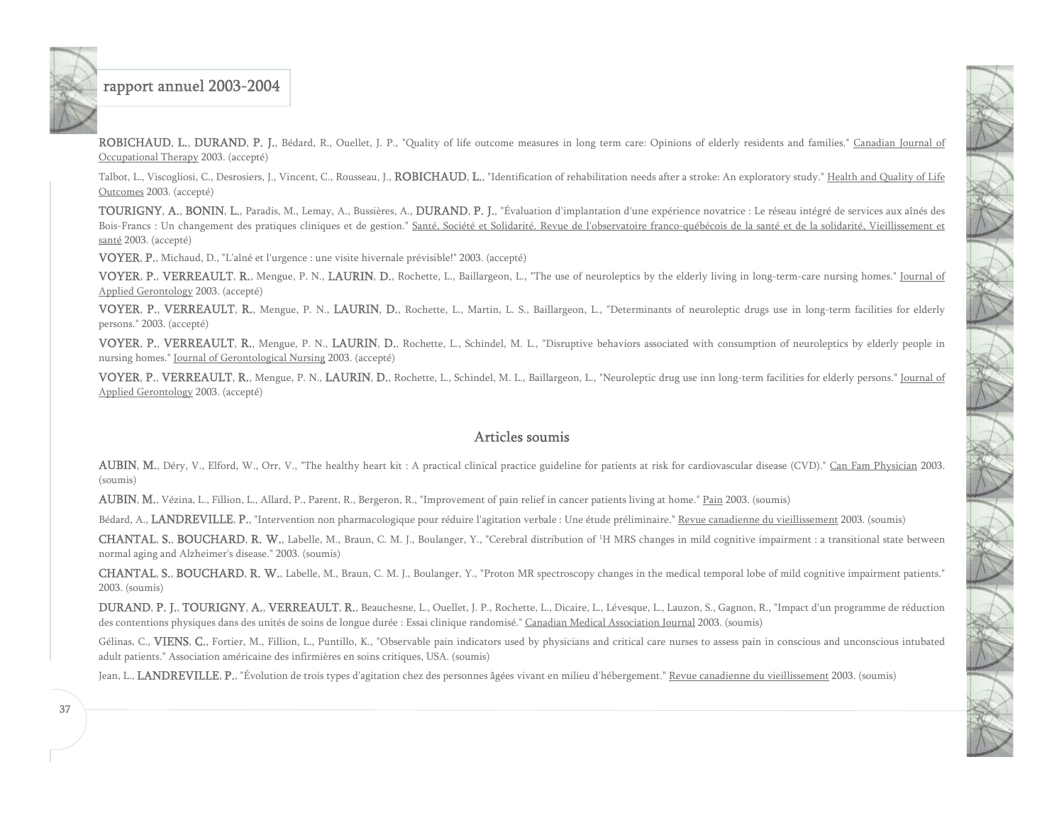ROBICHAUD, L., DURAND, P. J., Bédard, R., Ouellet, J. P., "Quality of life outcome measures in long term care: Opinions of elderly residents and families." Canadian Journal of Occupational Therapy 2003. (accepté)

Talbot, L., Viscogliosi, C., Desrosiers, J., Vincent, C., Rousseau, J., ROBICHAUD, L., "Identification of rehabilitation needs after a stroke: An exploratory study." Health and Quality of Life Outcomes 2003. (accepté)

TOURIGNY, A., BONIN, L., Paradis, M., Lemay, A., Bussières, A., DURAND, P. J., "Évaluation d'implantation d'une expérience novatrice : Le réseau intégré de services aux aînés des Bois-Francs : Un changement des pratiques cliniques et de gestion." Santé, Société et Solidarité. Revue de l'observatoire franco-québécois de la santé et de la solidarité, Vieillissement et santé 2003. (accepté)

VOYER, P., Michaud, D., "L'aîné et l'urgence : une visite hivernale prévisible!" 2003. (accepté)

VOYER, P., VERREAULT, R., Mengue, P. N., LAURIN, D., Rochette, L., Baillargeon, L., "The use of neuroleptics by the elderly living in long-term-care nursing homes." Journal of Applied Gerontology 2003. (accepté)

VOYER, P., VERREAULT, R., Mengue, P. N., LAURIN, D., Rochette, L., Martin, L. S., Baillargeon, L., "Determinants of neuroleptic drugs use in long-term facilities for elderly persons." 2003. (accepté)

VOYER, P., VERREAULT, R., Mengue, P. N., LAURIN, D., Rochette, L., Schindel, M. L., "Disruptive behaviors associated with consumption of neuroleptics by elderly people in nursing homes." Journal of Gerontological Nursing 2003. (accepté)

VOYER, P., VERREAULT, R., Mengue, P. N., LAURIN, D., Rochette, L., Schindel, M. L., Baillargeon, L., "Neuroleptic drug use inn long-term facilities for elderly persons." Journal of Applied Gerontology 2003. (accepté)

#### Articles soumis

AUBIN, M., Déry, V., Elford, W., Orr, V., "The healthy heart kit : A practical clinical practice guideline for patients at risk for cardiovascular disease (CVD)." Can Fam Physician 2003. (soumis)

AUBIN, M., Vézina, L., Fillion, L., Allard, P., Parent, R., Bergeron, R., "Improvement of pain relief in cancer patients living at home." Pain 2003. (soumis)

Bédard, A., LANDREVILLE, P., "Intervention non pharmacologique pour réduire l'agitation verbale : Une étude préliminaire." Revue canadienne du vieillissement 2003. (soumis)

CHANTAL, S., BOUCHARD, R. W., Labelle, M., Braun, C. M. J., Boulanger, Y., "Cerebral distribution of 1H MRS changes in mild cognitive impairment : a transitional state between normal aging and Alzheimer's disease." 2003. (soumis)

CHANTAL, S., BOUCHARD, R. W., Labelle, M., Braun, C. M. J., Boulanger, Y., "Proton MR spectroscopy changes in the medical temporal lobe of mild cognitive impairment patients." 2003. (soumis)

DURAND, P. J., TOURIGNY, A., VERREAULT, R., Beauchesne, L., Ouellet, J. P., Rochette, L., Dicaire, L., Lévesque, L., Lauzon, S., Gagnon, R., "Impact d'un programme de réduction des contentions physiques dans des unités de soins de longue durée : Essai clinique randomisé." Canadian Medical Association Journal 2003. (soumis)

Gélinas, C., VIENS, C., Fortier, M., Fillion, L., Puntillo, K., "Observable pain indicators used by physicians and critical care nurses to assess pain in conscious and unconscious intubated adult patients." Association américaine des infirmières en soins critiques, USA. (soumis)

Jean, L., LANDREVILLE, P., "Évolution de trois types d'agitation chez des personnes âgées vivant en milieu d'hébergement." Revue canadienne du vieillissement 2003. (soumis)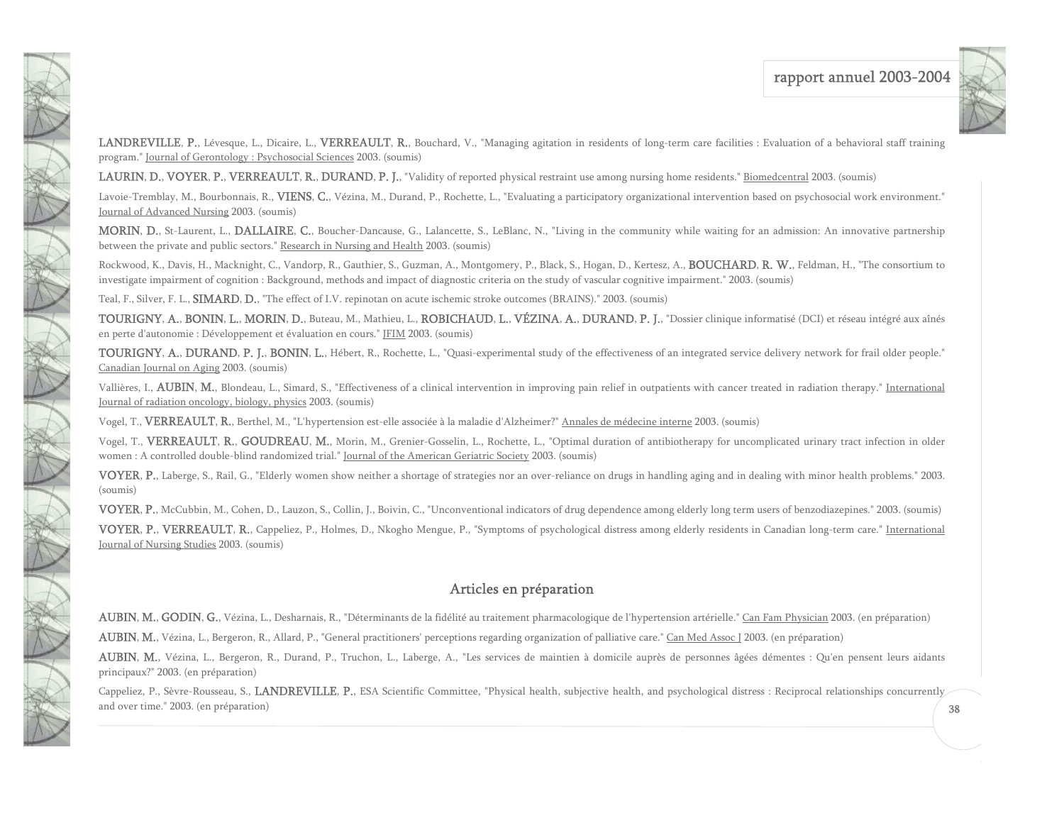

LANDREVILLE, P., Lévesque, L., Dicaire, L., VERREAULT, R., Bouchard, V., "Managing agitation in residents of long-term care facilities : Evaluation of a behavioral staff training program." Journal of Gerontology : Psychosocial Sciences 2003. (soumis)

LAURIN, D., VOYER, P., VERREAULT, R., DURAND, P. J., "Validity of reported physical restraint use among nursing home residents." Biomedcentral 2003. (soumis)

Lavoie-Tremblay, M., Bourbonnais, R., **VIENS, C.**, Vézina, M., Durand, P., Rochette, L., "Evaluating a participatory organizational intervention based on psychosocial work environment." Journal of Advanced Nursing 2003. (soumis)

MORIN, D., St-Laurent, L., DALLAIRE, C., Boucher-Dancause, G., Lalancette, S., LeBlanc, N., "Living in the community while waiting for an admission: An innovative partnership between the private and public sectors." Research in Nursing and Health 2003. (soumis)

Rockwood, K., Davis, H., Macknight, C., Vandorp, R., Gauthier, S., Guzman, A., Montgomery, P., Black, S., Hogan, D., Kertesz, A., **BOUCHARD, R. W.**, Feldman, H., "The consortium to investigate impairment of cognition : Background, methods and impact of diagnostic criteria on the study of vascular cognitive impairment." 2003. (soumis)

Teal, F., Silver, F. L., **SIMARD, D.**, "The effect of I.V. repinotan on acute ischemic stroke outcomes (BRAINS)." 2003. (soumis)

NAT

N A

TANK

XXX

TOURIGNY, A., BONIN, L., MORIN, D., Buteau, M., Mathieu, L., ROBICHAUD, L., VÉZINA, A., DURAND, P. J., "Dossier clinique informatisé (DCI) et réseau intégré aux aînés en perte d'autonomie : Développement et évaluation en cours." JFIM 2003. (soumis)

TOURIGNY, A., DURAND, P. J., BONIN, L., Hébert, R., Rochette, L., "Quasi-experimental study of the effectiveness of an integrated service delivery network for frail older people." Canadian Journal on Aging 2003. (soumis)

Vallières, I., AUBIN, M., Blondeau, L., Simard, S., "Effectiveness of a clinical intervention in improving pain relief in outpatients with cancer treated in radiation therapy." International Journal of radiation oncology, biology, physics 2003. (soumis)

Vogel, T., VERREAULT, R., Berthel, M., "L'hypertension est-elle associée à la maladie d'Alzheimer?" Annales de médecine interne 2003. (soumis)

Vogel, T., VERREAULT, R., GOUDREAU, M., Morin, M., Grenier-Gosselin, L., Rochette, L., "Optimal duration of antibiotherapy for uncomplicated urinary tract infection in older women : A controlled double-blind randomized trial." Journal of the American Geriatric Society 2003. (soumis)

VOYER, P., Laberge, S., Rail, G., "Elderly women show neither a shortage of strategies nor an over-reliance on drugs in handling aging and in dealing with minor health problems." 2003. (soumis)

VOYER, P., McCubbin, M., Cohen, D., Lauzon, S., Collin, J., Boivin, C., "Unconventional indicators of drug dependence among elderly long term users of benzodiazepines." 2003. (soumis)

VOYER, P., VERREAULT, R., Cappeliez, P., Holmes, D., Nkogho Mengue, P., "Symptoms of psychological distress among elderly residents in Canadian long-term care." International Journal of Nursing Studies 2003. (soumis)

### Articles en préparation

AUBIN, M., GODIN, G., Vézina, L., Desharnais, R., "Déterminants de la fidélité au traitement pharmacologique de l'hypertension artérielle." Can Fam Physician 2003. (en préparation)

AUBIN, M., Vézina, L., Bergeron, R., Allard, P., "General practitioners' perceptions regarding organization of palliative care." Can Med Assoc J 2003. (en préparation)

AUBIN, M., Vézina, L., Bergeron, R., Durand, P., Truchon, L., Laberge, A., "Les services de maintien à domicile auprès de personnes âgées démentes : Qu'en pensent leurs aidants principaux?" 2003. (en préparation)

Cappeliez, P., Sèvre-Rousseau, S., LANDREVILLE, P., ESA Scientific Committee, "Physical health, subjective health, and psychological distress : Reciprocal relationships concurrently and over time." 2003. (en préparation)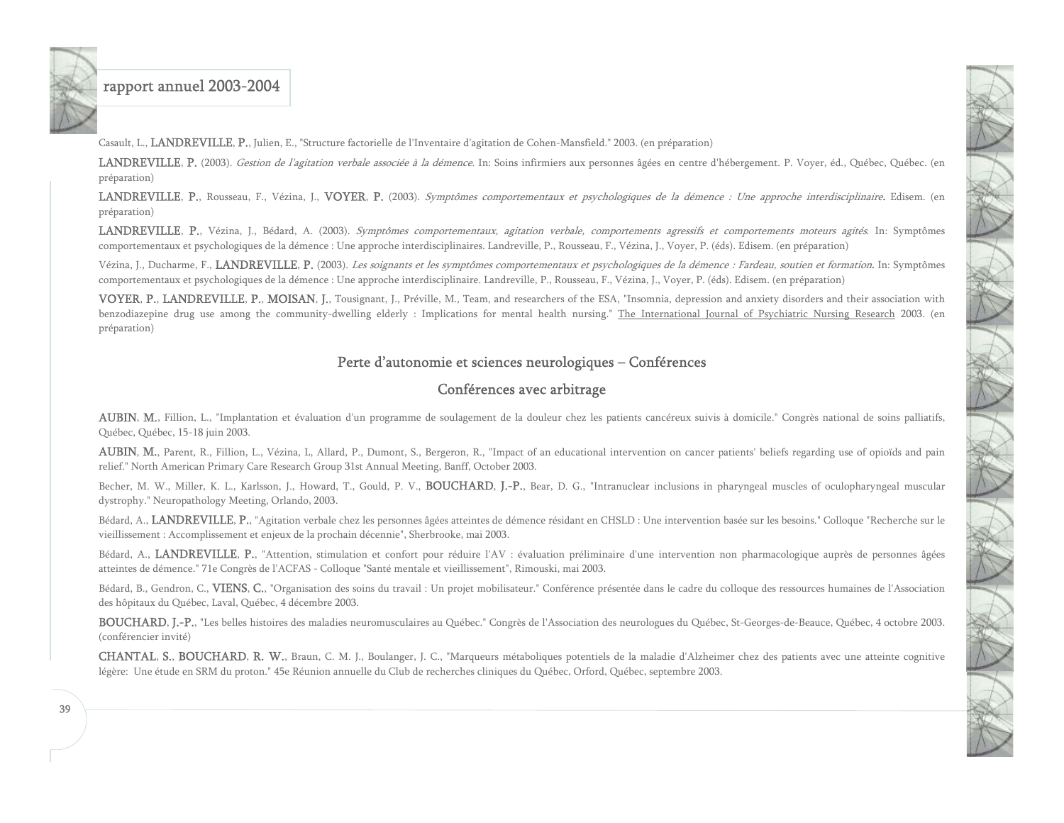<span id="page-39-0"></span>

Casault, L., LANDREVILLE, P., Julien, E., "Structure factorielle de l'Inventaire d'agitation de Cohen-Mansfield." 2003. (en préparation)

LANDREVILLE, P. (2003). Gestion de l'agitation verbale associée à la démence. In: Soins infirmiers aux personnes âgées en centre d'hébergement. P. Voyer, éd., Québec, Québec. (en préparation)

LANDREVILLE, P., Rousseau, F., Vézina, J., VOYER, P. (2003). Symptômes comportementaux et psychologiques de la démence : Une approche interdisciplinaire. Edisem. (en préparation)

LANDREVILLE, P., Vézina, J., Bédard, A. (2003). Symptômes comportementaux, agitation verbale, comportements agressifs et comportements moteurs agités. In: Symptômes comportementaux et psychologiques de la démence : Une approche interdisciplinaires. Landreville, P., Rousseau, F., Vézina, J., Voyer, P. (éds). Edisem. (en préparation)

Vézina, J., Ducharme, F., LANDREVILLE, P. (2003). Les soignants et les symptômes comportementaux et psychologiques de la démence : Fardeau, soutien et formation. In: Symptômes comportementaux et psychologiques de la démence : Une approche interdisciplinaire. Landreville, P., Rousseau, F., Vézina, J., Voyer, P. (éds). Edisem. (en préparation)

VOYER, P., LANDREVILLE, P., MOISAN, J., Tousignant, J., Préville, M., Team, and researchers of the ESA, "Insomnia, depression and anxiety disorders and their association with benzodiazepine drug use among the community-dwelling elderly : Implications for mental health nursing." The International Journal of Psychiatric Nursing Research 2003. (en préparation)

#### Perte d'autonomie et sciences neurologiques – Conférences

#### Conférences avec arbitrage

AUBIN, M., Fillion, L., "Implantation et évaluation d'un programme de soulagement de la douleur chez les patients cancéreux suivis à domicile." Congrès national de soins palliatifs, Québec, Québec, 15-18 juin 2003.

AUBIN, M., Parent, R., Fillion, L., Vézina, L. Allard, P., Dumont, S., Bergeron, R., "Impact of an educational intervention on cancer patients' beliefs regarding use of opioïds and pain relief." North American Primary Care Research Group 31st Annual Meeting, Banff, October 2003.

Becher, M. W., Miller, K. L., Karlsson, J., Howard, T., Gould, P. V., BOUCHARD, J.-P., Bear, D. G., "Intranuclear inclusions in pharyngeal muscles of oculopharyngeal muscular dystrophy." Neuropathology Meeting, Orlando, 2003.

Bédard, A., LANDREVILLE, P., "Agitation verbale chez les personnes âgées atteintes de démence résidant en CHSLD : Une intervention basée sur les besoins." Colloque "Recherche sur le vieillissement : Accomplissement et enjeux de la prochain décennie", Sherbrooke, mai 2003.

Bédard, A., LANDREVILLE, P., "Attention, stimulation et confort pour réduire l'AV : évaluation préliminaire d'une intervention non pharmacologique auprès de personnes âgées atteintes de démence." 71e Congrès de l'ACFAS - Colloque "Santé mentale et vieillissement", Rimouski, mai 2003.

Bédard, B., Gendron, C., VIENS, C., "Organisation des soins du travail : Un projet mobilisateur." Conférence présentée dans le cadre du colloque des ressources humaines de l'Association des hôpitaux du Québec, Laval, Québec, 4 décembre 2003.

BOUCHARD, J.-P., "Les belles histoires des maladies neuromusculaires au Québec." Congrès de l'Association des neurologues du Québec, St-Georges-de-Beauce, Québec, 4 octobre 2003. (conférencier invité)

CHANTAL, S., BOUCHARD, R. W., Braun, C. M. J., Boulanger, J. C., "Marqueurs métaboliques potentiels de la maladie d'Alzheimer chez des patients avec une atteinte cognitive légère: Une étude en SRM du proton." 45e Réunion annuelle du Club de recherches cliniques du Québec, Orford, Québec, septembre 2003.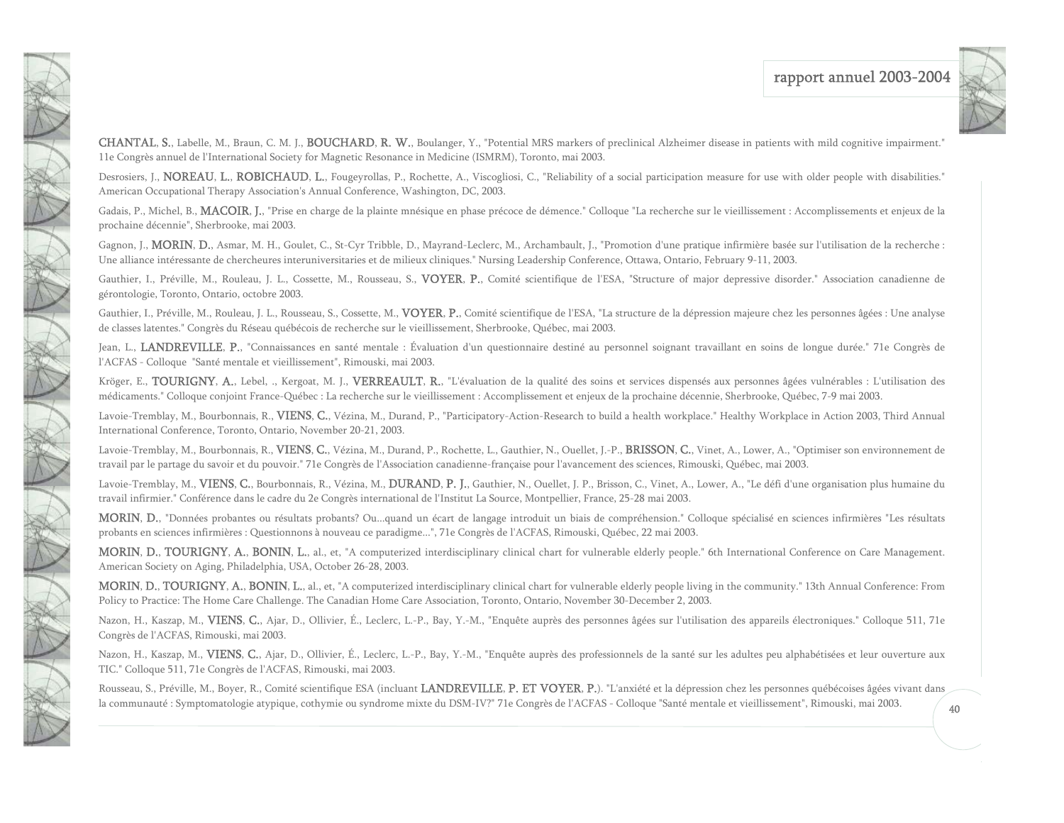

CHANTAL, S., Labelle, M., Braun, C. M. J., BOUCHARD, R. W., Boulanger, Y., "Potential MRS markers of preclinical Alzheimer disease in patients with mild cognitive impairment." 11e Congrès annuel de l'International Society for Magnetic Resonance in Medicine (ISMRM), Toronto, mai 2003.

NAVA 1

TANGA CARA

Desrosiers, J., **NOREAU, L., ROBICHAUD, L.**, Fougeyrollas, P., Rochette, A., Viscogliosi, C., "Reliability of a social participation measure for use with older people with disabilities." American Occupational Therapy Association's Annual Conference, Washington, DC, 2003.

Gadais, P., Michel, B., **MACOIR, J.**, "Prise en charge de la plainte mnésique en phase précoce de démence." Colloque "La recherche sur le vieillissement : Accomplissements et enjeux de la prochaine décennie", Sherbrooke, mai 2003.

Gagnon, J., **MORIN, D.**, Asmar, M. H., Goulet, C., St-Cyr Tribble, D., Mayrand-Leclerc, M., Archambault, J., "Promotion d'une pratique infirmière basée sur l'utilisation de la recherche : Une alliance intéressante de chercheures interuniversitaries et de milieux cliniques." Nursing Leadership Conference, Ottawa, Ontario, February 9-11, 2003.

Gauthier, I., Préville, M., Rouleau, J. L., Cossette, M., Rousseau, S., VOYER, P., Comité scientifique de l'ESA, "Structure of major depressive disorder." Association canadienne de gérontologie, Toronto, Ontario, octobre 2003.

Gauthier, I., Préville, M., Rouleau, J. L., Rousseau, S., Cossette, M., VOYER, P., Comité scientifique de l'ESA, "La structure de la dépression majeure chez les personnes âgées : Une analyse de classes latentes." Congrès du Réseau québécois de recherche sur le vieillissement, Sherbrooke, Québec, mai 2003.

Jean, L., LANDREVILLE, P., "Connaissances en santé mentale : Évaluation d'un questionnaire destiné au personnel soignant travaillant en soins de longue durée." 71e Congrès de l'ACFAS - Colloque "Santé mentale et vieillissement", Rimouski, mai 2003.

Kröger, E., TOURIGNY, A., Lebel, ., Kergoat, M. J., VERREAULT, R., "L'évaluation de la qualité des soins et services dispensés aux personnes âgées vulnérables : L'utilisation des médicaments." Colloque conjoint France-Québec : La recherche sur le vieillissement : Accomplissement et enjeux de la prochaine décennie, Sherbrooke, Québec, 7-9 mai 2003.

Lavoie-Tremblay, M., Bourbonnais, R., VIENS, C., Vézina, M., Durand, P., "Participatory-Action-Research to build a health workplace." Healthy Workplace in Action 2003, Third Annual International Conference, Toronto, Ontario, November 20-21, 2003.

Lavoie-Tremblay, M., Bourbonnais, R., VIENS, C., Vézina, M., Durand, P., Rochette, L., Gauthier, N., Ouellet, J.-P., BRISSON, C., Vinet, A., Lower, A., "Optimiser son environnement de travail par le partage du savoir et du pouvoir." 71e Congrès de l'Association canadienne-française pour l'avancement des sciences, Rimouski, Québec, mai 2003.

Lavoie-Tremblay, M., VIENS, C., Bourbonnais, R., Vézina, M., DURAND, P. J., Gauthier, N., Ouellet, J. P., Brisson, C., Vinet, A., Lower, A., "Le défi d'une organisation plus humaine du travail infirmier." Conférence dans le cadre du 2e Congrès international de l'Institut La Source, Montpellier, France, 25-28 mai 2003.

MORIN, D., "Données probantes ou résultats probants? Ou...quand un écart de langage introduit un biais de compréhension." Colloque spécialisé en sciences infirmières "Les résultats probants en sciences infirmières : Questionnons à nouveau ce paradigme...", 71e Congrès de l'ACFAS, Rimouski, Québec, 22 mai 2003.

MORIN, D., TOURIGNY, A., BONIN, L., al., et, "A computerized interdisciplinary clinical chart for vulnerable elderly people." 6th International Conference on Care Management. American Society on Aging, Philadelphia, USA, October 26-28, 2003.

MORIN, D., TOURIGNY, A., BONIN, L., al., et, "A computerized interdisciplinary clinical chart for vulnerable elderly people living in the community." 13th Annual Conference: From Policy to Practice: The Home Care Challenge. The Canadian Home Care Association, Toronto, Ontario, November 30-December 2, 2003.

Nazon, H., Kaszap, M., VIENS, C., Ajar, D., Ollivier, É., Leclerc, L.-P., Bay, Y.-M., "Enquête auprès des personnes âgées sur l'utilisation des appareils électroniques." Colloque 511, 71e Congrès de l'ACFAS, Rimouski, mai 2003.

Nazon, H., Kaszap, M., VIENS, C., Ajar, D., Ollivier, É., Leclerc, L.-P., Bay, Y.-M., "Enquête auprès des professionnels de la santé sur les adultes peu alphabétisées et leur ouverture aux TIC." Colloque 511, 71e Congrès de l'ACFAS, Rimouski, mai 2003.

Rousseau, S., Préville, M., Boyer, R., Comité scientifique ESA (incluant LANDREVILLE, P. ET VOYER, P.). "L'anxiété et la dépression chez les personnes québécoises âgées vivant dans la communauté : Symptomatologie atypique, cothymie ou syndrome mixte du DSM-IV?" 71e Congrès de l'ACFAS - Colloque "Santé mentale et vieillissement", Rimouski, mai 2003.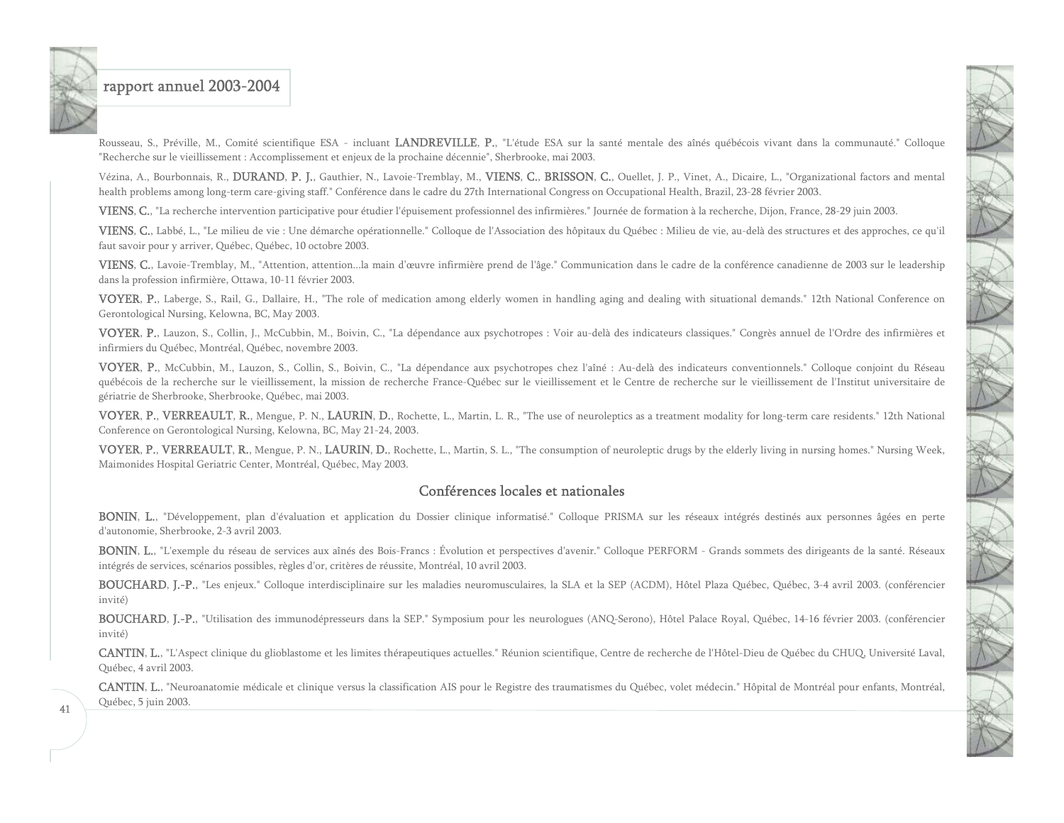

Rousseau, S., Préville, M., Comité scientifique ESA - incluant LANDREVILLE, P., "L'étude ESA sur la santé mentale des aînés québécois vivant dans la communauté." Colloque "Recherche sur le vieillissement : Accomplissement et enjeux de la prochaine décennie", Sherbrooke, mai 2003.

Vézina, A., Bourbonnais, R., DURAND, P. J., Gauthier, N., Lavoie-Tremblay, M., VIENS, C., BRISSON, C., Ouellet, J. P., Vinet, A., Dicaire, L., "Organizational factors and mental health problems among long-term care-giving staff." Conférence dans le cadre du 27th International Congress on Occupational Health, Brazil, 23-28 février 2003.

VIENS, C., "La recherche intervention participative pour étudier l'épuisement professionnel des infirmières." Journée de formation à la recherche, Dijon, France, 28-29 juin 2003.

VIENS, C., Labbé, L., "Le milieu de vie : Une démarche opérationnelle." Colloque de l'Association des hôpitaux du Québec : Milieu de vie, au-delà des structures et des approches, ce qu'il faut savoir pour y arriver, Québec, Québec, 10 octobre 2003.

VIENS, C., Lavoie-Tremblay, M., "Attention, attention...la main d'œuvre infirmière prend de l'âge." Communication dans le cadre de la conférence canadienne de 2003 sur le leadership dans la profession infirmière, Ottawa, 10-11 février 2003.

VOYER, P., Laberge, S., Rail, G., Dallaire, H., "The role of medication among elderly women in handling aging and dealing with situational demands." 12th National Conference on Gerontological Nursing, Kelowna, BC, May 2003.

VOYER, P., Lauzon, S., Collin, J., McCubbin, M., Boivin, C., "La dépendance aux psychotropes : Voir au-delà des indicateurs classiques." Congrès annuel de l'Ordre des infirmières et infirmiers du Québec, Montréal, Québec, novembre 2003.

VOYER, P., McCubbin, M., Lauzon, S., Collin, S., Boivin, C., "La dépendance aux psychotropes chez l'aîné : Au-delà des indicateurs conventionnels." Colloque conjoint du Réseau québécois de la recherche sur le vieillissement, la mission de recherche France-Québec sur le vieillissement et le Centre de recherche sur le vieillissement de l'Institut universitaire de gériatrie de Sherbrooke, Sherbrooke, Québec, mai 2003.

VOYER, P., VERREAULT, R., Mengue, P. N., LAURIN, D., Rochette, L., Martin, L. R., "The use of neuroleptics as a treatment modality for long-term care residents." 12th National Conference on Gerontological Nursing, Kelowna, BC, May 21-24, 2003.

VOYER, P., VERREAULT, R., Mengue, P. N., LAURIN, D., Rochette, L., Martin, S. L., "The consumption of neuroleptic drugs by the elderly living in nursing homes." Nursing Week, Maimonides Hospital Geriatric Center, Montréal, Québec, May 2003.

#### Conférences locales et nationales

BONIN, L., "Développement, plan d'évaluation et application du Dossier clinique informatisé." Colloque PRISMA sur les réseaux intégrés destinés aux personnes âgées en perte d'autonomie, Sherbrooke, 2-3 avril 2003.

BONIN, L., "L'exemple du réseau de services aux aînés des Bois-Francs : Évolution et perspectives d'avenir." Colloque PERFORM - Grands sommets des dirigeants de la santé. Réseaux intégrés de services, scénarios possibles, règles d'or, critères de réussite, Montréal, 10 avril 2003.

BOUCHARD, J.-P., "Les enjeux." Colloque interdisciplinaire sur les maladies neuromusculaires, la SLA et la SEP (ACDM), Hôtel Plaza Québec, Québec, 3-4 avril 2003. (conférencier invité)

BOUCHARD, J.-P., "Utilisation des immunodépresseurs dans la SEP." Symposium pour les neurologues (ANQ-Serono), Hôtel Palace Royal, Québec, 14-16 février 2003. (conférencier invité)

CANTIN, L., "L'Aspect clinique du glioblastome et les limites thérapeutiques actuelles." Réunion scientifique, Centre de recherche de l'Hôtel-Dieu de Québec du CHUQ, Université Laval, Québec, 4 avril 2003.

CANTIN, L., "Neuroanatomie médicale et clinique versus la classification AIS pour le Registre des traumatismes du Québec, volet médecin." Hôpital de Montréal pour enfants, Montréal, Québec, 5 juin 2003.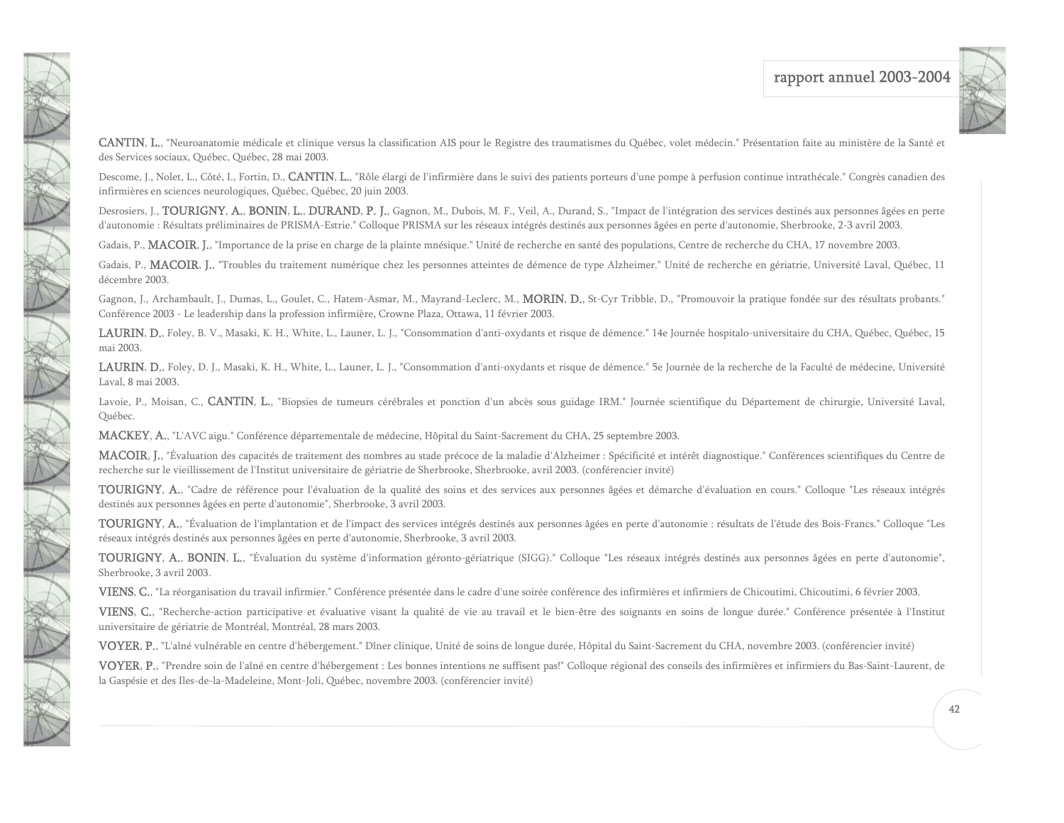

CANTIN, L., "Neuroanatomie médicale et clinique versus la classification AIS pour le Registre des traumatismes du Québec, volet médecin." Présentation faite au ministère de la Santé et des Services sociaux, Québec, Québec, 28 mai 2003.

Descome, J., Nolet, L., Côté, I., Fortin, D., CANTIN, L., "Rôle élargi de l'infirmière dans le suivi des patients porteurs d'une pompe à perfusion continue intrathécale." Congrès canadien des infirmières en sciences neurologiques, Québec, Québec, 20 juin 2003.

Desrosiers, J., TOURIGNY, A., BONIN, L., DURAND, P. J., Gagnon, M., Dubois, M. F., Veil, A., Durand, S., "Impact de l'intégration des services destinés aux personnes âgées en perte d'autonomie : Résultats préliminaires de PRISMA-Estrie." Colloque PRISMA sur les réseaux intégrés destinés aux personnes âgées en perte d'autonomie, Sherbrooke, 2-3 avril 2003.

Gadais, P., **MACOIR**, J., "Importance de la prise en charge de la plainte mnésique." Unité de recherche en santé des populations, Centre de recherche du CHA, 17 novembre 2003.

Gadais, P., MACOIR, J., "Troubles du traitement numérique chez les personnes atteintes de démence de type Alzheimer." Unité de recherche en gériatrie, Université Laval, Québec, 11 décembre 2003.

Gagnon, J., Archambault, J., Dumas, L., Goulet, C., Hatem-Asmar, M., Mayrand-Leclerc, M., **MORIN, D.**, St-Cyr Tribble, D., "Promouvoir la pratique fondée sur des résultats probants." Conférence 2003 - Le leadership dans la profession infirmière, Crowne Plaza, Ottawa, 11 février 2003.

LAURIN, D., Foley, B. V., Masaki, K. H., White, L., Launer, L. J., "Consommation d'anti-oxydants et risque de démence." 14e Journée hospitalo-universitaire du CHA, Québec, Québec, 15 mai 2003.

LAURIN, D., Foley, D. J., Masaki, K. H., White, L., Launer, L. J., "Consommation d'anti-oxydants et risque de démence." 5e Journée de la recherche de la Faculté de médecine, Université Laval, 8 mai 2003.

Lavoie, P., Moisan, C., CANTIN, L., "Biopsies de tumeurs cérébrales et ponction d'un abcès sous guidage IRM." Journée scientifique du Département de chirurgie, Université Laval, Québec.

MACKEY, A., "L'AVC aigu." Conférence départementale de médecine, Hôpital du Saint-Sacrement du CHA, 25 septembre 2003.

NOTE OF

N R

MACOIR, J., "Évaluation des capacités de traitement des nombres au stade précoce de la maladie d'Alzheimer : Spécificité et intérêt diagnostique." Conférences scientifiques du Centre de recherche sur le vieillissement de l'Institut universitaire de gériatrie de Sherbrooke, Sherbrooke, avril 2003. (conférencier invité)

TOURIGNY, A., "Cadre de référence pour l'évaluation de la qualité des soins et des services aux personnes âgées et démarche d'évaluation en cours." Colloque "Les réseaux intégrés destinés aux personnes âgées en perte d'autonomie", Sherbrooke, 3 avril 2003.

TOURIGNY, A., "Évaluation de l'implantation et de l'impact des services intégrés destinés aux personnes âgées en perte d'autonomie : résultats de l'étude des Bois-Francs." Colloque "Les réseaux intégrés destinés aux personnes âgées en perte d'autonomie, Sherbrooke, 3 avril 2003.

TOURIGNY, A., BONIN, L., "Évaluation du système d'information géronto-gériatrique (SIGG)." Colloque "Les réseaux intégrés destinés aux personnes âgées en perte d'autonomie", Sherbrooke, 3 avril 2003.

VIENS, C., "La réorganisation du travail infirmier." Conférence présentée dans le cadre d'une soirée conférence des infirmières et infirmiers de Chicoutimi, Chicoutimi, 6 février 2003.

VIENS, C., "Recherche-action participative et évaluative visant la qualité de vie au travail et le bien-être des soignants en soins de longue durée." Conférence présentée à l'Institut universitaire de gériatrie de Montréal, Montréal, 28 mars 2003.

VOYER, P., "L'aîné vulnérable en centre d'hébergement." Dîner clinique, Unité de soins de longue durée, Hôpital du Saint-Sacrement du CHA, novembre 2003. (conférencier invité)

VOYER, P., "Prendre soin de l'aîné en centre d'hébergement : Les bonnes intentions ne suffisent pas!" Colloque régional des conseils des infirmières et infirmiers du Bas-Saint-Laurent, de la Gaspésie et des Iles-de-la-Madeleine, Mont-Joli, Québec, novembre 2003. (conférencier invité)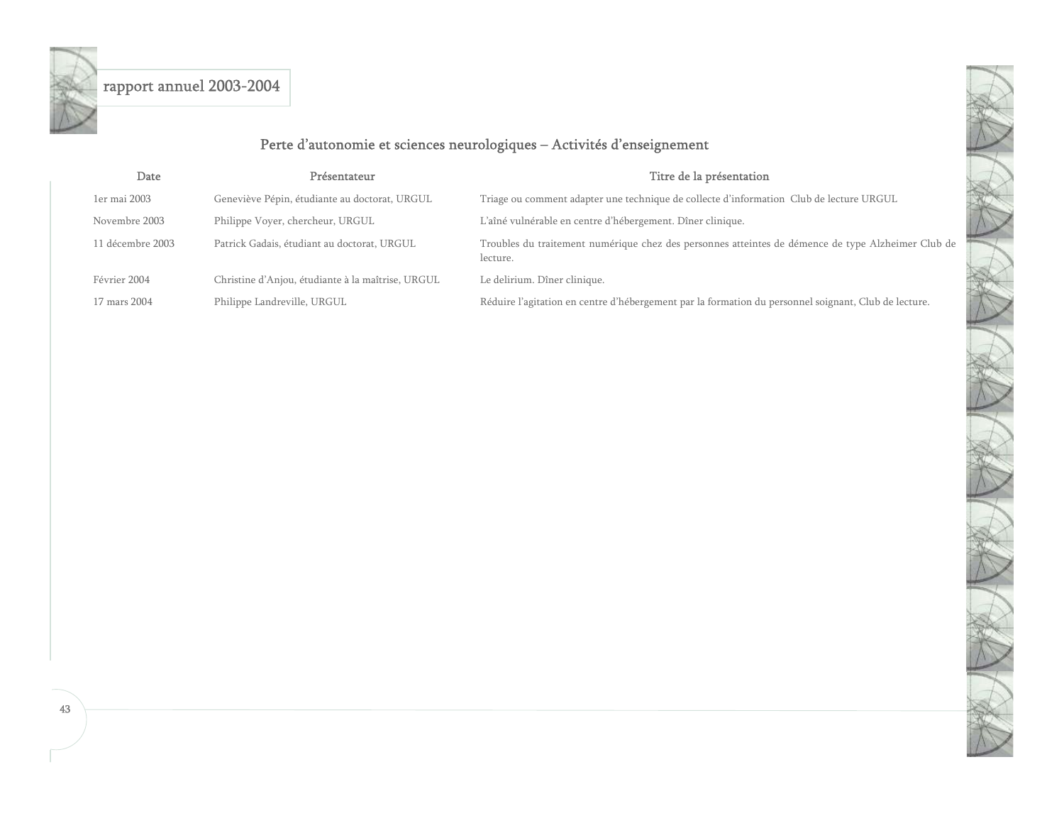<span id="page-43-0"></span>

## Perte d'autonomie et sciences neurologiques – Activités d'enseignement

| Date             | Présentateur                                      | Titre de la présentation                                                                                       |
|------------------|---------------------------------------------------|----------------------------------------------------------------------------------------------------------------|
| 1er mai 2003     | Geneviève Pépin, étudiante au doctorat, URGUL     | Triage ou comment adapter une technique de collecte d'information Club de lecture URGUL                        |
| Novembre 2003    | Philippe Voyer, chercheur, URGUL                  | L'aîné vulnérable en centre d'hébergement. Dîner clinique.                                                     |
| 11 décembre 2003 | Patrick Gadais, étudiant au doctorat, URGUL       | Troubles du traitement numérique chez des personnes atteintes de démence de type Alzheimer Club de<br>lecture. |
| Février 2004     | Christine d'Anjou, étudiante à la maîtrise, URGUL | Le delirium. Dîner clinique.                                                                                   |
| 17 mars 2004     | Philippe Landreville, URGUL                       | Réduire l'agitation en centre d'hébergement par la formation du personnel soignant, Club de lecture.           |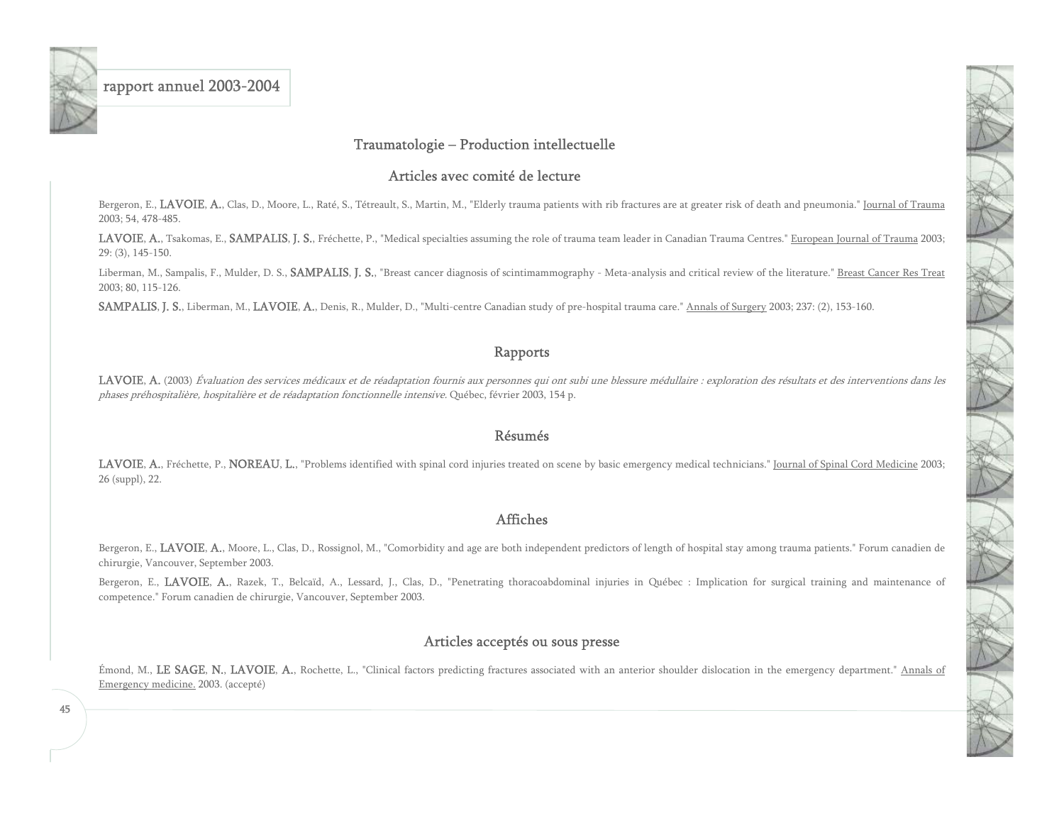<span id="page-45-0"></span>

#### Traumatologie – Production intellectuelle

#### Articles avec comité de lecture

Bergeron, E., LAVOIE, A., Clas, D., Moore, L., Raté, S., Tétreault, S., Martin, M., "Elderly trauma patients with rib fractures are at greater risk of death and pneumonia." Journal of Trauma 2003; 54, 478-485.

LAVOIE, A., Tsakomas, E., SAMPALIS, J. S., Fréchette, P., "Medical specialties assuming the role of trauma team leader in Canadian Trauma Centres." European Journal of Trauma 2003; 29: (3), 145-150.

Liberman, M., Sampalis, F., Mulder, D. S., SAMPALIS, J. S., "Breast cancer diagnosis of scintimammography - Meta-analysis and critical review of the literature." Breast Cancer Res Treat 2003; 80, 115-126.

SAMPALIS, J. S., Liberman, M., LAVOIE, A., Denis, R., Mulder, D., "Multi-centre Canadian study of pre-hospital trauma care." Annals of Surgery 2003; 237: (2), 153-160.

#### Rapports

LAVOIE, A. (2003) Évaluation des services médicaux et de réadaptation fournis aux personnes qui ont subi une blessure médullaire : exploration des résultats et des interventions dans les phases préhospitalière, hospitalière et de réadaptation fonctionnelle intensive. Québec, février 2003, 154 p.

#### Résumés

LAVOIE, A., Fréchette, P., NOREAU, L., "Problems identified with spinal cord injuries treated on scene by basic emergency medical technicians." Journal of Spinal Cord Medicine 2003; 26 (suppl), 22.

#### Affiches

Bergeron, E., LAVOIE, A., Moore, L., Clas, D., Rossignol, M., "Comorbidity and age are both independent predictors of length of hospital stay among trauma patients." Forum canadien de chirurgie, Vancouver, September 2003.

Bergeron, E., LAVOIE, A., Razek, T., Belcaïd, A., Lessard, J., Clas, D., "Penetrating thoracoabdominal injuries in Québec : Implication for surgical training and maintenance of competence." Forum canadien de chirurgie, Vancouver, September 2003.

### Articles acceptés ou sous presse

Émond, M., LE SAGE, N., LAVOIE, A., Rochette, L., "Clinical factors predicting fractures associated with an anterior shoulder dislocation in the emergency department." Annals of Emergency medicine. 2003. (accepté)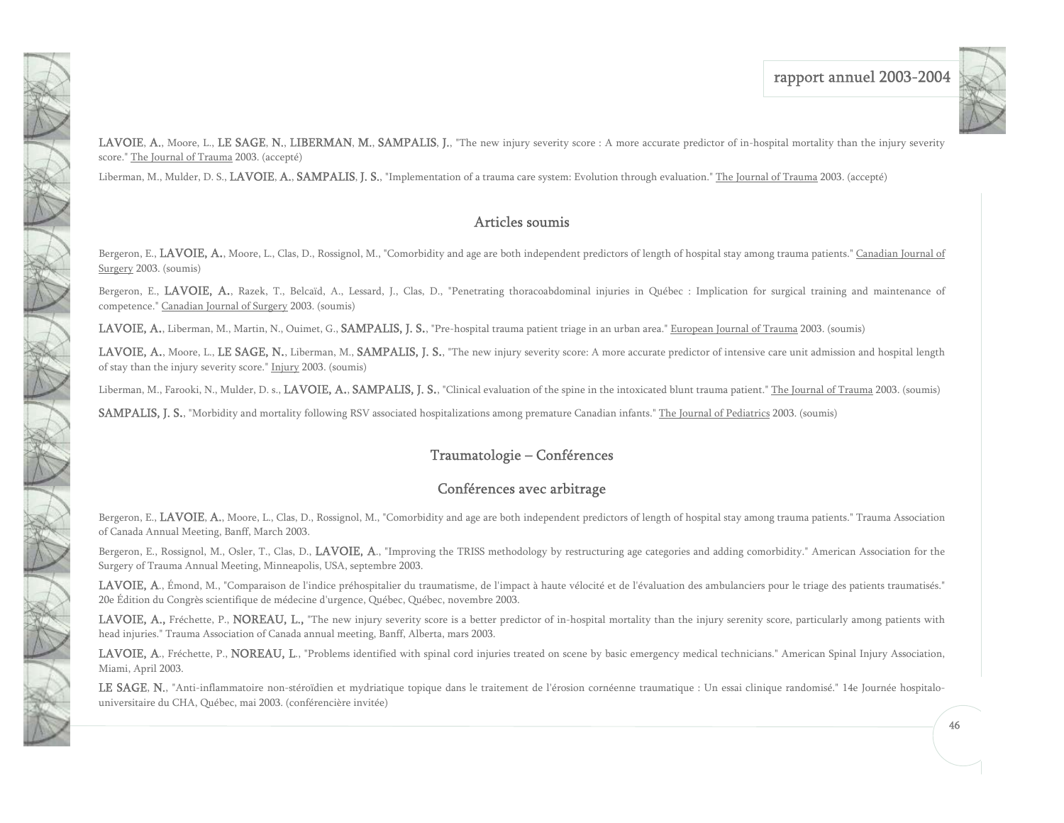

LAVOIE, A., Moore, L., LE SAGE, N., LIBERMAN, M., SAMPALIS, J., "The new injury severity score : A more accurate predictor of in-hospital mortality than the injury severity score." The Journal of Trauma 2003. (accepté)

Liberman, M., Mulder, D. S., LAVOIE, A., SAMPALIS, J. S., "Implementation of a trauma care system: Evolution through evaluation." The Journal of Trauma 2003. (accepté)

<span id="page-46-0"></span>美人

JAN

医子科学

### Articles soumis

Bergeron, E., LAVOIE, A., Moore, L., Clas, D., Rossignol, M., "Comorbidity and age are both independent predictors of length of hospital stay among trauma patients." Canadian Journal of Surgery 2003. (soumis)

Bergeron, E., LAVOIE, A., Razek, T., Belcaïd, A., Lessard, J., Clas, D., "Penetrating thoracoabdominal injuries in Québec : Implication for surgical training and maintenance of competence." Canadian Journal of Surgery 2003. (soumis)

LAVOIE, A., Liberman, M., Martin, N., Ouimet, G., SAMPALIS, J. S., "Pre-hospital trauma patient triage in an urban area." European Journal of Trauma 2003. (soumis)

LAVOIE, A., Moore, L., LE SAGE, N., Liberman, M., SAMPALIS, J. S., "The new injury severity score: A more accurate predictor of intensive care unit admission and hospital length of stay than the injury severity score." Injury 2003. (soumis)

Liberman, M., Farooki, N., Mulder, D. s., LAVOIE, A., SAMPALIS, J. S., "Clinical evaluation of the spine in the intoxicated blunt trauma patient." The Journal of Trauma 2003. (soumis)

SAMPALIS, J. S., "Morbidity and mortality following RSV associated hospitalizations among premature Canadian infants." The Journal of Pediatrics 2003. (soumis)

### Traumatologie – Conférences

### Conférences avec arbitrage

Bergeron, E., LAVOIE, A., Moore, L., Clas, D., Rossignol, M., "Comorbidity and age are both independent predictors of length of hospital stay among trauma patients." Trauma Association of Canada Annual Meeting, Banff, March 2003.

Bergeron, E., Rossignol, M., Osler, T., Clas, D., LAVOIE, A., "Improving the TRISS methodology by restructuring age categories and adding comorbidity." American Association for the Surgery of Trauma Annual Meeting, Minneapolis, USA, septembre 2003.

LAVOIE, A., Émond, M., "Comparaison de l'indice préhospitalier du traumatisme, de l'impact à haute vélocité et de l'évaluation des ambulanciers pour le triage des patients traumatisés." 20e Édition du Congrès scientifique de médecine d'urgence, Québec, Québec, novembre 2003.

LAVOIE, A., Fréchette, P., NOREAU, L., "The new injury severity score is a better predictor of in-hospital mortality than the injury serenity score, particularly among patients with head injuries." Trauma Association of Canada annual meeting, Banff, Alberta, mars 2003.

LAVOIE, A., Fréchette, P., NOREAU, L., "Problems identified with spinal cord injuries treated on scene by basic emergency medical technicians." American Spinal Injury Association, Miami, April 2003.

LE SAGE, N., "Anti-inflammatoire non-stéroïdien et mydriatique topique dans le traitement de l'érosion cornéenne traumatique : Un essai clinique randomisé." 14e Journée hospitalouniversitaire du CHA, Québec, mai 2003. (conférencière invitée)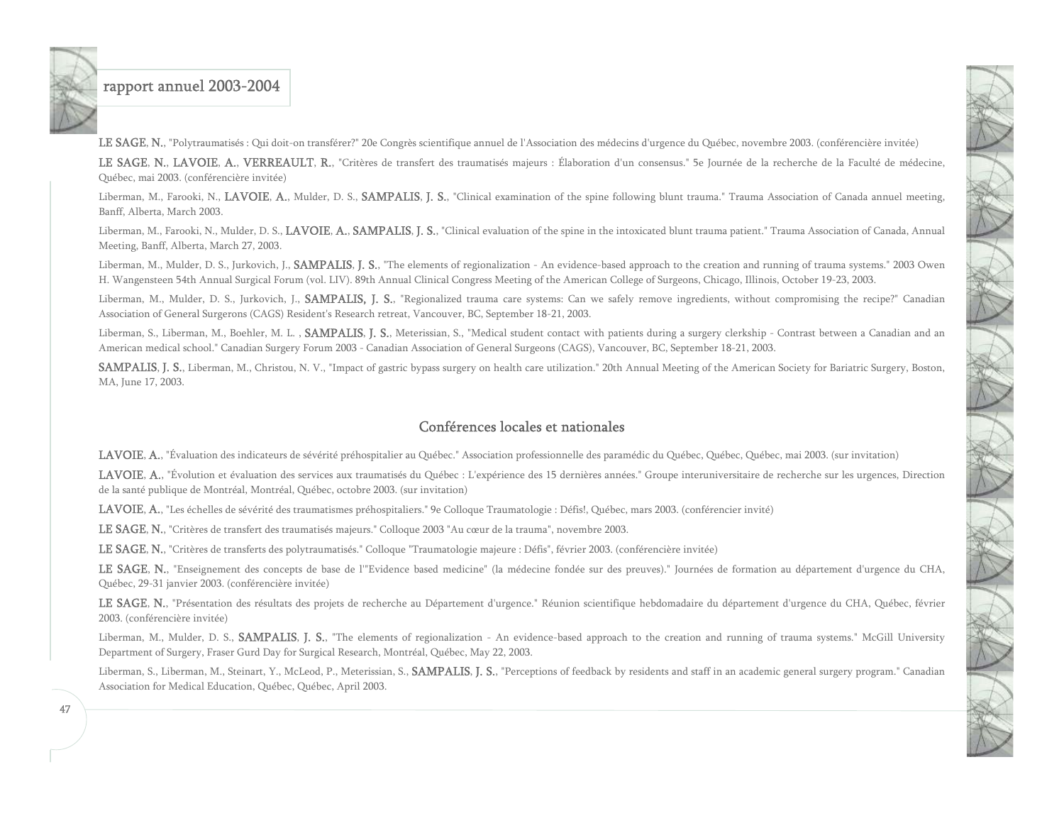LE SAGE, N., "Polytraumatisés : Qui doit-on transférer?" 20e Congrès scientifique annuel de l'Association des médecins d'urgence du Québec, novembre 2003. (conférencière invitée)

LE SAGE, N., LAVOIE, A., VERREAULT, R., "Critères de transfert des traumatisés majeurs : Élaboration d'un consensus." 5e Journée de la recherche de la Faculté de médecine, Québec, mai 2003. (conférencière invitée)

Liberman, M., Farooki, N., LAVOIE, A., Mulder, D. S., SAMPALIS, J. S., "Clinical examination of the spine following blunt trauma." Trauma Association of Canada annuel meeting, Banff, Alberta, March 2003.

Liberman, M., Farooki, N., Mulder, D. S., LAVOIE, A., SAMPALIS, J. S., "Clinical evaluation of the spine in the intoxicated blunt trauma patient." Trauma Association of Canada, Annual Meeting, Banff, Alberta, March 27, 2003.

Liberman, M., Mulder, D. S., Jurkovich, J., SAMPALIS, J. S., "The elements of regionalization - An evidence-based approach to the creation and running of trauma systems." 2003 Owen H. Wangensteen 54th Annual Surgical Forum (vol. LIV). 89th Annual Clinical Congress Meeting of the American College of Surgeons, Chicago, Illinois, October 19-23, 2003.

Liberman, M., Mulder, D. S., Jurkovich, J., SAMPALIS, J. S., "Regionalized trauma care systems: Can we safely remove ingredients, without compromising the recipe?" Canadian Association of General Surgerons (CAGS) Resident's Research retreat, Vancouver, BC, September 18-21, 2003.

Liberman, S., Liberman, M., Boehler, M. L., SAMPALIS, J. S., Meterissian, S., "Medical student contact with patients during a surgery clerkship - Contrast between a Canadian and an American medical school." Canadian Surgery Forum 2003 - Canadian Association of General Surgeons (CAGS), Vancouver, BC, September 18-21, 2003.

SAMPALIS, J. S., Liberman, M., Christou, N. V., "Impact of gastric bypass surgery on health care utilization." 20th Annual Meeting of the American Society for Bariatric Surgery, Boston, MA, June 17, 2003.

#### Conférences locales et nationales

LAVOIE, A., "Évaluation des indicateurs de sévérité préhospitalier au Québec." Association professionnelle des paramédic du Québec, Québec, Québec, mai 2003. (sur invitation)

LAVOIE, A., "Évolution et évaluation des services aux traumatisés du Québec : L'expérience des 15 dernières années." Groupe interuniversitaire de recherche sur les urgences, Direction de la santé publique de Montréal, Montréal, Québec, octobre 2003. (sur invitation)

LAVOIE, A., "Les échelles de sévérité des traumatismes préhospitaliers." 9e Colloque Traumatologie : Défis!, Québec, mars 2003. (conférencier invité)

LE SAGE, N., "Critères de transfert des traumatisés majeurs." Colloque 2003 "Au cœur de la trauma", novembre 2003.

LE SAGE, N., "Critères de transferts des polytraumatisés." Colloque "Traumatologie majeure : Défis", février 2003. (conférencière invitée)

LE SAGE, N., "Enseignement des concepts de base de l'"Evidence based medicine" (la médecine fondée sur des preuves)." Journées de formation au département d'urgence du CHA, Québec, 29-31 janvier 2003. (conférencière invitée)

LE SAGE, N., "Présentation des résultats des projets de recherche au Département d'urgence." Réunion scientifique hebdomadaire du département d'urgence du CHA, Québec, février 2003. (conférencière invitée)

Liberman, M., Mulder, D. S., SAMPALIS, J. S., "The elements of regionalization - An evidence-based approach to the creation and running of trauma systems." McGill University Department of Surgery, Fraser Gurd Day for Surgical Research, Montréal, Québec, May 22, 2003.

Liberman, S., Liberman, M., Steinart, Y., McLeod, P., Meterissian, S., SAMPALIS, J. S., "Perceptions of feedback by residents and staff in an academic general surgery program." Canadian Association for Medical Education, Québec, Québec, April 2003.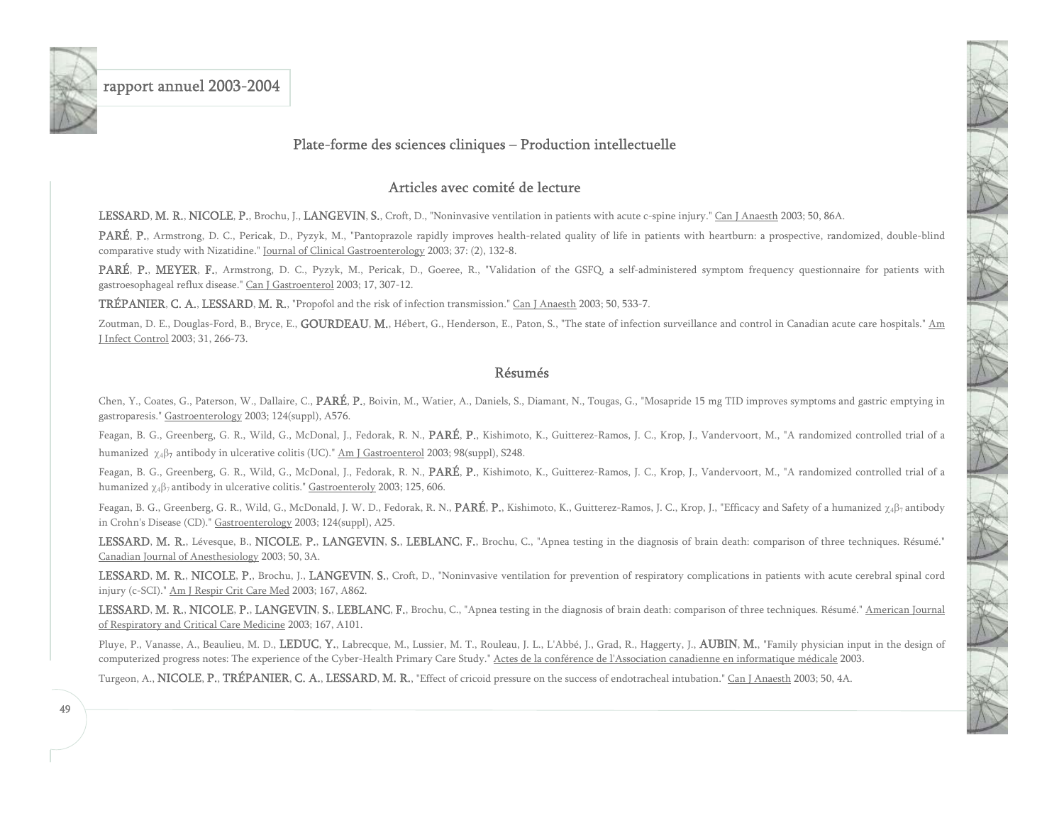<span id="page-49-0"></span>

#### Plate-forme des sciences cliniques – Production intellectuelle

#### Articles avec comité de lecture

LESSARD, M. R., NICOLE, P., Brochu, J., LANGEVIN, S., Croft, D., "Noninvasive ventilation in patients with acute c-spine injury." Can J Anaesth 2003; 50, 86A.

PARÉ, P., Armstrong, D. C., Pericak, D., Pyzyk, M., "Pantoprazole rapidly improves health-related quality of life in patients with heartburn: a prospective, randomized, double-blind comparative study with Nizatidine." Journal of Clinical Gastroenterology 2003; 37: (2), 132-8.

PARÉ, P., MEYER, F., Armstrong, D. C., Pyzyk, M., Pericak, D., Goeree, R., "Validation of the GSFQ, a self-administered symptom frequency questionnaire for patients with gastroesophageal reflux disease." Can J Gastroenterol 2003; 17, 307-12.

TRÉPANIER, C. A., LESSARD, M. R., "Propofol and the risk of infection transmission." Can J Anaesth 2003; 50, 533-7.

Zoutman, D. E., Douglas-Ford, B., Bryce, E., GOURDEAU, M., Hébert, G., Henderson, E., Paton, S., "The state of infection surveillance and control in Canadian acute care hospitals." Am J Infect Control 2003; 31, 266-73.

#### Résumés

Chen, Y., Coates, G., Paterson, W., Dallaire, C., PARÉ, P., Boivin, M., Watier, A., Daniels, S., Diamant, N., Tougas, G., "Mosapride 15 mg TID improves symptoms and gastric emptying in gastroparesis." Gastroenterology 2003; 124(suppl), A576.

Feagan, B. G., Greenberg, G. R., Wild, G., McDonal, J., Fedorak, R. N., PARÉ, P., Kishimoto, K., Guitterez-Ramos, J. C., Krop, J., Vandervoort, M., "A randomized controlled trial of a humanized  $\chi_4\beta_7$  antibody in ulcerative colitis (UC)." Am J Gastroenterol 2003; 98(suppl), S248.

Feagan, B. G., Greenberg, G. R., Wild, G., McDonal, J., Fedorak, R. N., PARÉ, P., Kishimoto, K., Guitterez-Ramos, J. C., Krop, J., Vandervoort, M., "A randomized controlled trial of a humanized  $\chi_4\beta_7$  antibody in ulcerative colitis." Gastroenteroly 2003; 125, 606.

Feagan, B. G., Greenberg, G. R., Wild, G., McDonald, J. W. D., Fedorak, R. N., PARÉ, P., Kishimoto, K., Guitterez-Ramos, J. C., Krop, J., "Efficacy and Safety of a humanized  $\gamma_4\beta_7$  antibody in Crohn's Disease (CD)." Gastroenterology 2003; 124(suppl), A25.

LESSARD, M. R., Lévesque, B., NICOLE, P., LANGEVIN, S., LEBLANC, F., Brochu, C., "Apnea testing in the diagnosis of brain death: comparison of three techniques. Résumé." Canadian Journal of Anesthesiology 2003; 50, 3A.

LESSARD, M. R., NICOLE, P., Brochu, J., LANGEVIN, S., Croft, D., "Noninvasive ventilation for prevention of respiratory complications in patients with acute cerebral spinal cord injury (c-SCI)." Am J Respir Crit Care Med 2003; 167, A862.

LESSARD, M. R., NICOLE, P., LANGEVIN, S., LEBLANC, F., Brochu, C., "Apnea testing in the diagnosis of brain death: comparison of three techniques. Résumé." American Journal of Respiratory and Critical Care Medicine 2003; 167, A101.

Pluye, P., Vanasse, A., Beaulieu, M. D., LEDUC, Y., Labrecque, M., Lussier, M. T., Rouleau, J. L., L'Abbé, J., Grad, R., Haggerty, J., **AUBIN, M.**, "Family physician input in the design of computerized progress notes: The experience of the Cyber-Health Primary Care Study." Actes de la conférence de l'Association canadienne en informatique médicale 2003.

Turgeon, A., NICOLE, P., TRÉPANIER, C. A., LESSARD, M. R., "Effect of cricoid pressure on the success of endotracheal intubation." Can J Anaesth 2003; 50, 4A.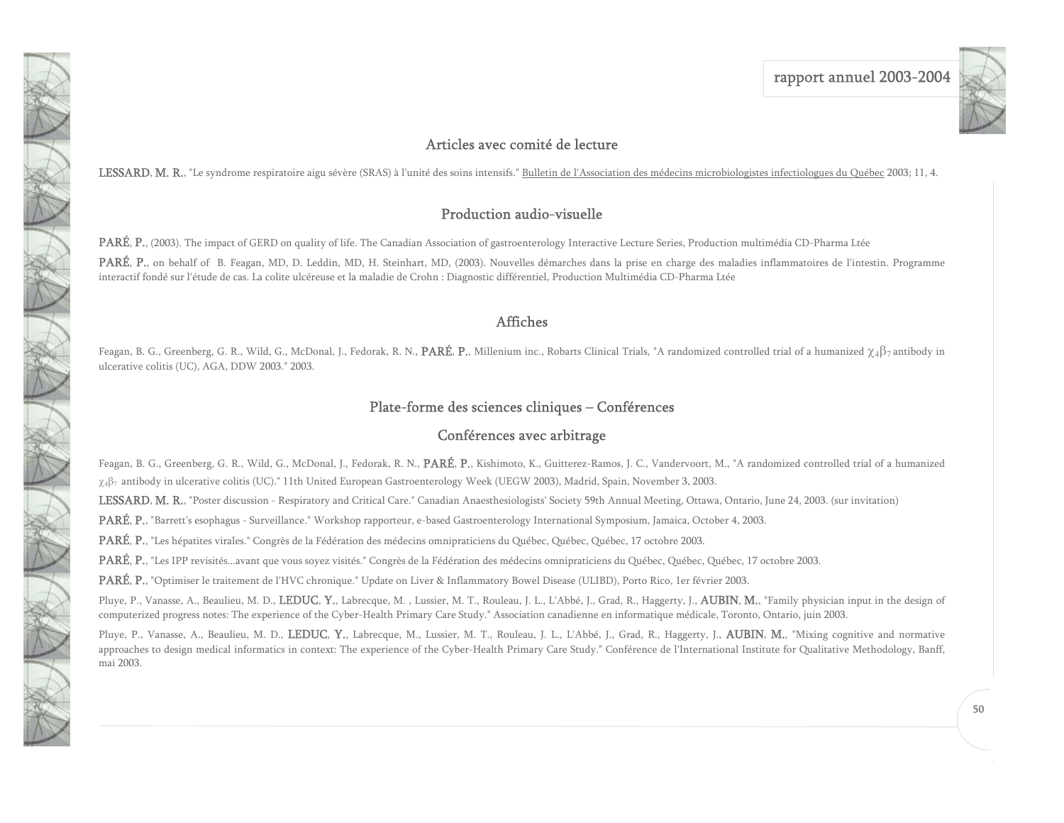

### Articles avec comité de lecture

<span id="page-50-0"></span>LESSARD, M. R., "Le syndrome respiratoire aigu sévère (SRAS) à l'unité des soins intensifs." Bulletin de l'Association des médecins microbiologistes infectiologues du Québec 2003; 11, 4.

### Production audio-visuelle

PARÉ, P., (2003). The impact of GERD on quality of life. The Canadian Association of gastroenterology Interactive Lecture Series, Production multimédia CD-Pharma Ltée

PARÉ, P., on behalf of B. Feagan, MD, D. Leddin, MD, H. Steinhart, MD, (2003). Nouvelles démarches dans la prise en charge des maladies inflammatoires de l'intestin. Programme interactif fondé sur l'étude de cas. La colite ulcéreuse et la maladie de Crohn : Diagnostic différentiel, Production Multimédia CD-Pharma Ltée

#### Affiches

Feagan, B. G., Greenberg, G. R., Wild, G., McDonal, J., Fedorak, R. N., PARÉ, P., Millenium inc., Robarts Clinical Trials, "A randomized controlled trial of a humanized  $\chi_4\beta_7$  antibody in ulcerative colitis (UC), AGA, DDW 2003." 2003.

### Plate-forme des sciences cliniques – Conférences

#### Conférences avec arbitrage

Feagan, B. G., Greenberg, G. R., Wild, G., McDonal, J., Fedorak, R. N., PARÉ, P., Kishimoto, K., Guitterez-Ramos, J. C., Vandervoort, M., "A randomized controlled trial of a humanized χ4β7 antibody in ulcerative colitis (UC)." 11th United European Gastroenterology Week (UEGW 2003), Madrid, Spain, November 3, 2003.

LESSARD, M. R., "Poster discussion - Respiratory and Critical Care." Canadian Anaesthesiologists' Society 59th Annual Meeting, Ottawa, Ontario, June 24, 2003. (sur invitation)

PARÉ, P., "Barrett's esophagus - Surveillance." Workshop rapporteur, e-based Gastroenterology International Symposium, Jamaica, October 4, 2003.

PARÉ, P., "Les hépatites virales." Congrès de la Fédération des médecins omnipraticiens du Québec, Québec, Québec, 17 octobre 2003.

PARÉ, P., "Les IPP revisités...avant que vous soyez visités." Congrès de la Fédération des médecins omnipraticiens du Québec, Québec, Québec, 17 octobre 2003.

PARÉ, P., "Optimiser le traitement de l'HVC chronique." Update on Liver & Inflammatory Bowel Disease (ULIBD), Porto Rico, 1er février 2003.

Pluye, P., Vanasse, A., Beaulieu, M. D., LEDUC, Y., Labrecque, M., Lussier, M. T., Rouleau, J. L., L'Abbé, J., Grad, R., Haggerty, J., AUBIN, M., "Family physician input in the design of computerized progress notes: The experience of the Cyber-Health Primary Care Study." Association canadienne en informatique médicale, Toronto, Ontario, juin 2003.

Pluye, P., Vanasse, A., Beaulieu, M. D., LEDUC, Y., Labrecque, M., Lussier, M. T., Rouleau, J. L., L'Abbé, J., Grad, R., Haggerty, J., AUBIN, M., "Mixing cognitive and normative approaches to design medical informatics in context: The experience of the Cyber-Health Primary Care Study." Conférence de l'International Institute for Qualitative Methodology, Banff, mai 2003.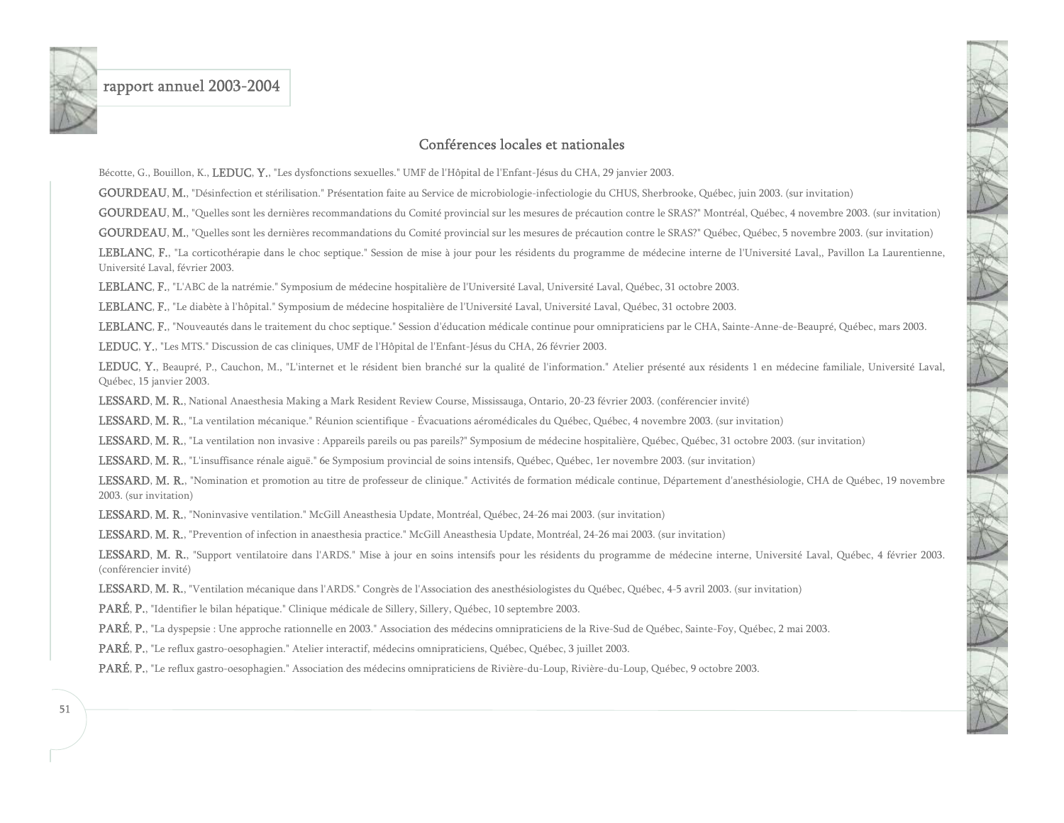

#### Conférences locales et nationales

Bécotte, G., Bouillon, K., LEDUC, Y., "Les dysfonctions sexuelles." UMF de l'Hôpital de l'Enfant-Jésus du CHA, 29 janvier 2003.

GOURDEAU, M., "Désinfection et stérilisation." Présentation faite au Service de microbiologie-infectiologie du CHUS, Sherbrooke, Québec, juin 2003. (sur invitation)

GOURDEAU, M., "Quelles sont les dernières recommandations du Comité provincial sur les mesures de précaution contre le SRAS?" Montréal, Québec, 4 novembre 2003. (sur invitation)

GOURDEAU, M., "Quelles sont les dernières recommandations du Comité provincial sur les mesures de précaution contre le SRAS?" Québec, Québec, 5 novembre 2003. (sur invitation)

LEBLANC, F., "La corticothérapie dans le choc septique." Session de mise à jour pour les résidents du programme de médecine interne de l'Université Laval,, Pavillon La Laurentienne, Université Laval, février 2003.

LEBLANC, F., "L'ABC de la natrémie." Symposium de médecine hospitalière de l'Université Laval, Université Laval, Québec, 31 octobre 2003.

LEBLANC, F., "Le diabète à l'hôpital." Symposium de médecine hospitalière de l'Université Laval, Université Laval, Québec, 31 octobre 2003.

LEBLANC, F., "Nouveautés dans le traitement du choc septique." Session d'éducation médicale continue pour omnipraticiens par le CHA, Sainte-Anne-de-Beaupré, Québec, mars 2003.

LEDUC, Y., "Les MTS." Discussion de cas cliniques, UMF de l'Hôpital de l'Enfant-Jésus du CHA, 26 février 2003.

LEDUC, Y., Beaupré, P., Cauchon, M., "L'internet et le résident bien branché sur la qualité de l'information." Atelier présenté aux résidents 1 en médecine familiale, Université Laval, Québec, 15 janvier 2003.

LESSARD, M. R., National Anaesthesia Making a Mark Resident Review Course, Mississauga, Ontario, 20-23 février 2003. (conférencier invité)

LESSARD, M. R., "La ventilation mécanique." Réunion scientifique - Évacuations aéromédicales du Québec, Québec, 4 novembre 2003. (sur invitation)

LESSARD, M. R., "La ventilation non invasive : Appareils pareils ou pas pareils?" Symposium de médecine hospitalière, Québec, Québec, 31 octobre 2003. (sur invitation)

LESSARD, M. R., "L'insuffisance rénale aiguë." 6e Symposium provincial de soins intensifs, Québec, Québec, 1er novembre 2003. (sur invitation)

LESSARD, M. R., "Nomination et promotion au titre de professeur de clinique." Activités de formation médicale continue, Département d'anesthésiologie, CHA de Québec, 19 novembre 2003. (sur invitation)

LESSARD, M. R., "Noninvasive ventilation." McGill Aneasthesia Update, Montréal, Québec, 24-26 mai 2003. (sur invitation)

LESSARD, M. R., "Prevention of infection in anaesthesia practice." McGill Aneasthesia Update, Montréal, 24-26 mai 2003. (sur invitation)

LESSARD, M. R., "Support ventilatoire dans l'ARDS." Mise à jour en soins intensifs pour les résidents du programme de médecine interne, Université Laval, Québec, 4 février 2003. (conférencier invité)

LESSARD, M. R., "Ventilation mécanique dans l'ARDS." Congrès de l'Association des anesthésiologistes du Québec, Québec, 4-5 avril 2003. (sur invitation)

PARÉ, P., "Identifier le bilan hépatique." Clinique médicale de Sillery, Sillery, Québec, 10 septembre 2003.

PARÉ, P., "La dyspepsie : Une approche rationnelle en 2003." Association des médecins omnipraticiens de la Rive-Sud de Québec, Sainte-Foy, Québec, 2 mai 2003.

PARÉ, P., "Le reflux gastro-oesophagien." Atelier interactif, médecins omnipraticiens, Québec, Québec, 3 juillet 2003.

PARÉ, P., "Le reflux gastro-oesophagien." Association des médecins omnipraticiens de Rivière-du-Loup, Rivière-du-Loup, Québec, 9 octobre 2003.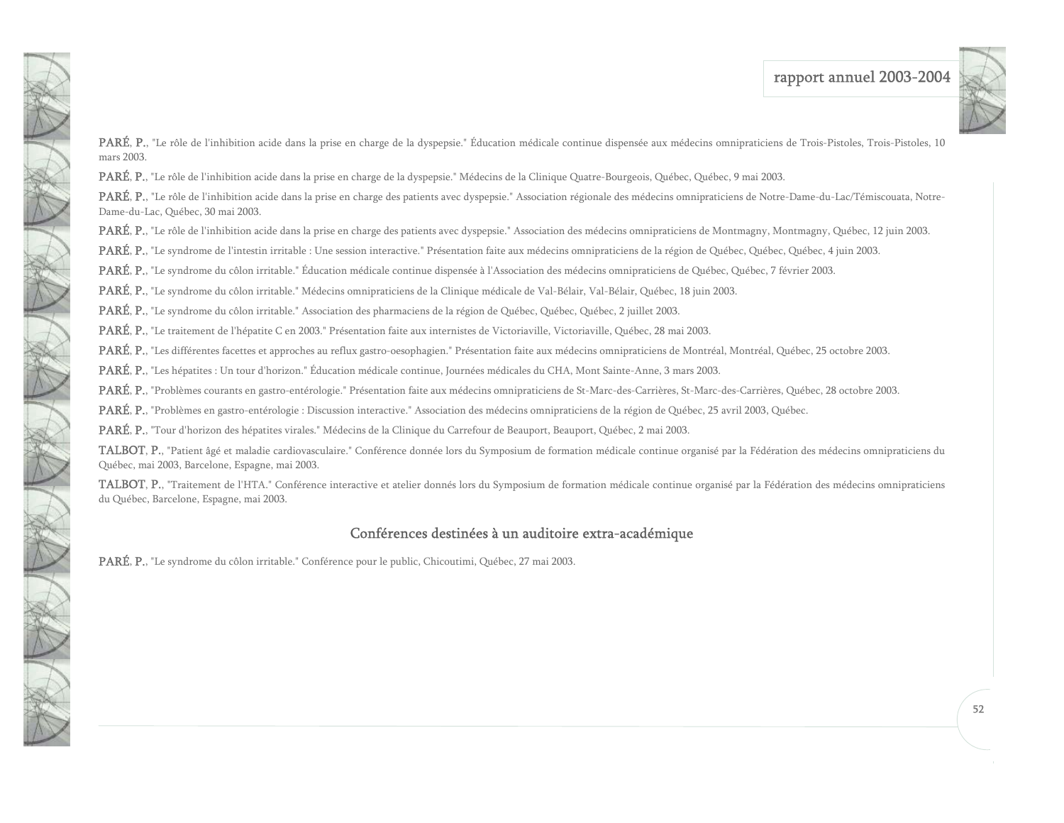

PARÉ, P., "Le rôle de l'inhibition acide dans la prise en charge de la dyspepsie." Éducation médicale continue dispensée aux médecins omnipraticiens de Trois-Pistoles, Trois-Pistoles, 10 mars 2003.

PARÉ, P., "Le rôle de l'inhibition acide dans la prise en charge de la dyspepsie." Médecins de la Clinique Quatre-Bourgeois, Québec, Québec, 9 mai 2003.

PARÉ, P., "Le rôle de l'inhibition acide dans la prise en charge des patients avec dyspepsie." Association régionale des médecins omnipraticiens de Notre-Dame-du-Lac/Témiscouata, Notre-Dame-du-Lac, Québec, 30 mai 2003.

PARÉ, P., "Le rôle de l'inhibition acide dans la prise en charge des patients avec dyspepsie." Association des médecins omnipraticiens de Montmagny, Montmagny, Québec, 12 juin 2003.

PARÉ, P., "Le syndrome de l'intestin irritable : Une session interactive." Présentation faite aux médecins omnipraticiens de la région de Québec, Québec, Québec, 4 juin 2003.

PARÉ, P., "Le syndrome du côlon irritable." Éducation médicale continue dispensée à l'Association des médecins omnipraticiens de Québec, Québec, 7 février 2003.

PARÉ, P., "Le syndrome du côlon irritable." Médecins omnipraticiens de la Clinique médicale de Val-Bélair, Val-Bélair, Québec, 18 juin 2003.

PARÉ, P., "Le syndrome du côlon irritable." Association des pharmaciens de la région de Québec, Québec, Québec, 2 juillet 2003.

NEW 1

PARÉ, P., "Le traitement de l'hépatite C en 2003." Présentation faite aux internistes de Victoriaville, Victoriaville, Québec, 28 mai 2003.

PARÉ, P., "Les différentes facettes et approches au reflux gastro-oesophagien." Présentation faite aux médecins omnipraticiens de Montréal, Montréal, Québec, 25 octobre 2003.

PARÉ, P., "Les hépatites : Un tour d'horizon." Éducation médicale continue, Journées médicales du CHA, Mont Sainte-Anne, 3 mars 2003.

PARÉ, P., "Problèmes courants en gastro-entérologie." Présentation faite aux médecins omnipraticiens de St-Marc-des-Carrières, St-Marc-des-Carrières, Québec, 28 octobre 2003.

PARÉ, P., "Problèmes en gastro-entérologie : Discussion interactive." Association des médecins omnipraticiens de la région de Québec, 25 avril 2003, Québec.

PARÉ, P., "Tour d'horizon des hépatites virales." Médecins de la Clinique du Carrefour de Beauport, Beauport, Québec, 2 mai 2003.

TALBOT, P., "Patient âgé et maladie cardiovasculaire." Conférence donnée lors du Symposium de formation médicale continue organisé par la Fédération des médecins omnipraticiens du Québec, mai 2003, Barcelone, Espagne, mai 2003.

TALBOT, P., "Traitement de l'HTA." Conférence interactive et atelier donnés lors du Symposium de formation médicale continue organisé par la Fédération des médecins omnipraticiens du Québec, Barcelone, Espagne, mai 2003.

### Conférences destinées à un auditoire extra-académique

PARÉ, P., "Le syndrome du côlon irritable." Conférence pour le public, Chicoutimi, Québec, 27 mai 2003.